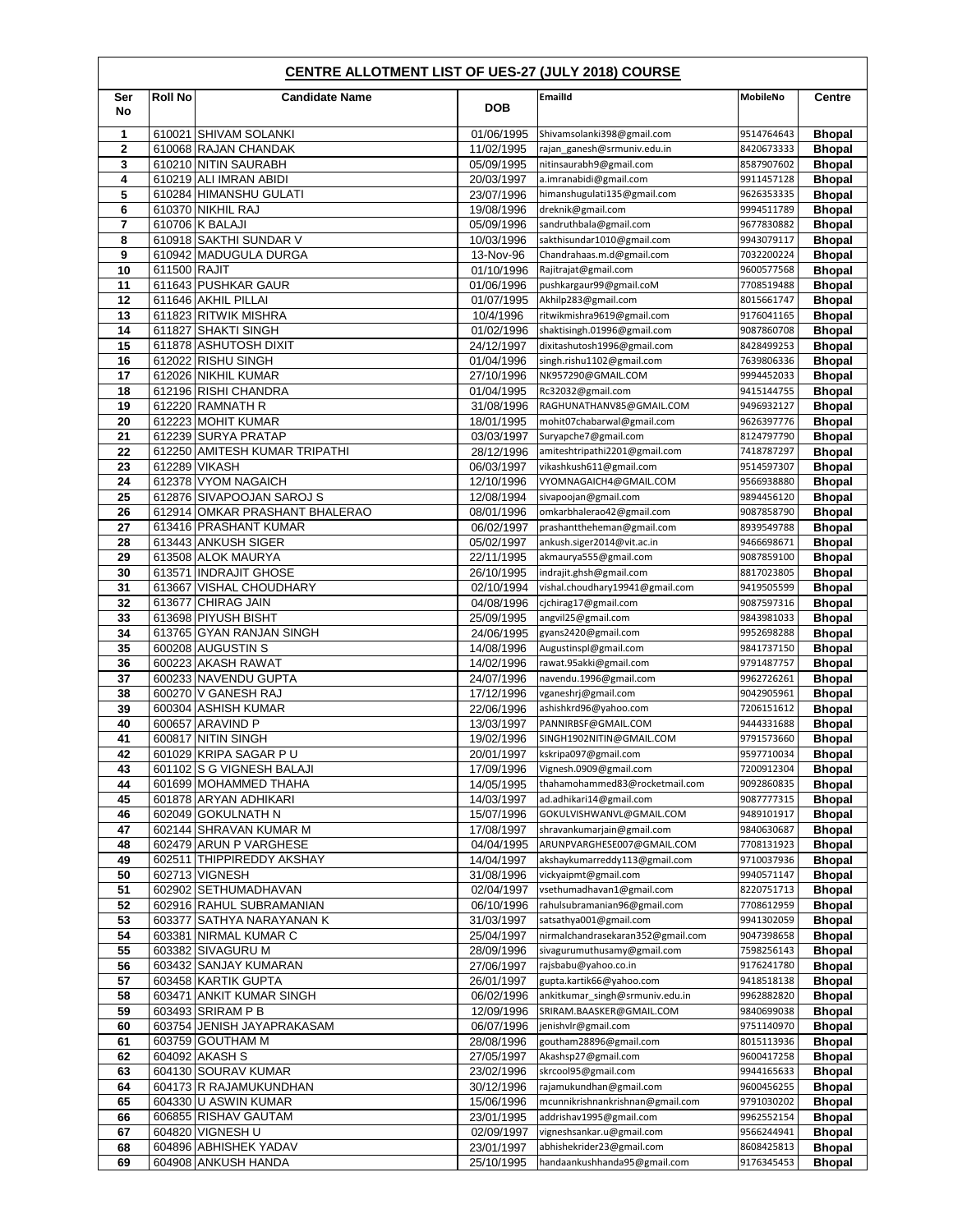|                | <b>CENTRE ALLOTMENT LIST OF UES-27 (JULY 2018) COURSE</b> |                                                  |                          |                                                             |                          |                                |  |  |
|----------------|-----------------------------------------------------------|--------------------------------------------------|--------------------------|-------------------------------------------------------------|--------------------------|--------------------------------|--|--|
| Ser<br>No      | <b>Roll No</b>                                            | <b>Candidate Name</b>                            | <b>DOB</b>               | <b>Emailld</b>                                              | MobileNo                 | <b>Centre</b>                  |  |  |
| 1              |                                                           | 610021 SHIVAM SOLANKI                            | 01/06/1995               | Shivamsolanki398@gmail.com                                  | 9514764643               | <b>Bhopal</b>                  |  |  |
| $\mathbf{2}$   |                                                           | 610068 RAJAN CHANDAK                             | 11/02/1995               | rajan_ganesh@srmuniv.edu.in                                 | 8420673333               | <b>Bhopal</b>                  |  |  |
| 3              |                                                           | 610210 NITIN SAURABH                             | 05/09/1995               | nitinsaurabh9@gmail.com                                     | 8587907602               | <b>Bhopal</b>                  |  |  |
| 4<br>5         |                                                           | 610219 ALI IMRAN ABIDI<br>610284 HIMANSHU GULATI | 20/03/1997               | a.imranabidi@gmail.com<br>himanshugulati135@gmail.com       | 9911457128<br>9626353335 | <b>Bhopal</b>                  |  |  |
| 6              |                                                           | 610370 NIKHIL RAJ                                | 23/07/1996<br>19/08/1996 | dreknik@gmail.com                                           | 9994511789               | <b>Bhopal</b><br><b>Bhopal</b> |  |  |
| $\overline{7}$ |                                                           | 610706 K BALAJI                                  | 05/09/1996               | sandruthbala@gmail.com                                      | 9677830882               | <b>Bhopal</b>                  |  |  |
| 8              |                                                           | 610918 SAKTHI SUNDAR V                           | 10/03/1996               | sakthisundar1010@gmail.com                                  | 9943079117               | <b>Bhopal</b>                  |  |  |
| 9              |                                                           | 610942 MADUGULA DURGA                            | 13-Nov-96                | Chandrahaas.m.d@gmail.com                                   | 7032200224               | <b>Bhopal</b>                  |  |  |
| 10             | 611500 RAJIT                                              |                                                  | 01/10/1996               | Rajitrajat@gmail.com                                        | 9600577568               | <b>Bhopal</b>                  |  |  |
| 11<br>12       |                                                           | 611643 PUSHKAR GAUR<br>611646 AKHIL PILLAI       | 01/06/1996<br>01/07/1995 | pushkargaur99@gmail.coM<br>Akhilp283@gmail.com              | 7708519488<br>8015661747 | <b>Bhopal</b><br><b>Bhopal</b> |  |  |
| 13             |                                                           | 611823 RITWIK MISHRA                             | 10/4/1996                | ritwikmishra9619@gmail.com                                  | 9176041165               | <b>Bhopal</b>                  |  |  |
| 14             |                                                           | 611827 SHAKTI SINGH                              | 01/02/1996               | shaktisingh.01996@gmail.com                                 | 9087860708               | <b>Bhopal</b>                  |  |  |
| 15             |                                                           | 611878 ASHUTOSH DIXIT                            | 24/12/1997               | dixitashutosh1996@gmail.com                                 | 8428499253               | <b>Bhopal</b>                  |  |  |
| 16             |                                                           | 612022 RISHU SINGH                               | 01/04/1996               | singh.rishu1102@gmail.com                                   | 7639806336               | <b>Bhopal</b>                  |  |  |
| 17             |                                                           | 612026 NIKHIL KUMAR                              | 27/10/1996               | NK957290@GMAIL.COM                                          | 9994452033               | <b>Bhopal</b>                  |  |  |
| 18<br>19       |                                                           | 612196 RISHI CHANDRA<br>612220 RAMNATH R         | 01/04/1995<br>31/08/1996 | Rc32032@gmail.com<br>RAGHUNATHANV85@GMAIL.COM               | 9415144755<br>9496932127 | <b>Bhopal</b><br><b>Bhopal</b> |  |  |
| 20             |                                                           | 612223 MOHIT KUMAR                               | 18/01/1995               | mohit07chabarwal@gmail.com                                  | 9626397776               | <b>Bhopal</b>                  |  |  |
| 21             |                                                           | 612239 SURYA PRATAP                              | 03/03/1997               | Suryapche7@gmail.com                                        | 8124797790               | <b>Bhopal</b>                  |  |  |
| 22             |                                                           | 612250 AMITESH KUMAR TRIPATHI                    | 28/12/1996               | amiteshtripathi2201@gmail.com                               | 7418787297               | <b>Bhopal</b>                  |  |  |
| 23             |                                                           | 612289 VIKASH                                    | 06/03/1997               | vikashkush611@gmail.com                                     | 9514597307               | <b>Bhopal</b>                  |  |  |
| 24<br>25       |                                                           | 612378 VYOM NAGAICH<br>612876 SIVAPOOJAN SAROJ S | 12/10/1996               | VYOMNAGAICH4@GMAIL.COM<br>sivapoojan@gmail.com              | 9566938880               | <b>Bhopal</b><br><b>Bhopal</b> |  |  |
| 26             |                                                           | 612914 OMKAR PRASHANT BHALERAO                   | 12/08/1994<br>08/01/1996 | omkarbhalerao42@gmail.com                                   | 9894456120<br>9087858790 | <b>Bhopal</b>                  |  |  |
| 27             |                                                           | 613416 PRASHANT KUMAR                            | 06/02/1997               | prashanttheheman@gmail.com                                  | 8939549788               | <b>Bhopal</b>                  |  |  |
| 28             |                                                           | 613443 ANKUSH SIGER                              | 05/02/1997               | ankush.siger2014@vit.ac.in                                  | 9466698671               | <b>Bhopal</b>                  |  |  |
| 29             |                                                           | 613508 ALOK MAURYA                               | 22/11/1995               | akmaurya555@gmail.com                                       | 9087859100               | <b>Bhopal</b>                  |  |  |
| 30             |                                                           | 613571 INDRAJIT GHOSE                            | 26/10/1995               | indrajit.ghsh@gmail.com                                     | 8817023805               | <b>Bhopal</b>                  |  |  |
| 31<br>32       |                                                           | 613667 VISHAL CHOUDHARY<br>613677 CHIRAG JAIN    | 02/10/1994               | vishal.choudhary19941@gmail.com<br>cjchirag17@gmail.com     | 9419505599<br>9087597316 | <b>Bhopal</b>                  |  |  |
| 33             |                                                           | 613698 PIYUSH BISHT                              | 04/08/1996<br>25/09/1995 | angvil25@gmail.com                                          | 9843981033               | <b>Bhopal</b><br><b>Bhopal</b> |  |  |
| 34             |                                                           | 613765 GYAN RANJAN SINGH                         | 24/06/1995               | gyans2420@gmail.com                                         | 9952698288               | <b>Bhopal</b>                  |  |  |
| 35             |                                                           | 600208 AUGUSTIN S                                | 14/08/1996               | Augustinspl@gmail.com                                       | 9841737150               | <b>Bhopal</b>                  |  |  |
| 36             |                                                           | 600223 AKASH RAWAT                               | 14/02/1996               | rawat.95akki@gmail.com                                      | 9791487757               | <b>Bhopal</b>                  |  |  |
| 37             |                                                           | 600233 NAVENDU GUPTA                             | 24/07/1996               | navendu.1996@gmail.com                                      | 9962726261               | Bhopal                         |  |  |
| 38<br>39       |                                                           | 600270 V GANESH RAJ<br>600304 ASHISH KUMAR       | 17/12/1996<br>22/06/1996 | vganeshrj@gmail.com<br>ashishkrd96@yahoo.com                | 9042905961<br>7206151612 | <b>Bhopal</b><br><b>Bhopal</b> |  |  |
| 40             |                                                           | 600657 ARAVIND P                                 | 13/03/1997               | PANNIRBSF@GMAIL.COM                                         | 9444331688               | <b>Bhopal</b>                  |  |  |
| 41             |                                                           | 600817 NITIN SINGH                               | 19/02/1996               | SINGH1902NITIN@GMAIL.COM                                    | 9791573660               | <b>Bhopal</b>                  |  |  |
| 42             |                                                           | 601029 KRIPA SAGAR PU                            | 20/01/1997               | kskripa097@gmail.com                                        | 9597710034               | <b>Bhopal</b>                  |  |  |
| 43             |                                                           | 601102 S G VIGNESH BALAJI                        | 17/09/1996               | Vignesh.0909@gmail.com                                      | 7200912304               | <b>Bhopal</b>                  |  |  |
| 44<br>45       |                                                           | 601699 MOHAMMED THAHA<br>601878 ARYAN ADHIKARI   | 14/05/1995<br>14/03/1997 | thahamohammed83@rocketmail.com<br>ad.adhikari14@gmail.com   | 9092860835<br>9087777315 | <b>Bhopal</b><br><b>Bhopal</b> |  |  |
| 46             |                                                           | 602049 GOKULNATH N                               | 15/07/1996               | GOKULVISHWANVL@GMAIL.COM                                    | 9489101917               | <b>Bhopal</b>                  |  |  |
| 47             |                                                           | 602144 SHRAVAN KUMAR M                           | 17/08/1997               | shravankumarjain@gmail.com                                  | 9840630687               | <b>Bhopal</b>                  |  |  |
| 48             |                                                           | 602479 ARUN P VARGHESE                           | 04/04/1995               | ARUNPVARGHESE007@GMAIL.COM                                  | 7708131923               | <b>Bhopal</b>                  |  |  |
| 49             |                                                           | 602511 THIPPIREDDY AKSHAY                        | 14/04/1997               | akshaykumarreddy113@gmail.com                               | 9710037936               | <b>Bhopal</b>                  |  |  |
| 50<br>51       |                                                           | 602713 VIGNESH<br>602902 SETHUMADHAVAN           | 31/08/1996               | vickyaipmt@gmail.com                                        | 9940571147               | <b>Bhopal</b>                  |  |  |
| 52             |                                                           | 602916 RAHUL SUBRAMANIAN                         | 02/04/1997<br>06/10/1996 | vsethumadhavan1@gmail.com<br>rahulsubramanian96@gmail.com   | 8220751713<br>7708612959 | Bhopal<br>Bhopal               |  |  |
| 53             |                                                           | 603377 SATHYA NARAYANAN K                        | 31/03/1997               | satsathya001@gmail.com                                      | 9941302059               | <b>Bhopal</b>                  |  |  |
| 54             |                                                           | 603381 NIRMAL KUMAR C                            | 25/04/1997               | nirmalchandrasekaran352@gmail.com                           | 9047398658               | <b>Bhopal</b>                  |  |  |
| 55             |                                                           | 603382 SIVAGURU M                                | 28/09/1996               | sivagurumuthusamy@gmail.com                                 | 7598256143               | <b>Bhopal</b>                  |  |  |
| 56             |                                                           | 603432 SANJAY KUMARAN                            | 27/06/1997               | rajsbabu@yahoo.co.in                                        | 9176241780               | <b>Bhopal</b>                  |  |  |
| 57             |                                                           | 603458 KARTIK GUPTA                              | 26/01/1997               | gupta.kartik66@yahoo.com                                    | 9418518138               | <b>Bhopal</b>                  |  |  |
| 58<br>59       |                                                           | 603471 ANKIT KUMAR SINGH<br>603493 SRIRAM P B    | 06/02/1996<br>12/09/1996 | ankitkumar_singh@srmuniv.edu.in<br>SRIRAM.BAASKER@GMAIL.COM | 9962882820<br>9840699038 | <b>Bhopal</b><br><b>Bhopal</b> |  |  |
| 60             |                                                           | 603754 JENISH JAYAPRAKASAM                       | 06/07/1996               | jenishvlr@gmail.com                                         | 9751140970               | Bhopal                         |  |  |
| 61             |                                                           | 603759 GOUTHAM M                                 | 28/08/1996               | goutham28896@gmail.com                                      | 8015113936               | <b>Bhopal</b>                  |  |  |
| 62             |                                                           | 604092 AKASH S                                   | 27/05/1997               | Akashsp27@gmail.com                                         | 9600417258               | <b>Bhopal</b>                  |  |  |
| 63             |                                                           | 604130 SOURAV KUMAR                              | 23/02/1996               | skrcool95@gmail.com                                         | 9944165633               | <b>Bhopal</b>                  |  |  |
| 64             |                                                           | 604173 R RAJAMUKUNDHAN<br>604330 U ASWIN KUMAR   | 30/12/1996<br>15/06/1996 | rajamukundhan@gmail.com<br>mcunnikrishnankrishnan@gmail.com | 9600456255<br>9791030202 | Bhopal                         |  |  |
| 65<br>66       |                                                           | 606855 RISHAV GAUTAM                             | 23/01/1995               | addrishav1995@gmail.com                                     | 9962552154               | <b>Bhopal</b><br>Bhopal        |  |  |
| 67             |                                                           | 604820 VIGNESH U                                 | 02/09/1997               | vigneshsankar.u@gmail.com                                   | 9566244941               | <b>Bhopal</b>                  |  |  |
| 68             |                                                           | 604896 ABHISHEK YADAV                            | 23/01/1997               | abhishekrider23@gmail.com                                   | 8608425813               | Bhopal                         |  |  |
| 69             |                                                           | 604908 ANKUSH HANDA                              | 25/10/1995               | handaankushhanda95@gmail.com                                | 9176345453               | <b>Bhopal</b>                  |  |  |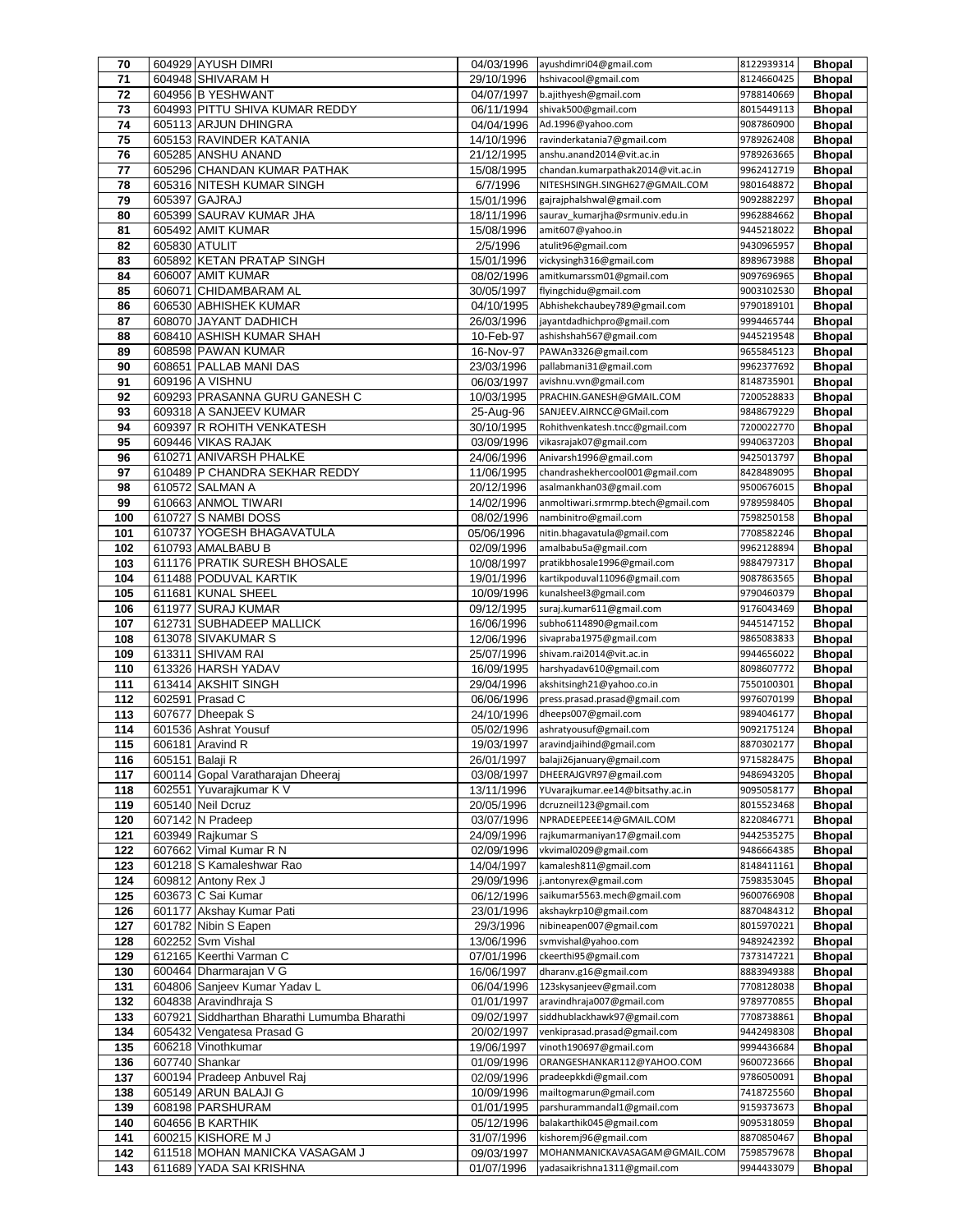| 70         |                 | 604929 AYUSH DIMRI                           | 04/03/1996               | ayushdimri04@gmail.com                                     | 8122939314               | <b>Bhopal</b>                  |
|------------|-----------------|----------------------------------------------|--------------------------|------------------------------------------------------------|--------------------------|--------------------------------|
| 71         |                 | 604948 SHIVARAM H                            | 29/10/1996               | hshivacool@gmail.com                                       | 8124660425               | <b>Bhopal</b>                  |
| 72         |                 | 604956 B YESHWANT                            | 04/07/1997               | b.ajithyesh@gmail.com                                      | 9788140669               | <b>Bhopal</b>                  |
| 73         |                 | 604993 PITTU SHIVA KUMAR REDDY               | 06/11/1994               | shivak500@gmail.com                                        | 8015449113               | <b>Bhopal</b>                  |
| 74         |                 | 605113 ARJUN DHINGRA                         | 04/04/1996               | Ad.1996@yahoo.com                                          | 9087860900               | <b>Bhopal</b>                  |
| 75         |                 | 605153 RAVINDER KATANIA                      | 14/10/1996               | ravinderkatania7@gmail.com                                 | 9789262408               | <b>Bhopal</b>                  |
| 76         |                 | 605285 ANSHU ANAND                           | 21/12/1995               | anshu.anand2014@vit.ac.in                                  | 9789263665               | <b>Bhopal</b>                  |
| 77         |                 | 605296 CHANDAN KUMAR PATHAK                  | 15/08/1995               | chandan.kumarpathak2014@vit.ac.in                          | 9962412719               | <b>Bhopal</b>                  |
| 78         |                 | 605316 NITESH KUMAR SINGH                    | 6/7/1996                 | NITESHSINGH.SINGH627@GMAIL.COM                             | 9801648872               | <b>Bhopal</b>                  |
| 79         |                 | 605397 GAJRAJ                                | 15/01/1996               | gajrajphalshwal@gmail.com                                  | 9092882297               | <b>Bhopal</b>                  |
| 80         |                 | 605399 SAURAV KUMAR JHA                      | 18/11/1996               | saurav kumarjha@srmuniv.edu.in                             | 9962884662               | <b>Bhopal</b>                  |
| 81         |                 | 605492 AMIT KUMAR                            | 15/08/1996               | amit607@yahoo.in                                           | 9445218022               | <b>Bhopal</b>                  |
| 82         | 605830 ATULIT   |                                              | 2/5/1996                 | atulit96@gmail.com                                         | 9430965957               | <b>Bhopal</b>                  |
| 83         |                 | 605892 KETAN PRATAP SINGH                    | 15/01/1996               | vickysingh316@gmail.com                                    | 8989673988               | <b>Bhopal</b>                  |
| 84         |                 | 606007 AMIT KUMAR                            | 08/02/1996               | amitkumarssm01@gmail.com                                   | 9097696965               | <b>Bhopal</b>                  |
| 85         |                 | 606071 CHIDAMBARAM AL                        | 30/05/1997               | flyingchidu@gmail.com                                      | 9003102530               | <b>Bhopal</b>                  |
| 86         |                 | 606530 ABHISHEK KUMAR                        | 04/10/1995               | Abhishekchaubey789@gmail.com                               | 9790189101               | <b>Bhopal</b>                  |
| 87         |                 | 608070 JAYANT DADHICH                        | 26/03/1996               | jayantdadhichpro@gmail.com                                 | 9994465744               | <b>Bhopal</b>                  |
| 88         |                 | 608410 ASHISH KUMAR SHAH                     | 10-Feb-97                | ashishshah567@gmail.com                                    | 9445219548               | <b>Bhopal</b>                  |
| 89         |                 | 608598 PAWAN KUMAR                           | 16-Nov-97                | PAWAn3326@gmail.com                                        | 9655845123               | <b>Bhopal</b>                  |
| 90         |                 | 608651 PALLAB MANI DAS                       | 23/03/1996               | pallabmani31@gmail.com                                     | 9962377692               | <b>Bhopal</b>                  |
| 91         |                 | 609196 A VISHNU                              | 06/03/1997               | avishnu.vvn@gmail.com                                      | 8148735901               | <b>Bhopal</b>                  |
| 92         |                 | 609293 PRASANNA GURU GANESH C                | 10/03/1995               | PRACHIN.GANESH@GMAIL.COM                                   | 7200528833               | <b>Bhopal</b>                  |
| 93         |                 | 609318 A SANJEEV KUMAR                       | 25-Aug-96                | SANJEEV.AIRNCC@GMail.com                                   | 9848679229               | <b>Bhopal</b>                  |
| 94         | 609397          | R ROHITH VENKATESH                           | 30/10/1995               | Rohithvenkatesh.tncc@gmail.com                             | 7200022770               | <b>Bhopal</b>                  |
| 95         |                 | 609446 VIKAS RAJAK                           | 03/09/1996               | vikasrajak07@gmail.com                                     | 9940637203               | <b>Bhopal</b>                  |
| 96         |                 | 610271 ANIVARSH PHALKE                       | 24/06/1996               | Anivarsh1996@gmail.com                                     | 9425013797               | <b>Bhopal</b>                  |
| 97         |                 | 610489 P CHANDRA SEKHAR REDDY                | 11/06/1995               | chandrashekhercool001@gmail.com                            | 8428489095               | <b>Bhopal</b>                  |
| 98         |                 | 610572 SALMAN A                              | 20/12/1996               | asalmankhan03@gmail.com                                    | 9500676015               | <b>Bhopal</b>                  |
| 99         |                 | 610663 ANMOL TIWARI                          | 14/02/1996               | anmoltiwari.srmrmp.btech@gmail.com                         | 9789598405               | <b>Bhopal</b>                  |
| 100        |                 | 610727 S NAMBI DOSS                          | 08/02/1996               | nambinitro@gmail.com                                       | 7598250158               | <b>Bhopal</b>                  |
| 101        |                 | 610737 YOGESH BHAGAVATULA                    | 05/06/1996               | nitin.bhagavatula@gmail.com                                | 7708582246               | <b>Bhopal</b>                  |
| 102        |                 | 610793 AMALBABU B                            | 02/09/1996               | amalbabu5a@gmail.com                                       | 9962128894               | <b>Bhopal</b>                  |
| 103        |                 | 611176 PRATIK SURESH BHOSALE                 | 10/08/1997               | pratikbhosale1996@gmail.com                                | 9884797317               | <b>Bhopal</b>                  |
| 104        |                 | 611488 PODUVAL KARTIK                        | 19/01/1996               | kartikpoduval11096@gmail.com                               | 9087863565               | <b>Bhopal</b>                  |
| 105        |                 | 611681 KUNAL SHEEL                           | 10/09/1996               | kunalsheel3@gmail.com                                      | 9790460379               | <b>Bhopal</b>                  |
| 106        |                 | 611977 SURAJ KUMAR                           | 09/12/1995               | suraj.kumar611@gmail.com                                   | 9176043469               | <b>Bhopal</b>                  |
| 107        |                 | 612731 SUBHADEEP MALLICK                     | 16/06/1996               | subho6114890@gmail.com                                     | 9445147152               | <b>Bhopal</b>                  |
| 108        |                 | 613078 SIVAKUMAR S                           | 12/06/1996               | sivapraba1975@gmail.com                                    | 9865083833               | <b>Bhopal</b>                  |
| 109        |                 | 613311 SHIVAM RAI<br>613326 HARSH YADAV      | 25/07/1996               | shivam.rai2014@vit.ac.in                                   | 9944656022               | <b>Bhopal</b>                  |
| 110        |                 |                                              | 16/09/1995               | harshyadav610@gmail.com                                    | 8098607772               | <b>Bhopal</b>                  |
| 111<br>112 |                 | 613414 AKSHIT SINGH<br>602591 Prasad C       | 29/04/1996               | akshitsingh21@yahoo.co.in<br>press.prasad.prasad@gmail.com | 7550100301<br>9976070199 | <b>Bhopal</b>                  |
|            | 607677          | Dheepak S                                    | 06/06/1996               |                                                            | 9894046177               | <b>Bhopal</b>                  |
| 113<br>114 |                 |                                              | 24/10/1996               | dheeps007@gmail.com                                        |                          | <b>Bhopal</b>                  |
| 115        |                 | 601536 Ashrat Yousuf<br>606181 Aravind R     | 05/02/1996<br>19/03/1997 | ashratyousuf@gmail.com<br>aravindjaihind@gmail.com         | 9092175124<br>8870302177 | <b>Bhopal</b><br><b>Bhopal</b> |
|            |                 |                                              |                          |                                                            |                          |                                |
| 116<br>117 | 605151 Balaji R | 600114 Gopal Varatharajan Dheeraj            | 26/01/1997<br>03/08/1997 | balaji26january@gmail.com<br>DHEERAJGVR97@gmail.com        | 9715828475<br>9486943205 | <b>Bhopal</b><br><b>Bhopal</b> |
|            |                 | 602551 Yuvarajkumar K V                      |                          | YUvarajkumar.ee14@bitsathy.ac.in                           | 9095058177               | <b>Bhopal</b>                  |
| 118<br>119 |                 | 605140 Neil Dcruz                            | 13/11/1996<br>20/05/1996 | dcruzneil123@gmail.com                                     | 8015523468               | <b>Bhopal</b>                  |
| 120        |                 | 607142 N Pradeep                             | 03/07/1996               | NPRADEEPEEE14@GMAIL.COM                                    | 8220846771               | <b>Bhopal</b>                  |
| 121        |                 | 603949 Rajkumar S                            | 24/09/1996               | rajkumarmaniyan17@gmail.com                                | 9442535275               | <b>Bhopal</b>                  |
| 122        |                 | 607662 Vimal Kumar R N                       | 02/09/1996               | vkvimal0209@gmail.com                                      | 9486664385               | <b>Bhopal</b>                  |
| 123        |                 | 601218 S Kamaleshwar Rao                     | 14/04/1997               | kamalesh811@gmail.com                                      | 8148411161               | <b>Bhopal</b>                  |
| 124        |                 | 609812 Antony Rex J                          | 29/09/1996               | i.antonyrex@gmail.com                                      | 7598353045               | <b>Bhopal</b>                  |
| 125        |                 | 603673 C Sai Kumar                           | 06/12/1996               | saikumar5563.mech@gmail.com                                | 9600766908               | <b>Bhopal</b>                  |
| 126        |                 | 601177 Akshay Kumar Pati                     | 23/01/1996               | akshaykrp10@gmail.com                                      | 8870484312               | <b>Bhopal</b>                  |
| 127        |                 | 601782 Nibin S Eapen                         | 29/3/1996                | nibineapen007@gmail.com                                    | 8015970221               | <b>Bhopal</b>                  |
| 128        |                 | 602252 Svm Vishal                            | 13/06/1996               | svmvishal@yahoo.com                                        | 9489242392               | <b>Bhopal</b>                  |
| 129        |                 | 612165 Keerthi Varman C                      | 07/01/1996               | ckeerthi95@gmail.com                                       | 7373147221               | <b>Bhopal</b>                  |
| 130        |                 | 600464 Dharmarajan V G                       | 16/06/1997               | dharanv.g16@gmail.com                                      | 8883949388               | <b>Bhopal</b>                  |
| 131        |                 | 604806 Sanjeev Kumar Yadav L                 | 06/04/1996               | 123skysanjeev@gmail.com                                    | 7708128038               | <b>Bhopal</b>                  |
| 132        |                 | 604838 Aravindhraja S                        | 01/01/1997               | aravindhraja007@gmail.com                                  | 9789770855               | <b>Bhopal</b>                  |
| 133        |                 | 607921 Siddharthan Bharathi Lumumba Bharathi | 09/02/1997               | siddhublackhawk97@gmail.com                                | 7708738861               | <b>Bhopal</b>                  |
| 134        |                 | 605432 Vengatesa Prasad G                    | 20/02/1997               | venkiprasad.prasad@gmail.com                               | 9442498308               | <b>Bhopal</b>                  |
| 135        |                 | 606218 Vinothkumar                           | 19/06/1997               | vinoth190697@gmail.com                                     | 9994436684               | <b>Bhopal</b>                  |
| 136        |                 | 607740 Shankar                               | 01/09/1996               | ORANGESHANKAR112@YAHOO.COM                                 | 9600723666               | <b>Bhopal</b>                  |
| 137        |                 | 600194 Pradeep Anbuvel Raj                   | 02/09/1996               | pradeepkkdi@gmail.com                                      | 9786050091               | <b>Bhopal</b>                  |
| 138        |                 | 605149 ARUN BALAJI G                         | 10/09/1996               | mailtogmarun@gmail.com                                     | 7418725560               | <b>Bhopal</b>                  |
| 139        |                 | 608198 PARSHURAM                             | 01/01/1995               | parshurammandal1@gmail.com                                 | 9159373673               | <b>Bhopal</b>                  |
| 140        |                 | 604656 B KARTHIK                             | 05/12/1996               | balakarthik045@gmail.com                                   | 9095318059               | <b>Bhopal</b>                  |
| 141        |                 | 600215 KISHORE M J                           | 31/07/1996               | kishoremj96@gmail.com                                      | 8870850467               | <b>Bhopal</b>                  |
| 142        |                 | 611518 MOHAN MANICKA VASAGAM J               | 09/03/1997               | MOHANMANICKAVASAGAM@GMAIL.COM                              | 7598579678               | <b>Bhopal</b>                  |
| 143        |                 | 611689 YADA SAI KRISHNA                      | 01/07/1996               | yadasaikrishna1311@gmail.com                               | 9944433079               | <b>Bhopal</b>                  |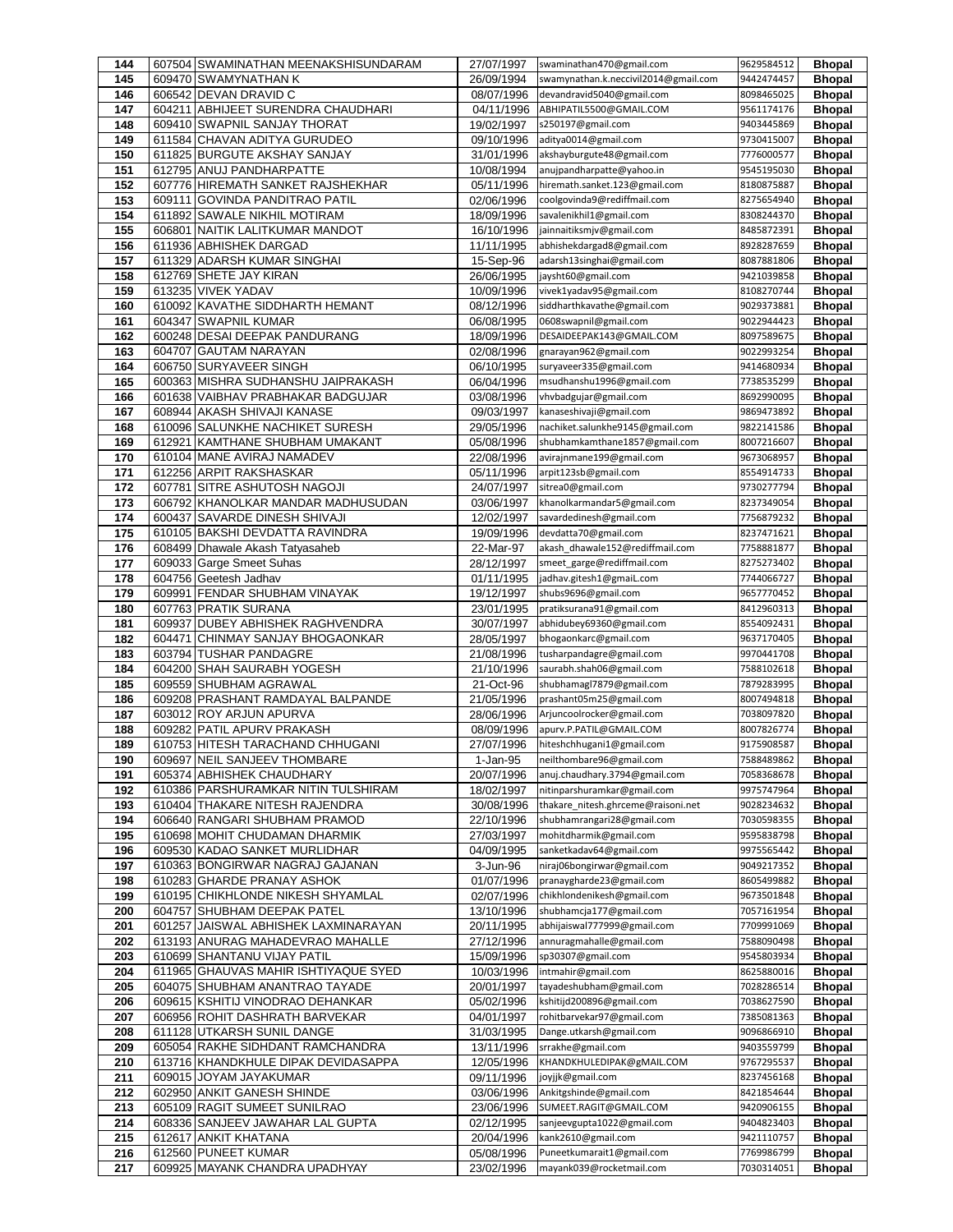| 144        |        | 607504 SWAMINATHAN MEENAKSHISUNDARAM                             | 27/07/1997               | swaminathan470@gmail.com                                     | 9629584512               | <b>Bhopal</b>                  |
|------------|--------|------------------------------------------------------------------|--------------------------|--------------------------------------------------------------|--------------------------|--------------------------------|
| 145        |        | 609470 SWAMYNATHAN K                                             | 26/09/1994               | swamynathan.k.neccivil2014@gmail.com                         | 9442474457               | <b>Bhopal</b>                  |
| 146        |        | 606542 DEVAN DRAVID C                                            | 08/07/1996               | devandravid5040@gmail.com                                    | 8098465025               | <b>Bhopal</b>                  |
| 147        | 604211 | ABHIJEET SURENDRA CHAUDHARI                                      | 04/11/1996               | ABHIPATIL5500@GMAIL.COM                                      | 9561174176               | <b>Bhopal</b>                  |
| 148        |        | 609410 SWAPNIL SANJAY THORAT                                     | 19/02/1997               | s250197@gmail.com                                            | 9403445869               | <b>Bhopal</b>                  |
| 149        |        | 611584 CHAVAN ADITYA GURUDEO                                     | 09/10/1996               | aditya0014@gmail.com                                         | 9730415007               | <b>Bhopal</b>                  |
| 150        |        | 611825 BURGUTE AKSHAY SANJAY                                     | 31/01/1996               | akshayburgute48@gmail.com                                    | 7776000577               | <b>Bhopal</b>                  |
| 151        |        | 612795 ANUJ PANDHARPATTE                                         | 10/08/1994               | anujpandharpatte@yahoo.in                                    | 9545195030               | <b>Bhopal</b>                  |
| 152        | 609111 | 607776 HIREMATH SANKET RAJSHEKHAR<br>GOVINDA PANDITRAO PATIL     | 05/11/1996               | hiremath.sanket.123@gmail.com<br>coolgovinda9@rediffmail.com | 8180875887<br>8275654940 | <b>Bhopal</b>                  |
| 153<br>154 |        | 611892 SAWALE NIKHIL MOTIRAM                                     | 02/06/1996<br>18/09/1996 | savalenikhil1@gmail.com                                      | 8308244370               | <b>Bhopal</b><br><b>Bhopal</b> |
| 155        | 606801 | NAITIK LALITKUMAR MANDOT                                         | 16/10/1996               | jainnaitiksmjv@gmail.com                                     | 8485872391               | <b>Bhopal</b>                  |
| 156        |        | 611936 ABHISHEK DARGAD                                           | 11/11/1995               | abhishekdargad8@gmail.com                                    | 8928287659               | <b>Bhopal</b>                  |
| 157        |        | 611329 ADARSH KUMAR SINGHAI                                      | 15-Sep-96                | adarsh13singhai@gmail.com                                    | 8087881806               | <b>Bhopal</b>                  |
| 158        |        | 612769 SHETE JAY KIRAN                                           | 26/06/1995               | jaysht60@gmail.com                                           | 9421039858               | <b>Bhopal</b>                  |
| 159        |        | 613235 VIVEK YADAV                                               | 10/09/1996               | vivek1yadav95@gmail.com                                      | 8108270744               | <b>Bhopal</b>                  |
| 160        |        | 610092 KAVATHE SIDDHARTH HEMANT                                  | 08/12/1996               | siddharthkavathe@gmail.com                                   | 9029373881               | <b>Bhopal</b>                  |
| 161        |        | 604347 SWAPNIL KUMAR                                             | 06/08/1995               | 0608swapnil@gmail.com                                        | 9022944423               | <b>Bhopal</b>                  |
| 162        |        | 600248 DESAI DEEPAK PANDURANG                                    | 18/09/1996               | DESAIDEEPAK143@GMAIL.COM                                     | 8097589675               | <b>Bhopal</b>                  |
| 163        | 604707 | <b>GAUTAM NARAYAN</b>                                            | 02/08/1996               | gnarayan962@gmail.com                                        | 9022993254               | <b>Bhopal</b>                  |
| 164        |        | 606750 SURYAVEER SINGH                                           | 06/10/1995               | suryaveer335@gmail.com                                       | 9414680934               | <b>Bhopal</b>                  |
| 165        |        | 600363 MISHRA SUDHANSHU JAIPRAKASH                               | 06/04/1996               | msudhanshu1996@gmail.com                                     | 7738535299               | <b>Bhopal</b>                  |
| 166        |        | 601638 VAIBHAV PRABHAKAR BADGUJAR                                | 03/08/1996               | vhvbadgujar@gmail.com                                        | 8692990095               | <b>Bhopal</b>                  |
| 167        |        | 608944 AKASH SHIVAJI KANASE                                      | 09/03/1997               | kanaseshivaji@gmail.com                                      | 9869473892               | <b>Bhopal</b>                  |
| 168        |        | 610096 SALUNKHE NACHIKET SURESH                                  | 29/05/1996               | nachiket.salunkhe9145@gmail.com                              | 9822141586               | <b>Bhopal</b>                  |
| 169        |        | 612921 KAMTHANE SHUBHAM UMAKANT                                  | 05/08/1996               | shubhamkamthane1857@gmail.com                                | 8007216607               | <b>Bhopal</b>                  |
| 170        |        | 610104 MANE AVIRAJ NAMADEV                                       | 22/08/1996               | avirajnmane199@gmail.com                                     | 9673068957               | <b>Bhopal</b>                  |
| 171        |        | 612256 ARPIT RAKSHASKAR                                          | 05/11/1996               | arpit123sb@gmail.com                                         | 8554914733               | <b>Bhopal</b>                  |
| 172        | 607781 | <b>SITRE ASHUTOSH NAGOJI</b>                                     | 24/07/1997               | sitrea0@gmail.com                                            | 9730277794               | <b>Bhopal</b>                  |
| 173        |        | 606792 KHANOLKAR MANDAR MADHUSUDAN                               | 03/06/1997               | khanolkarmandar5@gmail.com                                   | 8237349054               | <b>Bhopal</b>                  |
| 174<br>175 |        | 600437 SAVARDE DINESH SHIVAJI<br>610105 BAKSHI DEVDATTA RAVINDRA | 12/02/1997               | savardedinesh@gmail.com<br>devdatta70@gmail.com              | 7756879232<br>8237471621 | <b>Bhopal</b>                  |
| 176        |        | 608499 Dhawale Akash Tatyasaheb                                  | 19/09/1996<br>22-Mar-97  | akash_dhawale152@rediffmail.com                              | 7758881877               | <b>Bhopal</b><br><b>Bhopal</b> |
| 177        |        | 609033 Garge Smeet Suhas                                         | 28/12/1997               | smeet garge@rediffmail.com                                   | 8275273402               | <b>Bhopal</b>                  |
| 178        |        | 604756 Geetesh Jadhav                                            | 01/11/1995               | jadhav.gitesh1@gmaiL.com                                     | 7744066727               | <b>Bhopal</b>                  |
| 179        |        | 609991 FENDAR SHUBHAM VINAYAK                                    | 19/12/1997               | shubs9696@gmail.com                                          | 9657770452               | <b>Bhopal</b>                  |
| 180        |        | 607763 PRATIK SURANA                                             | 23/01/1995               | pratiksurana91@gmail.com                                     | 8412960313               | <b>Bhopal</b>                  |
| 181        |        | 609937 DUBEY ABHISHEK RAGHVENDRA                                 | 30/07/1997               | abhidubey69360@gmail.com                                     | 8554092431               | <b>Bhopal</b>                  |
| 182        | 604471 | CHINMAY SANJAY BHOGAONKAR                                        | 28/05/1997               | bhogaonkarc@gmail.com                                        | 9637170405               | <b>Bhopal</b>                  |
| 183        |        | 603794 TUSHAR PANDAGRE                                           | 21/08/1996               | tusharpandagre@gmail.com                                     | 9970441708               | <b>Bhopal</b>                  |
| 184        |        | 604200 SHAH SAURABH YOGESH                                       | 21/10/1996               | saurabh.shah06@gmail.com                                     | 7588102618               | <b>Bhopal</b>                  |
| 185        |        | 609559 SHUBHAM AGRAWAL                                           | 21-Oct-96                | shubhamagl7879@gmail.com                                     | 7879283995               | <b>Bhopal</b>                  |
| 186        |        | 609208 PRASHANT RAMDAYAL BALPANDE                                | 21/05/1996               | prashant05m25@gmail.com                                      | 8007494818               | <b>Bhopal</b>                  |
| 187        |        | 603012 ROY ARJUN APURVA                                          | 28/06/1996               | Arjuncoolrocker@gmail.com                                    | 7038097820               | <b>Bhopal</b>                  |
| 188        |        | 609282 PATIL APURV PRAKASH                                       | 08/09/1996               | apurv.P.PATIL@GMAIL.COM                                      | 8007826774               | <b>Bhopal</b>                  |
| 189        |        | 610753 HITESH TARACHAND CHHUGANI                                 | 27/07/1996               | hiteshchhugani1@gmail.com                                    | 9175908587               | <b>Bhopal</b>                  |
| 190        |        | 609697 NEIL SANJEEV THOMBARE                                     | 1-Jan-95                 | neilthombare96@gmail.com                                     | 7588489862               | <b>Bhopal</b>                  |
| 191        |        | 605374 ABHISHEK CHAUDHARY                                        | 20/07/1996               | anuj.chaudhary.3794@gmail.com                                | 7058368678               | <b>Bhopal</b>                  |
| 192        |        | 610386 PARSHURAMKAR NITIN TULSHIRAM                              | 18/02/1997               | nitinparshuramkar@gmail.com                                  | 9975747964               | <b>Bhopal</b>                  |
| 193        |        | 610404 THAKARE NITESH RAJENDRA                                   | 30/08/1996               | thakare_nitesh.ghrceme@raisoni.net                           | 9028234632               | <b>Bhopal</b>                  |
| 194        |        | 606640 RANGARI SHUBHAM PRAMOD<br>610698 MOHIT CHUDAMAN DHARMIK   | 22/10/1996               | shubhamrangari28@gmail.com<br>mohitdharmik@gmail.com         | 7030598355<br>9595838798 | <b>Bhopal</b>                  |
| 195<br>196 |        | 609530 KADAO SANKET MURLIDHAR                                    | 27/03/1997<br>04/09/1995 | sanketkadav64@gmail.com                                      | 9975565442               | <b>Bhopal</b><br><b>Bhopal</b> |
| 197        |        | 610363 BONGIRWAR NAGRAJ GAJANAN                                  | 3-Jun-96                 | niraj06bongirwar@gmail.com                                   | 9049217352               | <b>Bhopal</b>                  |
| 198        |        | 610283 GHARDE PRANAY ASHOK                                       | 01/07/1996               | pranaygharde23@gmail.com                                     | 8605499882               | <b>Bhopal</b>                  |
| 199        |        | 610195 CHIKHLONDE NIKESH SHYAMLAL                                | 02/07/1996               | chikhlondenikesh@gmail.com                                   | 9673501848               | <b>Bhopal</b>                  |
| 200        |        | 604757 SHUBHAM DEEPAK PATEL                                      | 13/10/1996               | shubhamcja177@gmail.com                                      | 7057161954               | <b>Bhopal</b>                  |
| 201        | 601257 | JAISWAL ABHISHEK LAXMINARAYAN                                    | 20/11/1995               | abhijaiswal777999@gmail.com                                  | 7709991069               | <b>Bhopal</b>                  |
| 202        |        | 613193 ANURAG MAHADEVRAO MAHALLE                                 | 27/12/1996               | annuragmahalle@gmail.com                                     | 7588090498               | <b>Bhopal</b>                  |
| 203        |        | 610699 SHANTANU VIJAY PATIL                                      | 15/09/1996               | sp30307@gmail.com                                            | 9545803934               | <b>Bhopal</b>                  |
| 204        |        | 611965 GHAUVAS MAHIR ISHTIYAQUE SYED                             | 10/03/1996               | intmahir@gmail.com                                           | 8625880016               | <b>Bhopal</b>                  |
| 205        |        | 604075 SHUBHAM ANANTRAO TAYADE                                   | 20/01/1997               | tayadeshubham@gmail.com                                      | 7028286514               | <b>Bhopal</b>                  |
| 206        |        | 609615 KSHITIJ VINODRAO DEHANKAR                                 | 05/02/1996               | kshitijd200896@gmail.com                                     | 7038627590               | <b>Bhopal</b>                  |
| 207        |        | 606956 ROHIT DASHRATH BARVEKAR                                   | 04/01/1997               | rohitbarvekar97@gmail.com                                    | 7385081363               | <b>Bhopal</b>                  |
| 208        |        | 611128 UTKARSH SUNIL DANGE                                       | 31/03/1995               | Dange.utkarsh@gmail.com                                      | 9096866910               | <b>Bhopal</b>                  |
| 209        |        | 605054 RAKHE SIDHDANT RAMCHANDRA                                 | 13/11/1996               | srrakhe@gmail.com                                            | 9403559799               | <b>Bhopal</b>                  |
| 210        |        | 613716 KHANDKHULE DIPAK DEVIDASAPPA                              | 12/05/1996               | KHANDKHULEDIPAK@gMAIL.COM                                    | 9767295537               | <b>Bhopal</b>                  |
| 211        |        | 609015 JOYAM JAYAKUMAR                                           | 09/11/1996               | joyjjk@gmail.com                                             | 8237456168               | <b>Bhopal</b>                  |
| 212        |        | 602950 ANKIT GANESH SHINDE                                       | 03/06/1996               | Ankitgshinde@gmail.com                                       | 8421854644               | <b>Bhopal</b>                  |
| 213        |        | 605109 RAGIT SUMEET SUNILRAO                                     | 23/06/1996               | SUMEET.RAGIT@GMAIL.COM                                       | 9420906155               | <b>Bhopal</b>                  |
| 214        |        | 608336 SANJEEV JAWAHAR LAL GUPTA                                 | 02/12/1995               | sanjeevgupta1022@gmail.com                                   | 9404823403               | <b>Bhopal</b>                  |
| 215        |        | 612617 ANKIT KHATANA                                             | 20/04/1996               | kank2610@gmail.com<br>Puneetkumarait1@gmail.com              | 9421110757<br>7769986799 | <b>Bhopal</b>                  |
| 216<br>217 |        | 612560 PUNEET KUMAR<br>609925 MAYANK CHANDRA UPADHYAY            | 05/08/1996<br>23/02/1996 | mayank039@rocketmail.com                                     | 7030314051               | <b>Bhopal</b><br><b>Bhopal</b> |
|            |        |                                                                  |                          |                                                              |                          |                                |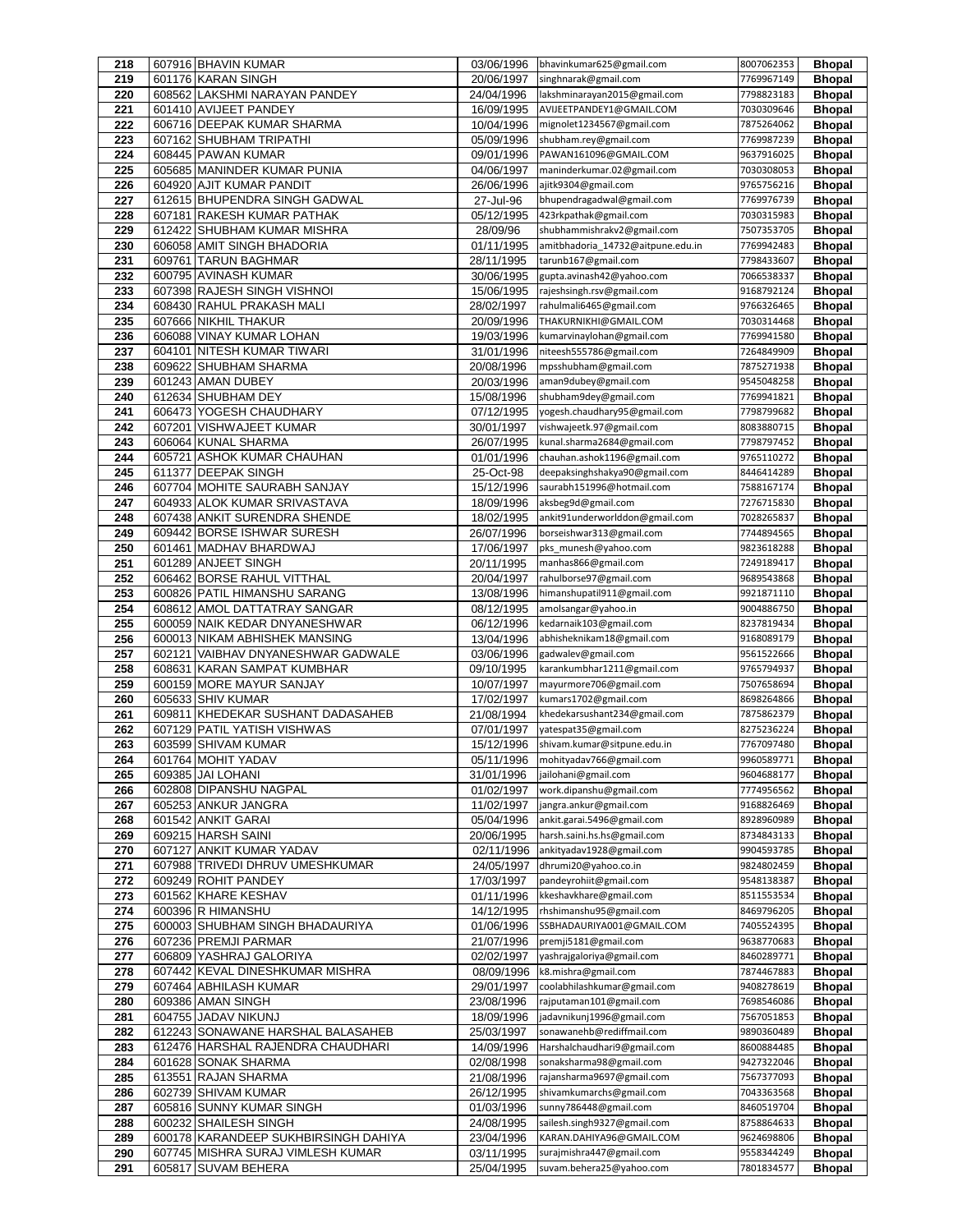| 218        |        | 607916 BHAVIN KUMAR                  | 03/06/1996               | bhavinkumar625@gmail.com          | 8007062353 | <b>Bhopal</b> |
|------------|--------|--------------------------------------|--------------------------|-----------------------------------|------------|---------------|
| 219        |        | 601176 KARAN SINGH                   | 20/06/1997               | singhnarak@gmail.com              | 7769967149 | <b>Bhopal</b> |
| 220        |        | 608562 LAKSHMI NARAYAN PANDEY        | 24/04/1996               | lakshminarayan2015@gmail.com      | 7798823183 | <b>Bhopal</b> |
| 221        |        | 601410 AVIJEET PANDEY                | 16/09/1995               | AVIJEETPANDEY1@GMAIL.COM          | 7030309646 | <b>Bhopal</b> |
| 222        |        | 606716 DEEPAK KUMAR SHARMA           | 10/04/1996               | mignolet1234567@gmail.com         | 7875264062 | <b>Bhopal</b> |
| 223        |        | 607162 SHUBHAM TRIPATHI              | 05/09/1996               | shubham.rey@gmail.com             | 7769987239 | <b>Bhopal</b> |
| 224        |        | 608445 PAWAN KUMAR                   | 09/01/1996               | PAWAN161096@GMAIL.COM             | 9637916025 | <b>Bhopal</b> |
| 225        |        | 605685 MANINDER KUMAR PUNIA          | 04/06/1997               | maninderkumar.02@gmail.com        | 7030308053 | <b>Bhopal</b> |
|            |        |                                      |                          |                                   | 9765756216 |               |
| 226        |        | 604920 AJIT KUMAR PANDIT             | 26/06/1996               | ajitk9304@gmail.com               |            | <b>Bhopal</b> |
| 227        |        | 612615 BHUPENDRA SINGH GADWAL        | 27-Jul-96                | bhupendragadwal@gmail.com         | 7769976739 | <b>Bhopal</b> |
| 228        |        | 607181 RAKESH KUMAR PATHAK           | 05/12/1995               | 423rkpathak@gmail.com             | 7030315983 | <b>Bhopal</b> |
| 229        |        | 612422 SHUBHAM KUMAR MISHRA          | 28/09/96                 | shubhammishrakv2@gmail.com        | 7507353705 | <b>Bhopal</b> |
| 230        |        | 606058 AMIT SINGH BHADORIA           | 01/11/1995               | amitbhadoria_14732@aitpune.edu.in | 7769942483 | <b>Bhopal</b> |
| 231        | 609761 | <b>TARUN BAGHMAR</b>                 | 28/11/1995               | tarunb167@gmail.com               | 7798433607 | <b>Bhopal</b> |
| 232        |        | 600795 AVINASH KUMAR                 | 30/06/1995               | gupta.avinash42@yahoo.com         | 7066538337 | <b>Bhopal</b> |
| 233        |        | 607398 RAJESH SINGH VISHNOI          | 15/06/1995               | rajeshsingh.rsv@gmail.com         | 9168792124 | <b>Bhopal</b> |
| 234        |        | 608430 RAHUL PRAKASH MALI            | 28/02/1997               | rahulmali6465@gmail.com           | 9766326465 | <b>Bhopal</b> |
| 235        |        | 607666 NIKHIL THAKUR                 | 20/09/1996               | THAKURNIKHI@GMAIL.COM             | 7030314468 | <b>Bhopal</b> |
| 236        |        | 606088 VINAY KUMAR LOHAN             | 19/03/1996               | kumarvinaylohan@gmail.com         | 7769941580 | <b>Bhopal</b> |
| 237        |        | 604101 NITESH KUMAR TIWARI           | 31/01/1996               | niteesh555786@gmail.com           | 7264849909 | <b>Bhopal</b> |
| 238        |        | 609622 SHUBHAM SHARMA                | 20/08/1996               | mpsshubham@gmail.com              | 7875271938 | <b>Bhopal</b> |
| 239        |        | 601243 AMAN DUBEY                    | 20/03/1996               | aman9dubey@gmail.com              | 9545048258 | <b>Bhopal</b> |
| 240        |        | 612634 SHUBHAM DEY                   | 15/08/1996               | shubham9dey@gmail.com             | 7769941821 | <b>Bhopal</b> |
| 241        |        | 606473 YOGESH CHAUDHARY              | 07/12/1995               | yogesh.chaudhary95@gmail.com      | 7798799682 | <b>Bhopal</b> |
| 242        | 607201 | <b>VISHWAJEET KUMAR</b>              | 30/01/1997               | vishwajeetk.97@gmail.com          | 8083880715 | <b>Bhopal</b> |
| 243        |        | 606064 KUNAL SHARMA                  | 26/07/1995               | kunal.sharma2684@gmail.com        | 7798797452 | <b>Bhopal</b> |
| 244        |        | 605721 ASHOK KUMAR CHAUHAN           | 01/01/1996               | chauhan.ashok1196@gmail.com       | 9765110272 | <b>Bhopal</b> |
| 245        |        | 611377 DEEPAK SINGH                  | 25-Oct-98                | deepaksinghshakya90@gmail.com     | 8446414289 | <b>Bhopal</b> |
| 246        |        | 607704 MOHITE SAURABH SANJAY         | 15/12/1996               | saurabh151996@hotmail.com         | 7588167174 | <b>Bhopal</b> |
| 247        |        | 604933 ALOK KUMAR SRIVASTAVA         | 18/09/1996               |                                   | 7276715830 | <b>Bhopal</b> |
|            |        | 607438 ANKIT SURENDRA SHENDE         |                          | aksbeg9d@gmail.com                |            |               |
| 248        |        |                                      | 18/02/1995               | ankit91underworlddon@gmail.com    | 7028265837 | <b>Bhopal</b> |
| 249        |        | 609442 BORSE ISHWAR SURESH           | 26/07/1996               | borseishwar313@gmail.com          | 7744894565 | <b>Bhopal</b> |
| 250        |        | 601461 MADHAV BHARDWAJ               | 17/06/1997               | pks munesh@yahoo.com              | 9823618288 | <b>Bhopal</b> |
| 251        |        | 601289 ANJEET SINGH                  | 20/11/1995               | manhas866@gmail.com               | 7249189417 | <b>Bhopal</b> |
| 252        |        | 606462 BORSE RAHUL VITTHAL           | 20/04/1997               | rahulborse97@gmail.com            | 9689543868 | <b>Bhopal</b> |
| 253        |        | 600826 PATIL HIMANSHU SARANG         | 13/08/1996               | himanshupatil911@gmail.com        | 9921871110 | <b>Bhopal</b> |
| 254        |        | 608612 AMOL DATTATRAY SANGAR         | 08/12/1995               | amolsangar@yahoo.in               | 9004886750 | <b>Bhopal</b> |
| 255        |        | 600059 NAIK KEDAR DNYANESHWAR        | 06/12/1996               | kedarnaik103@gmail.com            | 8237819434 | <b>Bhopal</b> |
| 256        |        | 600013 NIKAM ABHISHEK MANSING        | 13/04/1996               | abhisheknikam18@gmail.com         | 9168089179 | <b>Bhopal</b> |
| 257        |        | 602121 VAIBHAV DNYANESHWAR GADWALE   | 03/06/1996               | gadwalev@gmail.com                | 9561522666 | <b>Bhopal</b> |
| 258        |        | 608631 KARAN SAMPAT KUMBHAR          | 09/10/1995               | karankumbhar1211@gmail.com        | 9765794937 | <b>Bhopal</b> |
| 259        |        | 600159 MORE MAYUR SANJAY             | 10/07/1997               | mayurmore706@gmail.com            | 7507658694 | <b>Bhopal</b> |
| 260        |        | 605633 SHIV KUMAR                    | 17/02/1997               | kumars1702@gmail.com              | 8698264866 | <b>Bhopal</b> |
| 261        |        | 609811 KHEDEKAR SUSHANT DADASAHEB    | 21/08/1994               | khedekarsushant234@gmail.com      | 7875862379 | <b>Bhopal</b> |
| 262        |        | 607129 PATIL YATISH VISHWAS          | 07/01/1997               | yatespat35@gmail.com              | 8275236224 | <b>Bhopal</b> |
| 263        |        | 603599 SHIVAM KUMAR                  | 15/12/1996               | shivam.kumar@sitpune.edu.in       | 7767097480 | <b>Bhopal</b> |
| 264        |        | 601764 MOHIT YADAV                   | 05/11/1996               | mohityadav766@gmail.com           | 9960589771 | <b>Bhopal</b> |
| 265        |        | 609385 JAI LOHANI                    | 31/01/1996               | jailohani@gmail.com               | 9604688177 | <b>Bhopal</b> |
| 266        |        | 602808 DIPANSHU NAGPAL               | 01/02/1997               | work.dipanshu@gmail.com           | 7774956562 | <b>Bhopal</b> |
| 267        |        | 605253 ANKUR JANGRA                  | 11/02/1997               | jangra.ankur@gmail.com            | 9168826469 | <b>Bhopal</b> |
| 268        |        | 601542 ANKIT GARAI                   | 05/04/1996               | ankit.garai.5496@gmail.com        | 8928960989 | <b>Bhopal</b> |
| 269        |        | 609215 HARSH SAINI                   | 20/06/1995               | harsh.saini.hs.hs@gmail.com       | 8734843133 | <b>Bhopal</b> |
| 270        |        | 607127 ANKIT KUMAR YADAV             | 02/11/1996               | ankityadav1928@gmail.com          | 9904593785 | <b>Bhopal</b> |
| 271        |        | 607988 TRIVEDI DHRUV UMESHKUMAR      | 24/05/1997               | dhrumi20@yahoo.co.in              | 9824802459 | <b>Bhopal</b> |
| 272        |        | 609249 ROHIT PANDEY                  | 17/03/1997               | pandeyrohiit@gmail.com            | 9548138387 | <b>Bhopal</b> |
| 273        |        | 601562 KHARE KESHAV                  | 01/11/1996               | kkeshavkhare@gmail.com            | 8511553534 | <b>Bhopal</b> |
| 274        |        | 600396 R HIMANSHU                    | 14/12/1995               | rhshimanshu95@gmail.com           | 8469796205 | <b>Bhopal</b> |
| 275        |        | 600003 SHUBHAM SINGH BHADAURIYA      | 01/06/1996               | SSBHADAURIYA001@GMAIL.COM         | 7405524395 | <b>Bhopal</b> |
| 276        |        | 607236 PREMJI PARMAR                 | 21/07/1996               | premji5181@gmail.com              | 9638770683 | <b>Bhopal</b> |
| 277        |        | 606809 YASHRAJ GALORIYA              | 02/02/1997               | yashrajgaloriya@gmail.com         | 8460289771 | <b>Bhopal</b> |
| 278        |        | 607442 KEVAL DINESHKUMAR MISHRA      | 08/09/1996               | k8.mishra@gmail.com               | 7874467883 | <b>Bhopal</b> |
| 279        |        | 607464 ABHILASH KUMAR                | 29/01/1997               | coolabhilashkumar@gmail.com       | 9408278619 | <b>Bhopal</b> |
| 280        |        | 609386 AMAN SINGH                    | 23/08/1996               | rajputaman101@gmail.com           | 7698546086 | <b>Bhopal</b> |
| 281        |        | 604755 JADAV NIKUNJ                  | 18/09/1996               | jadavnikunj1996@gmail.com         | 7567051853 | <b>Bhopal</b> |
|            |        | 612243 SONAWANE HARSHAL BALASAHEB    |                          | sonawanehb@rediffmail.com         | 9890360489 |               |
| 282<br>283 |        | 612476 HARSHAL RAJENDRA CHAUDHARI    | 25/03/1997<br>14/09/1996 | Harshalchaudhari9@gmail.com       | 8600884485 | <b>Bhopal</b> |
| 284        |        | 601628 SONAK SHARMA                  | 02/08/1998               | sonaksharma98@gmail.com           | 9427322046 | <b>Bhopal</b> |
|            |        |                                      |                          |                                   |            | <b>Bhopal</b> |
| 285        | 613551 | <b>RAJAN SHARMA</b>                  | 21/08/1996               | rajansharma9697@gmail.com         | 7567377093 | <b>Bhopal</b> |
| 286        |        | 602739 SHIVAM KUMAR                  | 26/12/1995               | shivamkumarchs@gmail.com          | 7043363568 | <b>Bhopal</b> |
| 287        |        | 605816 SUNNY KUMAR SINGH             | 01/03/1996               | sunny786448@gmail.com             | 8460519704 | <b>Bhopal</b> |
| 288        |        | 600232 SHAILESH SINGH                | 24/08/1995               | sailesh.singh9327@gmail.com       | 8758864633 | <b>Bhopal</b> |
| 289        |        | 600178 KARANDEEP SUKHBIRSINGH DAHIYA | 23/04/1996               | KARAN.DAHIYA96@GMAIL.COM          | 9624698806 | <b>Bhopal</b> |
| 290        |        | 607745 MISHRA SURAJ VIMLESH KUMAR    | 03/11/1995               | surajmishra447@gmail.com          | 9558344249 | <b>Bhopal</b> |
| 291        |        | 605817 SUVAM BEHERA                  | 25/04/1995               | suvam.behera25@yahoo.com          | 7801834577 | <b>Bhopal</b> |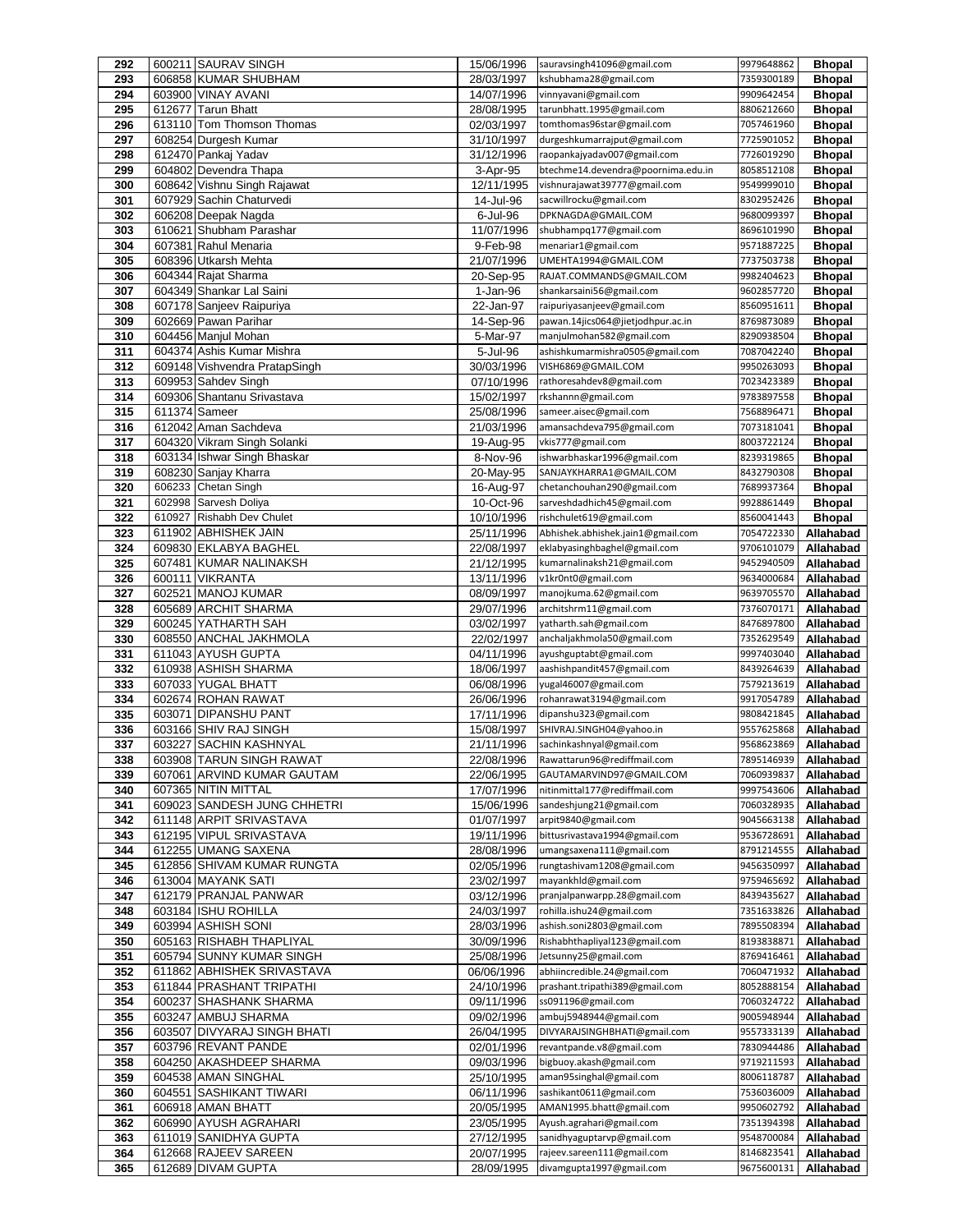| 292 | 600211 SAURAV SINGH           | 15/06/1996 | sauravsingh41096@gmail.com         | 9979648862 | <b>Bhopal</b> |
|-----|-------------------------------|------------|------------------------------------|------------|---------------|
| 293 | 606858 KUMAR SHUBHAM          | 28/03/1997 | kshubhama28@gmail.com              | 7359300189 | <b>Bhopal</b> |
| 294 | 603900 VINAY AVANI            | 14/07/1996 | vinnyavani@gmail.com               | 9909642454 | <b>Bhopal</b> |
| 295 | 612677 Tarun Bhatt            | 28/08/1995 | tarunbhatt.1995@gmail.com          | 8806212660 | <b>Bhopal</b> |
| 296 | 613110 Tom Thomson Thomas     | 02/03/1997 | tomthomas96star@gmail.com          | 7057461960 | <b>Bhopal</b> |
| 297 | 608254 Durgesh Kumar          | 31/10/1997 | durgeshkumarrajput@gmail.com       | 7725901052 | <b>Bhopal</b> |
| 298 | 612470 Pankaj Yadav           | 31/12/1996 | raopankajyadav007@gmail.com        | 7726019290 | <b>Bhopal</b> |
| 299 | 604802 Devendra Thapa         | 3-Apr-95   | btechme14.devendra@poornima.edu.in | 8058512108 | <b>Bhopal</b> |
| 300 | 608642 Vishnu Singh Rajawat   | 12/11/1995 | vishnurajawat39777@gmail.com       | 9549999010 | <b>Bhopal</b> |
| 301 | 607929 Sachin Chaturvedi      | 14-Jul-96  | sacwillrocku@gmail.com             | 8302952426 | <b>Bhopal</b> |
| 302 | 606208 Deepak Nagda           | 6-Jul-96   | DPKNAGDA@GMAIL.COM                 | 9680099397 | <b>Bhopal</b> |
| 303 | 610621 Shubham Parashar       | 11/07/1996 | shubhampq177@gmail.com             | 8696101990 | <b>Bhopal</b> |
| 304 | 607381 Rahul Menaria          | 9-Feb-98   | menariar1@gmail.com                | 9571887225 | <b>Bhopal</b> |
| 305 | 608396 Utkarsh Mehta          | 21/07/1996 | UMEHTA1994@GMAIL.COM               | 7737503738 | <b>Bhopal</b> |
| 306 | 604344 Rajat Sharma           | 20-Sep-95  | RAJAT.COMMANDS@GMAIL.COM           | 9982404623 | <b>Bhopal</b> |
| 307 | 604349 Shankar Lal Saini      | 1-Jan-96   | shankarsaini56@gmail.com           | 9602857720 | <b>Bhopal</b> |
| 308 | 607178 Sanjeev Raipuriya      | 22-Jan-97  | raipuriyasanjeev@gmail.com         | 8560951611 | <b>Bhopal</b> |
| 309 | 602669 Pawan Parihar          | 14-Sep-96  | pawan.14jics064@jietjodhpur.ac.in  | 8769873089 | <b>Bhopal</b> |
| 310 | 604456 Manjul Mohan           | 5-Mar-97   | manjulmohan582@gmail.com           | 8290938504 | <b>Bhopal</b> |
| 311 | 604374 Ashis Kumar Mishra     | 5-Jul-96   | ashishkumarmishra0505@gmail.com    | 7087042240 | <b>Bhopal</b> |
| 312 | 609148 Vishvendra PratapSingh | 30/03/1996 | VISH6869@GMAIL.COM                 | 9950263093 | <b>Bhopal</b> |
| 313 | 609953 Sahdev Singh           | 07/10/1996 | rathoresahdev8@gmail.com           | 7023423389 | <b>Bhopal</b> |
| 314 | 609306 Shantanu Srivastava    | 15/02/1997 | rkshannn@gmail.com                 | 9783897558 | <b>Bhopal</b> |
| 315 | 611374 Sameer                 | 25/08/1996 | sameer.aisec@gmail.com             | 7568896471 | <b>Bhopal</b> |
| 316 | 612042 Aman Sachdeva          | 21/03/1996 | amansachdeva795@gmail.com          | 7073181041 | <b>Bhopal</b> |
| 317 | 604320 Vikram Singh Solanki   | 19-Aug-95  | vkis777@gmail.com                  | 8003722124 | <b>Bhopal</b> |
| 318 | 603134 Ishwar Singh Bhaskar   | 8-Nov-96   | ishwarbhaskar1996@gmail.com        | 8239319865 | <b>Bhopal</b> |
| 319 | 608230 Sanjay Kharra          | 20-May-95  | SANJAYKHARRA1@GMAIL.COM            | 8432790308 | <b>Bhopal</b> |
| 320 | 606233 Chetan Singh           | 16-Aug-97  | chetanchouhan290@gmail.com         | 7689937364 | <b>Bhopal</b> |
| 321 | 602998 Sarvesh Doliya         | 10-Oct-96  | sarveshdadhich45@gmail.com         | 9928861449 | <b>Bhopal</b> |
| 322 | 610927 Rishabh Dev Chulet     | 10/10/1996 | rishchulet619@gmail.com            | 8560041443 | <b>Bhopal</b> |
| 323 | 611902 ABHISHEK JAIN          | 25/11/1996 | Abhishek.abhishek.jain1@gmail.com  | 7054722330 | Allahabad     |
| 324 | 609830 EKLABYA BAGHEL         | 22/08/1997 | eklabyasinghbaghel@gmail.com       | 9706101079 | Allahabad     |
| 325 | 607481 KUMAR NALINAKSH        | 21/12/1995 | kumarnalinaksh21@gmail.com         | 9452940509 | Allahabad     |
| 326 | 600111 VIKRANTA               | 13/11/1996 | v1kr0nt0@gmail.com                 | 9634000684 | Allahabad     |
| 327 | 602521 MANOJ KUMAR            | 08/09/1997 | manojkuma.62@gmail.com             | 9639705570 | Allahabad     |
| 328 | 605689 ARCHIT SHARMA          | 29/07/1996 | architshrm11@gmail.com             | 7376070171 | Allahabad     |
| 329 | 600245 YATHARTH SAH           | 03/02/1997 | yatharth.sah@gmail.com             | 8476897800 | Allahabad     |
| 330 | 608550 ANCHAL JAKHMOLA        | 22/02/1997 | anchaljakhmola50@gmail.com         | 7352629549 | Allahabad     |
| 331 | 611043 AYUSH GUPTA            | 04/11/1996 | ayushguptabt@gmail.com             | 9997403040 | Allahabad     |
| 332 | 610938 ASHISH SHARMA          | 18/06/1997 | aashishpandit457@gmail.com         | 8439264639 | Allahabad     |
| 333 | 607033 YUGAL BHATT            | 06/08/1996 | yugal46007@gmail.com               | 7579213619 | Allahabad     |
| 334 | 602674 ROHAN RAWAT            | 26/06/1996 | rohanrawat3194@gmail.com           | 9917054789 | Allahabad     |
| 335 | 603071 DIPANSHU PANT          | 17/11/1996 | dipanshu323@gmail.com              | 9808421845 | Allahabad     |
| 336 | 603166 SHIV RAJ SINGH         | 15/08/1997 | SHIVRAJ.SINGH04@yahoo.in           | 9557625868 | Allahabad     |
| 337 | 603227 SACHIN KASHNYAL        | 21/11/1996 | sachinkashnyal@gmail.com           | 9568623869 | Allahabad     |
| 338 | 603908  TARUN SINGH RAWAT     | 22/08/1996 | Rawattarun96@rediffmail.com        | 7895146939 | Allahabad     |
| 339 | 607061 ARVIND KUMAR GAUTAM    | 22/06/1995 | GAUTAMARVIND97@GMAIL.COM           | 7060939837 | Allahabad     |
| 340 | 607365 NITIN MITTAL           | 17/07/1996 | nitinmittal177@rediffmail.com      | 9997543606 | Allahabad     |
| 341 | 609023 SANDESH JUNG CHHETRI   | 15/06/1996 | sandeshjung21@gmail.com            | 7060328935 | Allahabad     |
| 342 | 611148 ARPIT SRIVASTAVA       | 01/07/1997 | arpit9840@gmail.com                | 9045663138 | Allahabad     |
| 343 | 612195 VIPUL SRIVASTAVA       | 19/11/1996 | bittusrivastava1994@gmail.com      | 9536728691 | Allahabad     |
| 344 | 612255 UMANG SAXENA           | 28/08/1996 | umangsaxena111@gmail.com           | 8791214555 | Allahabad     |
| 345 | 612856 SHIVAM KUMAR RUNGTA    | 02/05/1996 | rungtashivam1208@gmail.com         | 9456350997 | Allahabad     |
| 346 | 613004 MAYANK SATI            | 23/02/1997 | mayankhld@gmail.com                | 9759465692 | Allahabad     |
| 347 | 612179 PRANJAL PANWAR         | 03/12/1996 | pranjalpanwarpp.28@gmail.com       | 8439435627 | Allahabad     |
| 348 | 603184 ISHU ROHILLA           | 24/03/1997 | rohilla.ishu24@gmail.com           | 7351633826 | Allahabad     |
| 349 | 603994 ASHISH SONI            | 28/03/1996 | ashish.soni2803@gmail.com          | 7895508394 | Allahabad     |
| 350 | 605163 RISHABH THAPLIYAL      | 30/09/1996 | Rishabhthapliyal123@gmail.com      | 8193838871 | Allahabad     |
| 351 | 605794 SUNNY KUMAR SINGH      | 25/08/1996 | Jetsunny25@gmail.com               | 8769416461 | Allahabad     |
| 352 | 611862 ABHISHEK SRIVASTAVA    | 06/06/1996 | abhiincredible.24@gmail.com        | 7060471932 | Allahabad     |
| 353 | 611844 PRASHANT TRIPATHI      | 24/10/1996 | prashant.tripathi389@gmail.com     | 8052888154 | Allahabad     |
| 354 | 600237 SHASHANK SHARMA        | 09/11/1996 | ss091196@gmail.com                 | 7060324722 | Allahabad     |
| 355 | 603247 AMBUJ SHARMA           | 09/02/1996 | ambuj5948944@gmail.com             | 9005948944 | Allahabad     |
| 356 | 603507 DIVYARAJ SINGH BHATI   | 26/04/1995 | DIVYARAJSINGHBHATI@gmail.com       | 9557333139 | Allahabad     |
| 357 | 603796 REVANT PANDE           | 02/01/1996 | revantpande.v8@gmail.com           | 7830944486 | Allahabad     |
| 358 | 604250 AKASHDEEP SHARMA       | 09/03/1996 | bigbuoy.akash@gmail.com            | 9719211593 | Allahabad     |
| 359 | 604538 AMAN SINGHAL           | 25/10/1995 | aman95singhal@gmail.com            | 8006118787 | Allahabad     |
| 360 | 604551 SASHIKANT TIWARI       | 06/11/1996 | sashikant0611@gmail.com            | 7536036009 | Allahabad     |
| 361 | 606918 AMAN BHATT             | 20/05/1995 | AMAN1995.bhatt@gmail.com           | 9950602792 | Allahabad     |
| 362 | 606990 AYUSH AGRAHARI         | 23/05/1995 | Ayush.agrahari@gmail.com           | 7351394398 | Allahabad     |
| 363 | 611019 SANIDHYA GUPTA         | 27/12/1995 | sanidhyaguptarvp@gmail.com         | 9548700084 | Allahabad     |
| 364 | 612668 RAJEEV SAREEN          | 20/07/1995 | rajeev.sareen111@gmail.com         | 8146823541 | Allahabad     |
| 365 | 612689 DIVAM GUPTA            | 28/09/1995 | divamgupta1997@gmail.com           | 9675600131 | Allahabad     |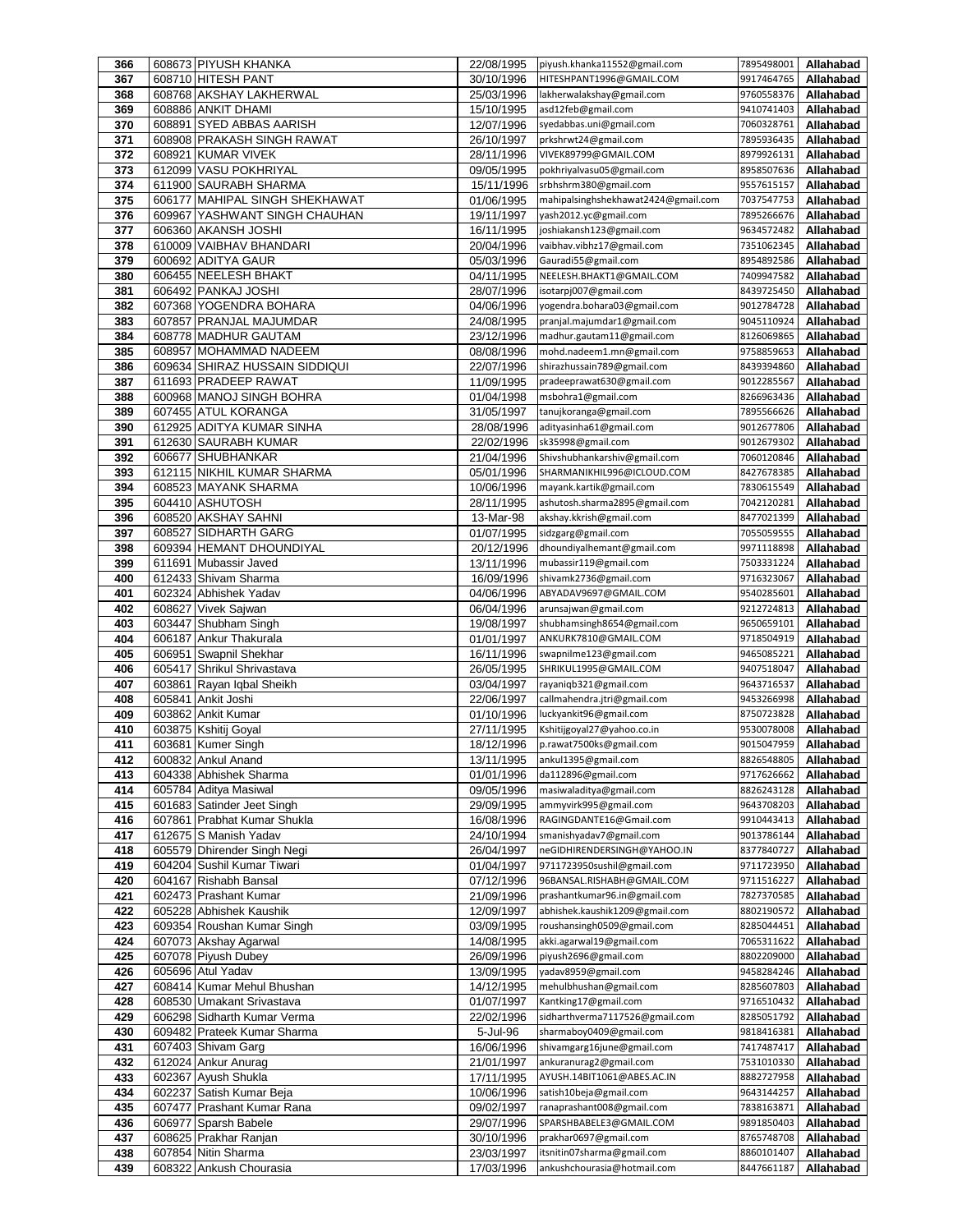| 366        |        | 608673 PIYUSH KHANKA                               | 22/08/1995               | piyush.khanka11552@gmail.com                          | 7895498001               | Allahabad              |
|------------|--------|----------------------------------------------------|--------------------------|-------------------------------------------------------|--------------------------|------------------------|
| 367        |        | 608710 HITESH PANT                                 | 30/10/1996               | HITESHPANT1996@GMAIL.COM                              | 9917464765               | Allahabad              |
| 368        |        | 608768 AKSHAY LAKHERWAL                            | 25/03/1996               | lakherwalakshay@gmail.com                             | 9760558376               | Allahabad              |
| 369        |        | 608886 ANKIT DHAMI                                 | 15/10/1995               | asd12feb@gmail.com                                    | 9410741403               | Allahabad              |
| 370        | 608891 | <b>SYED ABBAS AARISH</b>                           | 12/07/1996               | syedabbas.uni@gmail.com                               | 7060328761               | Allahabad              |
| 371        |        | 608908 PRAKASH SINGH RAWAT                         | 26/10/1997               | prkshrwt24@gmail.com                                  | 7895936435               | Allahabad              |
| 372<br>373 |        | 608921 KUMAR VIVEK<br>612099 VASU POKHRIYAL        | 28/11/1996               | VIVEK89799@GMAIL.COM<br>pokhriyalvasu05@gmail.com     | 8979926131<br>8958507636 | Allahabad              |
| 374        |        | 611900 SAURABH SHARMA                              | 09/05/1995<br>15/11/1996 | srbhshrm380@gmail.com                                 | 9557615157               | Allahabad<br>Allahabad |
| 375        |        | 606177 MAHIPAL SINGH SHEKHAWAT                     | 01/06/1995               | mahipalsinghshekhawat2424@gmail.com                   | 7037547753               | Allahabad              |
| 376        |        | 609967 YASHWANT SINGH CHAUHAN                      | 19/11/1997               | yash2012.yc@gmail.com                                 | 7895266676               | Allahabad              |
| 377        |        | 606360 AKANSH JOSHI                                | 16/11/1995               | joshiakansh123@gmail.com                              | 9634572482               | Allahabad              |
| 378        |        | 610009 VAIBHAV BHANDARI                            | 20/04/1996               | vaibhav.vibhz17@gmail.com                             | 7351062345               | Allahabad              |
| 379        |        | 600692 ADITYA GAUR                                 | 05/03/1996               | Gauradi55@gmail.com                                   | 8954892586               | Allahabad              |
| 380        |        | 606455 NEELESH BHAKT                               | 04/11/1995               | NEELESH.BHAKT1@GMAIL.COM                              | 7409947582               | Allahabad              |
| 381        |        | 606492 PANKAJ JOSHI                                | 28/07/1996               | isotarpj007@gmail.com                                 | 8439725450               | Allahabad              |
| 382        |        | 607368 YOGENDRA BOHARA                             | 04/06/1996               | yogendra.bohara03@gmail.com                           | 9012784728               | Allahabad              |
| 383        |        | 607857 PRANJAL MAJUMDAR                            | 24/08/1995               | pranjal.majumdar1@gmail.com                           | 9045110924               | Allahabad              |
| 384        |        | 608778 MADHUR GAUTAM                               | 23/12/1996               | madhur.gautam11@gmail.com                             | 8126069865               | Allahabad              |
| 385        |        | 608957 MOHAMMAD NADEEM                             | 08/08/1996               | mohd.nadeem1.mn@gmail.com                             | 9758859653               | Allahabad              |
| 386        |        | 609634 SHIRAZ HUSSAIN SIDDIQUI                     | 22/07/1996               | shirazhussain789@gmail.com                            | 8439394860               | Allahabad              |
| 387        |        | 611693 PRADEEP RAWAT                               | 11/09/1995               | pradeeprawat630@gmail.com                             | 9012285567               | Allahabad              |
| 388        |        | 600968 MANOJ SINGH BOHRA                           | 01/04/1998               | msbohra1@gmail.com                                    | 8266963436               | Allahabad              |
| 389        |        | 607455 ATUL KORANGA                                | 31/05/1997               | tanujkoranga@gmail.com                                | 7895566626               | Allahabad              |
| 390        |        | 612925 ADITYA KUMAR SINHA                          | 28/08/1996               | adityasinha61@gmail.com                               | 9012677806               | Allahabad              |
| 391        |        | 612630 SAURABH KUMAR                               | 22/02/1996               | sk35998@gmail.com                                     | 9012679302               | Allahabad              |
| 392        |        | 606677 SHUBHANKAR                                  | 21/04/1996               | Shivshubhankarshiv@gmail.com                          | 7060120846               | Allahabad              |
| 393<br>394 |        | 612115 NIKHIL KUMAR SHARMA<br>608523 MAYANK SHARMA | 05/01/1996<br>10/06/1996 | SHARMANIKHIL996@ICLOUD.COM<br>mayank.kartik@gmail.com | 8427678385               | Allahabad<br>Allahabad |
| 395        |        | 604410 ASHUTOSH                                    | 28/11/1995               | ashutosh.sharma2895@gmail.com                         | 7830615549<br>7042120281 | Allahabad              |
| 396        |        | 608520 AKSHAY SAHNI                                | 13-Mar-98                | akshay.kkrish@gmail.com                               | 8477021399               | Allahabad              |
| 397        |        | 608527 SIDHARTH GARG                               | 01/07/1995               | sidzgarg@gmail.com                                    | 7055059555               | Allahabad              |
| 398        |        | 609394 HEMANT DHOUNDIYAL                           | 20/12/1996               | dhoundiyalhemant@gmail.com                            | 9971118898               | Allahabad              |
| 399        |        | 611691 Mubassir Javed                              | 13/11/1996               | mubassir119@gmail.com                                 | 7503331224               | Allahabad              |
| 400        |        | 612433 Shivam Sharma                               | 16/09/1996               | shivamk2736@gmail.com                                 | 9716323067               | Allahabad              |
| 401        |        | 602324 Abhishek Yadav                              | 04/06/1996               | ABYADAV9697@GMAIL.COM                                 | 9540285601               | Allahabad              |
| 402        |        | 608627 Vivek Sajwan                                | 06/04/1996               | arunsajwan@gmail.com                                  | 9212724813               | Allahabad              |
| 403        | 603447 | Shubham Singh                                      | 19/08/1997               | shubhamsingh8654@gmail.com                            | 9650659101               | Allahabad              |
| 404        |        | 606187 Ankur Thakurala                             | 01/01/1997               | ANKURK7810@GMAIL.COM                                  | 9718504919               | Allahabad              |
| 405        | 606951 | Swapnil Shekhar                                    | 16/11/1996               | swapnilme123@gmail.com                                | 9465085221               | Allahabad              |
| 406        | 605417 | Shrikul Shrivastava                                | 26/05/1995               | SHRIKUL1995@GMAIL.COM                                 | 9407518047               | Allahabad              |
| 407        | 603861 | Rayan Iqbal Sheikh                                 | 03/04/1997               | rayaniqb321@gmail.com                                 | 9643716537               | Allahabad              |
| 408        | 605841 | Ankit Joshi                                        | 22/06/1997               | callmahendra.jtri@gmail.com                           | 9453266998               | Allahabad              |
| 409        |        | 603862 Ankit Kumar                                 | 01/10/1996               | luckyankit96@gmail.com                                | 8750723828               | Allahabad              |
| 410        |        | 603875 Kshitij Goyal                               | 27/11/1995               | Kshitijgoyal27@yahoo.co.in                            | 9530078008               | Allahabad              |
| 411        |        | 603681 Kumer Singh                                 | 18/12/1996               | p.rawat7500ks@gmail.com                               | 9015047959               | Allahabad              |
| 412        |        | 600832 Ankul Anand                                 | 13/11/1995               | ankul1395@gmail.com                                   | 8826548805<br>9717626662 | Allahabad              |
| 413        |        | 604338 Abhishek Sharma<br>605784 Aditya Masiwal    | 01/01/1996               | da112896@gmail.com<br>masiwaladitya@gmail.com         | 8826243128               | Allahabad              |
| 414<br>415 |        | 601683 Satinder Jeet Singh                         | 09/05/1996<br>29/09/1995 | ammyvirk995@gmail.com                                 | 9643708203               | Allahabad<br>Allahabad |
| 416        |        | 607861 Prabhat Kumar Shukla                        | 16/08/1996               | RAGINGDANTE16@Gmail.com                               | 9910443413               | Allahabad              |
| 417        |        | 612675 S Manish Yadav                              | 24/10/1994               | smanishyadav7@gmail.com                               | 9013786144               | Allahabad              |
| 418        |        | 605579 Dhirender Singh Negi                        | 26/04/1997               | neGIDHIRENDERSINGH@YAHOO.IN                           | 8377840727               | Allahabad              |
| 419        |        | 604204 Sushil Kumar Tiwari                         | 01/04/1997               | 9711723950sushil@gmail.com                            | 9711723950               | Allahabad              |
| 420        |        | 604167 Rishabh Bansal                              | 07/12/1996               | 96BANSAL.RISHABH@GMAIL.COM                            | 9711516227               | Allahabad              |
| 421        |        | 602473 Prashant Kumar                              | 21/09/1996               | prashantkumar96.in@gmail.com                          | 7827370585               | Allahabad              |
| 422        |        | 605228 Abhishek Kaushik                            | 12/09/1997               | abhishek.kaushik1209@gmail.com                        | 8802190572               | Allahabad              |
| 423        |        | 609354 Roushan Kumar Singh                         | 03/09/1995               | roushansingh0509@gmail.com                            | 8285044451               | Allahabad              |
| 424        |        | 607073 Akshay Agarwal                              | 14/08/1995               | akki.agarwal19@gmail.com                              | 7065311622               | Allahabad              |
| 425        |        | 607078 Piyush Dubey                                | 26/09/1996               | piyush2696@gmail.com                                  | 8802209000               | Allahabad              |
| 426        |        | 605696 Atul Yadav                                  | 13/09/1995               | yadav8959@gmail.com                                   | 9458284246               | Allahabad              |
| 427        |        | 608414 Kumar Mehul Bhushan                         | 14/12/1995               | mehulbhushan@gmail.com                                | 8285607803               | Allahabad              |
| 428        |        | 608530 Umakant Srivastava                          | 01/07/1997               | Kantking17@gmail.com                                  | 9716510432               | Allahabad              |
| 429        |        | 606298 Sidharth Kumar Verma                        | 22/02/1996               | sidharthverma7117526@gmail.com                        | 8285051792               | Allahabad              |
| 430        |        | 609482 Prateek Kumar Sharma                        | 5-Jul-96                 | sharmaboy0409@gmail.com                               | 9818416381               | Allahabad              |
| 431        |        | 607403 Shivam Garg                                 | 16/06/1996               | shivamgarg16june@gmail.com                            | 7417487417               | Allahabad              |
| 432        |        | 612024 Ankur Anurag                                | 21/01/1997               | ankuranurag2@gmail.com<br>AYUSH.14BIT1061@ABES.AC.IN  | 7531010330               | Allahabad              |
| 433<br>434 |        | 602367 Ayush Shukla<br>602237 Satish Kumar Beja    | 17/11/1995<br>10/06/1996 | satish10beja@gmail.com                                | 8882727958<br>9643144257 | Allahabad<br>Allahabad |
| 435        |        | 607477 Prashant Kumar Rana                         | 09/02/1997               | ranaprashant008@gmail.com                             | 7838163871               | Allahabad              |
| 436        | 606977 | Sparsh Babele                                      | 29/07/1996               | SPARSHBABELE3@GMAIL.COM                               | 9891850403               | Allahabad              |
| 437        |        | 608625 Prakhar Ranjan                              | 30/10/1996               | prakhar0697@gmail.com                                 | 8765748708               | Allahabad              |
| 438        |        | 607854 Nitin Sharma                                | 23/03/1997               | itsnitin07sharma@gmail.com                            | 8860101407               | Allahabad              |
| 439        |        | 608322 Ankush Chourasia                            | 17/03/1996               | ankushchourasia@hotmail.com                           | 8447661187               | Allahabad              |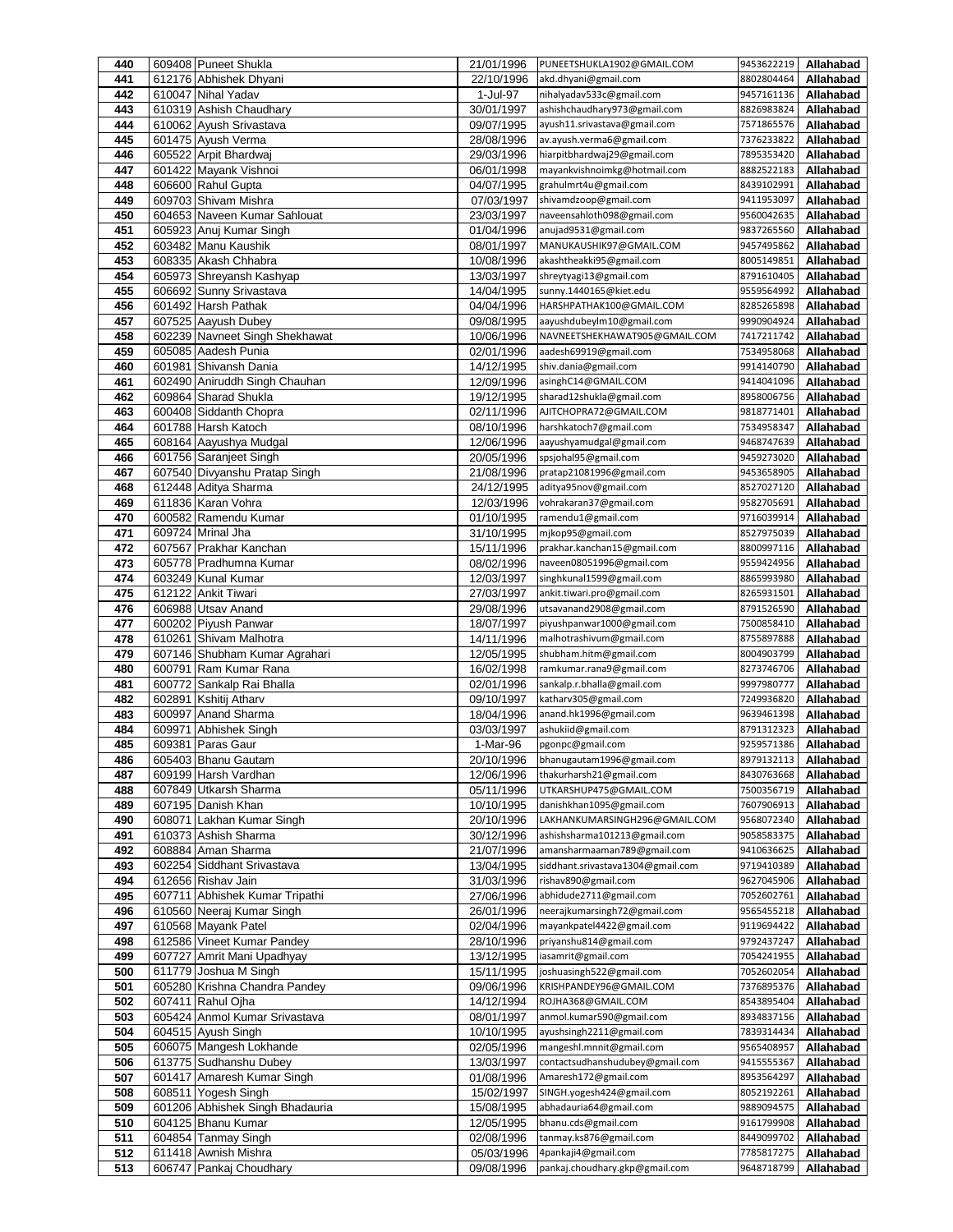| 440        |        | 609408 Puneet Shukla                                 | 21/01/1996               | PUNEETSHUKLA1902@GMAIL.COM                           | 9453622219               | Allahabad              |
|------------|--------|------------------------------------------------------|--------------------------|------------------------------------------------------|--------------------------|------------------------|
| 441        |        | 612176 Abhishek Dhyani                               | 22/10/1996               | akd.dhyani@gmail.com                                 | 8802804464               | Allahabad              |
| 442        |        | 610047 Nihal Yadav                                   | 1-Jul-97                 | nihalyadav533c@gmail.com                             | 9457161136               | Allahabad              |
| 443        |        | 610319 Ashish Chaudhary                              | 30/01/1997               | ashishchaudhary973@gmail.com                         | 8826983824               | Allahabad              |
| 444        |        | 610062 Ayush Srivastava                              | 09/07/1995               | ayush11.srivastava@gmail.com                         | 7571865576               | Allahabad              |
| 445        |        | 601475 Ayush Verma                                   | 28/08/1996               | av.ayush.verma6@gmail.com                            | 7376233822               | Allahabad              |
| 446        |        | 605522 Arpit Bhardwai                                | 29/03/1996               | hiarpitbhardwaj29@gmail.com                          | 7895353420               | Allahabad              |
| 447        |        | 601422 Mayank Vishnoi                                | 06/01/1998               | mayankvishnoimkg@hotmail.com                         | 8882522183               | Allahabad              |
| 448        |        | 606600 Rahul Gupta                                   | 04/07/1995               | grahulmrt4u@gmail.com                                | 8439102991               | Allahabad              |
| 449<br>450 |        | 609703 Shivam Mishra<br>604653 Naveen Kumar Sahlouat | 07/03/1997               | shivamdzoop@gmail.com<br>naveensahloth098@gmail.com  | 9411953097<br>9560042635 | Allahabad<br>Allahabad |
| 451        |        | 605923 Anuj Kumar Singh                              | 23/03/1997<br>01/04/1996 | anujad9531@gmail.com                                 | 9837265560               | Allahabad              |
| 452        |        | 603482 Manu Kaushik                                  | 08/01/1997               | MANUKAUSHIK97@GMAIL.COM                              | 9457495862               | Allahabad              |
| 453        |        | 608335 Akash Chhabra                                 | 10/08/1996               | akashtheakki95@gmail.com                             | 8005149851               | Allahabad              |
| 454        |        | 605973 Shreyansh Kashyap                             | 13/03/1997               | shreytyagi13@gmail.com                               | 8791610405               | Allahabad              |
| 455        |        | 606692 Sunny Srivastava                              | 14/04/1995               | sunny.1440165@kiet.edu                               | 9559564992               | Allahabad              |
| 456        |        | 601492 Harsh Pathak                                  | 04/04/1996               | HARSHPATHAK100@GMAIL.COM                             | 8285265898               | Allahabad              |
| 457        |        | 607525 Aayush Dubey                                  | 09/08/1995               | aayushdubeylm10@gmail.com                            | 9990904924               | Allahabad              |
| 458        |        | 602239 Navneet Singh Shekhawat                       | 10/06/1996               | NAVNEETSHEKHAWAT905@GMAIL.COM                        | 7417211742               | Allahabad              |
| 459        |        | 605085 Aadesh Punia                                  | 02/01/1996               | aadesh69919@gmail.com                                | 7534958068               | Allahabad              |
| 460        |        | 601981 Shivansh Dania                                | 14/12/1995               | shiv.dania@gmail.com                                 | 9914140790               | Allahabad              |
| 461        |        | 602490 Aniruddh Singh Chauhan                        | 12/09/1996               | asinghC14@GMAIL.COM                                  | 9414041096               | Allahabad              |
| 462        |        | 609864 Sharad Shukla                                 | 19/12/1995               | sharad12shukla@gmail.com                             | 8958006756               | Allahabad              |
| 463        |        | 600408 Siddanth Chopra                               | 02/11/1996               | AJITCHOPRA72@GMAIL.COM                               | 9818771401               | Allahabad              |
| 464        |        | 601788 Harsh Katoch                                  | 08/10/1996               | harshkatoch7@gmail.com                               | 7534958347               | Allahabad              |
| 465        |        | 608164 Aayushya Mudgal                               | 12/06/1996               | aayushyamudgal@gmail.com                             | 9468747639               | Allahabad              |
| 466        |        | 601756 Saranjeet Singh                               | 20/05/1996               | spsjohal95@gmail.com                                 | 9459273020               | Allahabad              |
| 467        |        | 607540 Divyanshu Pratap Singh                        | 21/08/1996               | pratap21081996@gmail.com                             | 9453658905               | Allahabad              |
| 468        |        | 612448 Aditya Sharma                                 | 24/12/1995               | aditya95nov@gmail.com                                | 8527027120               | Allahabad              |
| 469        |        | 611836 Karan Vohra                                   | 12/03/1996               | vohrakaran37@gmail.com                               | 9582705691               | Allahabad              |
| 470        |        | 600582 Ramendu Kumar                                 | 01/10/1995               | ramendu1@gmail.com                                   | 9716039914               | Allahabad              |
| 471        |        | 609724 Mrinal Jha                                    | 31/10/1995               | mjkop95@gmail.com                                    | 8527975039               | Allahabad              |
| 472        |        | 607567 Prakhar Kanchan                               | 15/11/1996               | prakhar.kanchan15@gmail.com                          | 8800997116               | Allahabad              |
| 473<br>474 |        | 605778 Pradhumna Kumar                               | 08/02/1996               | naveen08051996@gmail.com<br>singhkunal1599@gmail.com | 9559424956<br>8865993980 | Allahabad              |
| 475        |        | 603249 Kunal Kumar<br>612122 Ankit Tiwari            | 12/03/1997<br>27/03/1997 | ankit.tiwari.pro@gmail.com                           | 8265931501               | Allahabad<br>Allahabad |
| 476        |        | 606988 Utsav Anand                                   | 29/08/1996               | utsavanand2908@gmail.com                             | 8791526590               | Allahabad              |
| 477        |        | 600202 Piyush Panwar                                 | 18/07/1997               | piyushpanwar1000@gmail.com                           | 7500858410               | Allahabad              |
| 478        |        | 610261 Shivam Malhotra                               | 14/11/1996               | malhotrashivum@gmail.com                             | 8755897888               | Allahabad              |
| 479        |        | 607146 Shubham Kumar Agrahari                        | 12/05/1995               | shubham.hitm@gmail.com                               | 8004903799               | Allahabad              |
| 480        | 600791 | Ram Kumar Rana                                       | 16/02/1998               | ramkumar.rana9@gmail.com                             | 8273746706               | Allahabad              |
| 481        | 600772 | Sankalp Rai Bhalla                                   | 02/01/1996               | sankalp.r.bhalla@gmail.com                           | 9997980777               | Allahabad              |
| 482        |        | 602891 Kshitij Atharv                                | 09/10/1997               | katharv305@gmail.com                                 | 7249936820               | Allahabad              |
| 483        | 600997 | Anand Sharma                                         | 18/04/1996               | anand.hk1996@gmail.com                               | 9639461398               | Allahabad              |
| 484        | 609971 | Abhishek Singh                                       | 03/03/1997               | ashukiid@gmail.com                                   | 8791312323               | Allahabad              |
| 485        |        | 609381 Paras Gaur                                    | 1-Mar-96                 | pgonpc@gmail.com                                     | 9259571386               | Allahabad              |
| 486        |        | 605403 Bhanu Gautam                                  | 20/10/1996               | bhanugautam1996@gmail.com                            | 8979132113               | Allahabad              |
| 487        |        | 609199 Harsh Vardhan                                 | 12/06/1996               | thakurharsh21@gmail.com                              | 8430763668               | Allahabad              |
| 488        |        | 607849 Utkarsh Sharma                                | 05/11/1996               | UTKARSHUP475@GMAIL.COM                               | 7500356719               | Allahabad              |
| 489        |        | 607195 Danish Khan                                   | 10/10/1995               | danishkhan1095@gmail.com                             | 7607906913               | Allahabad              |
| 490        |        | 608071 Lakhan Kumar Singh                            | 20/10/1996               | LAKHANKUMARSINGH296@GMAIL.COM                        | 9568072340               | Allahabad              |
| 491        |        | 610373 Ashish Sharma                                 | 30/12/1996               | ashishsharma101213@gmail.com                         | 9058583375               | Allahabad              |
| 492        |        | 608884 Aman Sharma                                   | 21/07/1996               | amansharmaaman789@gmail.com                          | 9410636625               | Allahabad              |
| 493        |        | 602254 Siddhant Srivastava<br>612656 Rishav Jain     | 13/04/1995               | siddhant.srivastava1304@gmail.com                    | 9719410389               | Allahabad              |
| 494<br>495 |        | 607711 Abhishek Kumar Tripathi                       | 31/03/1996<br>27/06/1996 | rishav890@gmail.com<br>abhidude2711@gmail.com        | 9627045906<br>7052602761 | Allahabad<br>Allahabad |
| 496        |        | 610560 Neeraj Kumar Singh                            | 26/01/1996               | neerajkumarsingh72@gmail.com                         | 9565455218               | Allahabad              |
| 497        |        | 610568 Mayank Patel                                  | 02/04/1996               | mayankpatel4422@gmail.com                            | 9119694422               | Allahabad              |
| 498        |        | 612586 Vineet Kumar Pandey                           | 28/10/1996               | priyanshu814@gmail.com                               | 9792437247               | Allahabad              |
| 499        |        | 607727 Amrit Mani Upadhyay                           | 13/12/1995               | iasamrit@gmail.com                                   | 7054241955               | Allahabad              |
| 500        |        | 611779 Joshua M Singh                                | 15/11/1995               | joshuasingh522@gmail.com                             | 7052602054               | Allahabad              |
| 501        |        | 605280 Krishna Chandra Pandey                        | 09/06/1996               | KRISHPANDEY96@GMAIL.COM                              | 7376895376               | Allahabad              |
| 502        |        | 607411 Rahul Ojha                                    | 14/12/1994               | ROJHA368@GMAIL.COM                                   | 8543895404               | Allahabad              |
| 503        |        | 605424 Anmol Kumar Srivastava                        | 08/01/1997               | anmol.kumar590@gmail.com                             | 8934837156               | Allahabad              |
| 504        |        | 604515 Ayush Singh                                   | 10/10/1995               | ayushsingh2211@gmail.com                             | 7839314434               | Allahabad              |
| 505        |        | 606075 Mangesh Lokhande                              | 02/05/1996               | mangeshl.mnnit@gmail.com                             | 9565408957               | Allahabad              |
| 506        |        | 613775 Sudhanshu Dubey                               | 13/03/1997               | contactsudhanshudubey@gmail.com                      | 9415555367               | Allahabad              |
| 507        |        | 601417 Amaresh Kumar Singh                           | 01/08/1996               | Amaresh172@gmail.com                                 | 8953564297               | Allahabad              |
| 508        |        | 608511 Yogesh Singh                                  | 15/02/1997               | SINGH.yogesh424@gmail.com                            | 8052192261               | Allahabad              |
| 509        |        | 601206 Abhishek Singh Bhadauria                      | 15/08/1995               | abhadauria64@gmail.com                               | 9889094575               | Allahabad              |
| 510        |        | 604125 Bhanu Kumar                                   | 12/05/1995               | bhanu.cds@gmail.com                                  | 9161799908               | Allahabad              |
| 511        |        | 604854 Tanmay Singh                                  | 02/08/1996               | tanmay.ks876@gmail.com                               | 8449099702               | Allahabad              |
| 512        |        | 611418 Awnish Mishra                                 | 05/03/1996               | 4pankaji4@gmail.com                                  | 7785817275               | Allahabad              |
| 513        |        | 606747 Pankaj Choudhary                              | 09/08/1996               | pankaj.choudhary.gkp@gmail.com                       | 9648718799               | Allahabad              |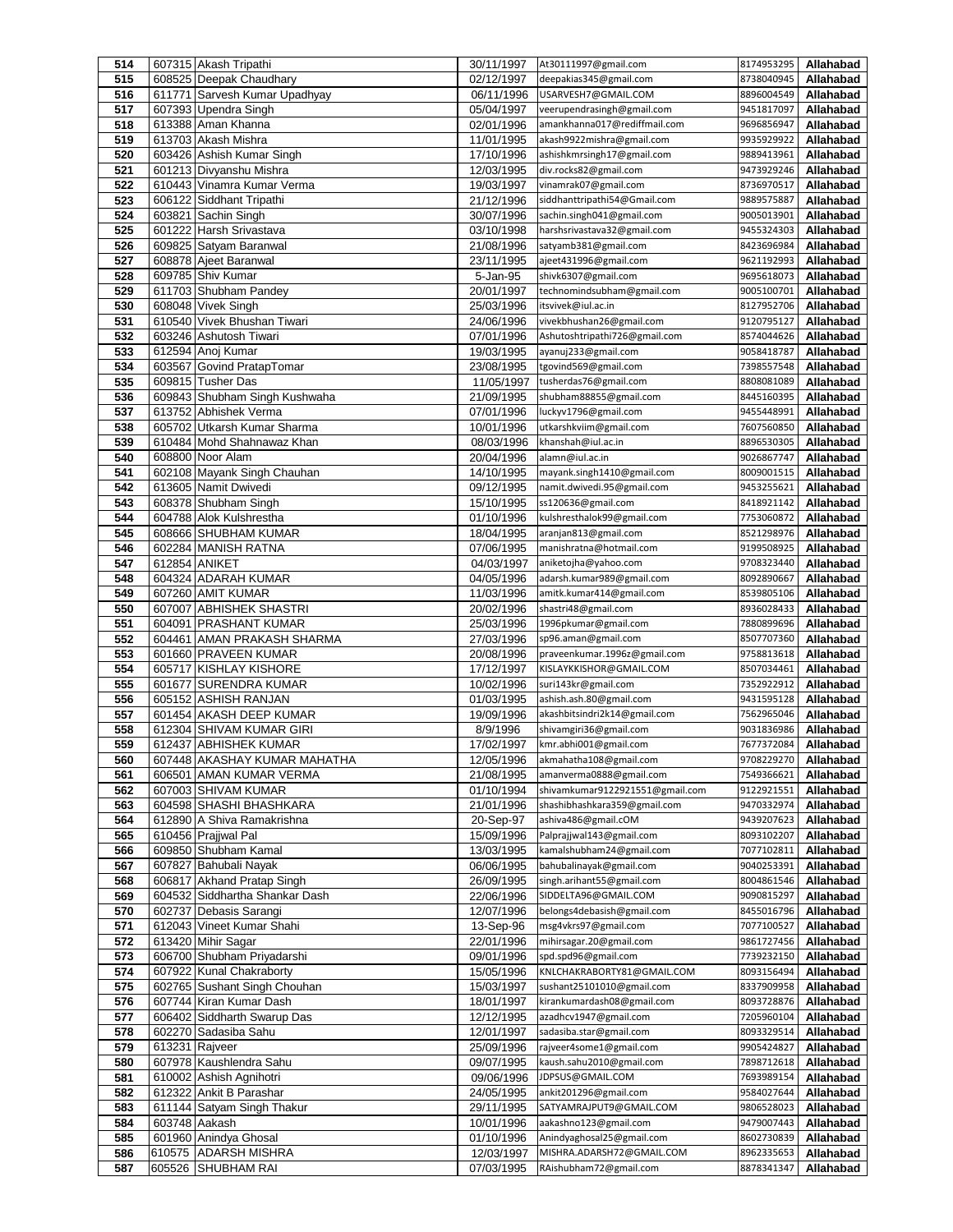| 514        |                | 607315 Akash Tripathi                                 | 30/11/1997               | At30111997@gmail.com                                | 8174953295               | Allahabad              |
|------------|----------------|-------------------------------------------------------|--------------------------|-----------------------------------------------------|--------------------------|------------------------|
| 515        |                | 608525 Deepak Chaudhary                               | 02/12/1997               | deepakias345@gmail.com                              | 8738040945               | Allahabad              |
| 516        |                | 611771 Sarvesh Kumar Upadhyay                         | 06/11/1996               | USARVESH7@GMAIL.COM                                 | 8896004549               | Allahabad              |
| 517        |                | 607393 Upendra Singh                                  | 05/04/1997               | veerupendrasingh@gmail.com                          | 9451817097               | Allahabad              |
| 518        |                | 613388 Aman Khanna                                    | 02/01/1996               | amankhanna017@rediffmail.com                        | 9696856947               | Allahabad              |
| 519        |                | 613703 Akash Mishra                                   | 11/01/1995               | akash9922mishra@gmail.com                           | 9935929922               | Allahabad              |
| 520        |                | 603426 Ashish Kumar Singh                             | 17/10/1996               | ashishkmrsingh17@gmail.com                          | 9889413961<br>9473929246 | Allahabad              |
| 521<br>522 |                | 601213 Divyanshu Mishra<br>610443 Vinamra Kumar Verma | 12/03/1995<br>19/03/1997 | div.rocks82@gmail.com<br>vinamrak07@gmail.com       | 8736970517               | Allahabad<br>Allahabad |
| 523        |                | 606122 Siddhant Tripathi                              | 21/12/1996               | siddhanttripathi54@Gmail.com                        | 9889575887               | Allahabad              |
| 524        |                | 603821 Sachin Singh                                   | 30/07/1996               | sachin.singh041@gmail.com                           | 9005013901               | Allahabad              |
| 525        |                | 601222 Harsh Srivastava                               | 03/10/1998               | harshsrivastava32@gmail.com                         | 9455324303               | Allahabad              |
| 526        |                | 609825 Satyam Baranwal                                | 21/08/1996               | satyamb381@gmail.com                                | 8423696984               | Allahabad              |
| 527        |                | 608878 Ajeet Baranwal                                 | 23/11/1995               | ajeet431996@gmail.com                               | 9621192993               | Allahabad              |
| 528        |                | 609785 Shiv Kumar                                     | 5-Jan-95                 | shivk6307@gmail.com                                 | 9695618073               | Allahabad              |
| 529        |                | 611703 Shubham Pandey                                 | 20/01/1997               | technomindsubham@gmail.com                          | 9005100701               | Allahabad              |
| 530        |                | 608048 Vivek Singh                                    | 25/03/1996               | itsvivek@iul.ac.in                                  | 8127952706               | Allahabad              |
| 531        |                | 610540 Vivek Bhushan Tiwari                           | 24/06/1996               | vivekbhushan26@gmail.com                            | 9120795127               | Allahabad              |
| 532        |                | 603246 Ashutosh Tiwari                                | 07/01/1996               | Ashutoshtripathi726@gmail.com                       | 8574044626               | Allahabad              |
| 533        |                | 612594 Anoj Kumar                                     | 19/03/1995               | ayanuj233@gmail.com                                 | 9058418787               | Allahabad              |
| 534        | 603567         | Govind PratapTomar                                    | 23/08/1995               | tgovind569@gmail.com                                | 7398557548               | Allahabad              |
| 535        |                | 609815 Tusher Das                                     | 11/05/1997               | tusherdas76@gmail.com                               | 8808081089               | Allahabad              |
| 536        |                | 609843 Shubham Singh Kushwaha                         | 21/09/1995               | shubham88855@gmail.com                              | 8445160395               | Allahabad              |
| 537        |                | 613752 Abhishek Verma                                 | 07/01/1996               | luckyv1796@gmail.com                                | 9455448991               | Allahabad              |
| 538        | 605702         | Utkarsh Kumar Sharma                                  | 10/01/1996               | utkarshkviim@gmail.com                              | 7607560850               | Allahabad              |
| 539        |                | 610484 Mohd Shahnawaz Khan                            | 08/03/1996               | khanshah@iul.ac.in                                  | 8896530305               | Allahabad              |
| 540        |                | 608800 Noor Alam                                      | 20/04/1996               | alamn@iul.ac.in                                     | 9026867747               | Allahabad              |
| 541        |                | 602108 Mayank Singh Chauhan                           | 14/10/1995               | mayank.singh1410@gmail.com                          | 8009001515               | Allahabad              |
| 542<br>543 |                | 613605 Namit Dwivedi<br>608378 Shubham Singh          | 09/12/1995               | namit.dwivedi.95@gmail.com<br>ss120636@gmail.com    | 9453255621               | Allahabad              |
| 544        |                | 604788 Alok Kulshrestha                               | 15/10/1995               | kulshresthalok99@gmail.com                          | 8418921142<br>7753060872 | Allahabad<br>Allahabad |
| 545        |                | 608666 SHUBHAM KUMAR                                  | 01/10/1996<br>18/04/1995 | aranjan813@gmail.com                                | 8521298976               | Allahabad              |
| 546        |                | 602284 MANISH RATNA                                   | 07/06/1995               | manishratna@hotmail.com                             | 9199508925               | Allahabad              |
| 547        | 612854 ANIKET  |                                                       | 04/03/1997               | aniketojha@yahoo.com                                | 9708323440               | Allahabad              |
| 548        |                | 604324 ADARAH KUMAR                                   | 04/05/1996               | adarsh.kumar989@gmail.com                           | 8092890667               | Allahabad              |
| 549        |                | 607260 AMIT KUMAR                                     | 11/03/1996               | amitk.kumar414@gmail.com                            | 8539805106               | Allahabad              |
| 550        | 607007         | <b>ABHISHEK SHASTRI</b>                               | 20/02/1996               | shastri48@gmail.com                                 | 8936028433               | Allahabad              |
| 551        |                | 604091 PRASHANT KUMAR                                 | 25/03/1996               | 1996pkumar@gmail.com                                | 7880899696               | Allahabad              |
| 552        |                | 604461 AMAN PRAKASH SHARMA                            | 27/03/1996               | sp96.aman@gmail.com                                 | 8507707360               | Allahabad              |
| 553        |                | 601660 PRAVEEN KUMAR                                  | 20/08/1996               | praveenkumar.1996z@gmail.com                        | 9758813618               | Allahabad              |
| 554        |                | 605717 KISHLAY KISHORE                                | 17/12/1997               | KISLAYKKISHOR@GMAIL.COM                             | 8507034461               | Allahabad              |
| 555        |                | 601677 SURENDRA KUMAR                                 | 10/02/1996               | suri143kr@gmail.com                                 | 7352922912               | Allahabad              |
| 556        |                | 605152 ASHISH RANJAN                                  | 01/03/1995               | ashish.ash.80@gmail.com                             | 9431595128               | Allahabad              |
| 557        |                | 601454 AKASH DEEP KUMAR                               | 19/09/1996               | akashbitsindri2k14@gmail.com                        | 7562965046               | Allahabad              |
| 558        |                | 612304 SHIVAM KUMAR GIRI                              | 8/9/1996                 | shivamgiri36@gmail.com                              | 9031836986               | Allahabad              |
| 559        |                | 612437 ABHISHEK KUMAR                                 | 17/02/1997               | kmr.abhi001@gmail.com                               | 7677372084               | Allahabad              |
| 560        |                | 607448 JAKASHAY KUMAR MAHATHA                         | 12/05/1996               | akmahatha108@gmail.com                              | 9708229270               | Allahabad              |
| 561        |                | 606501 AMAN KUMAR VERMA                               | 21/08/1995               | amanverma0888@gmail.com                             | 7549366621               | Allahabad              |
| 562        |                | 607003 SHIVAM KUMAR                                   | 01/10/1994               | shivamkumar9122921551@gmail.com                     | 9122921551               | Allahabad              |
| 563        |                | 604598 SHASHI BHASHKARA                               | 21/01/1996               | shashibhashkara359@gmail.com<br>ashiva486@gmail.cOM | 9470332974<br>9439207623 | Allahabad              |
| 564<br>565 |                | 612890 A Shiva Ramakrishna<br>610456 Prajiwal Pal     | 20-Sep-97<br>15/09/1996  | Palprajjwal143@gmail.com                            | 8093102207               | Allahabad<br>Allahabad |
| 566        |                | 609850 Shubham Kamal                                  | 13/03/1995               | kamalshubham24@gmail.com                            | 7077102811               | Allahabad              |
| 567        | 607827         | Bahubali Nayak                                        | 06/06/1995               | bahubalinayak@gmail.com                             | 9040253391               | Allahabad              |
| 568        |                | 606817 Akhand Pratap Singh                            | 26/09/1995               | singh.arihant55@gmail.com                           | 8004861546               | Allahabad              |
| 569        |                | 604532 Siddhartha Shankar Dash                        | 22/06/1996               | SIDDELTA96@GMAIL.COM                                | 9090815297               | Allahabad              |
| 570        |                | 602737 Debasis Sarangi                                | 12/07/1996               | belongs4debasish@gmail.com                          | 8455016796               | Allahabad              |
| 571        |                | 612043 Vineet Kumar Shahi                             | 13-Sep-96                | msg4vkrs97@gmail.com                                | 7077100527               | Allahabad              |
| 572        |                | 613420 Mihir Sagar                                    | 22/01/1996               | mihirsagar.20@gmail.com                             | 9861727456               | Allahabad              |
| 573        |                | 606700 Shubham Priyadarshi                            | 09/01/1996               | spd.spd96@gmail.com                                 | 7739232150               | Allahabad              |
| 574        |                | 607922 Kunal Chakraborty                              | 15/05/1996               | KNLCHAKRABORTY81@GMAIL.COM                          | 8093156494               | Allahabad              |
| 575        |                | 602765 Sushant Singh Chouhan                          | 15/03/1997               | sushant25101010@gmail.com                           | 8337909958               | Allahabad              |
| 576        |                | 607744 Kiran Kumar Dash                               | 18/01/1997               | kirankumardash08@gmail.com                          | 8093728876               | Allahabad              |
| 577        |                | 606402 Siddharth Swarup Das                           | 12/12/1995               | azadhcv1947@gmail.com                               | 7205960104               | Allahabad              |
| 578        |                | 602270 Sadasiba Sahu                                  | 12/01/1997               | sadasiba.star@gmail.com                             | 8093329514               | Allahabad              |
| 579        | 613231 Rajveer |                                                       | 25/09/1996               | rajveer4some1@gmail.com                             | 9905424827               | Allahabad              |
| 580        |                | 607978 Kaushlendra Sahu                               | 09/07/1995               | kaush.sahu2010@gmail.com                            | 7898712618               | Allahabad              |
| 581        |                | 610002 Ashish Agnihotri                               | 09/06/1996               | JDPSUS@GMAIL.COM                                    | 7693989154               | Allahabad              |
| 582<br>583 |                | 612322 Ankit B Parashar<br>611144 Satyam Singh Thakur | 24/05/1995<br>29/11/1995 | ankit201296@gmail.com<br>SATYAMRAJPUT9@GMAIL.COM    | 9584027644<br>9806528023 | Allahabad<br>Allahabad |
| 584        | 603748 Aakash  |                                                       | 10/01/1996               | aakashno123@gmail.com                               | 9479007443               | Allahabad              |
| 585        |                | 601960 Anindya Ghosal                                 | 01/10/1996               | Anindyaghosal25@gmail.com                           | 8602730839               | Allahabad              |
| 586        | 610575         | <b>ADARSH MISHRA</b>                                  | 12/03/1997               | MISHRA.ADARSH72@GMAIL.COM                           | 8962335653               | Allahabad              |
| 587        |                | 605526 SHUBHAM RAI                                    | 07/03/1995               | RAishubham72@gmail.com                              | 8878341347               | Allahabad              |
|            |                |                                                       |                          |                                                     |                          |                        |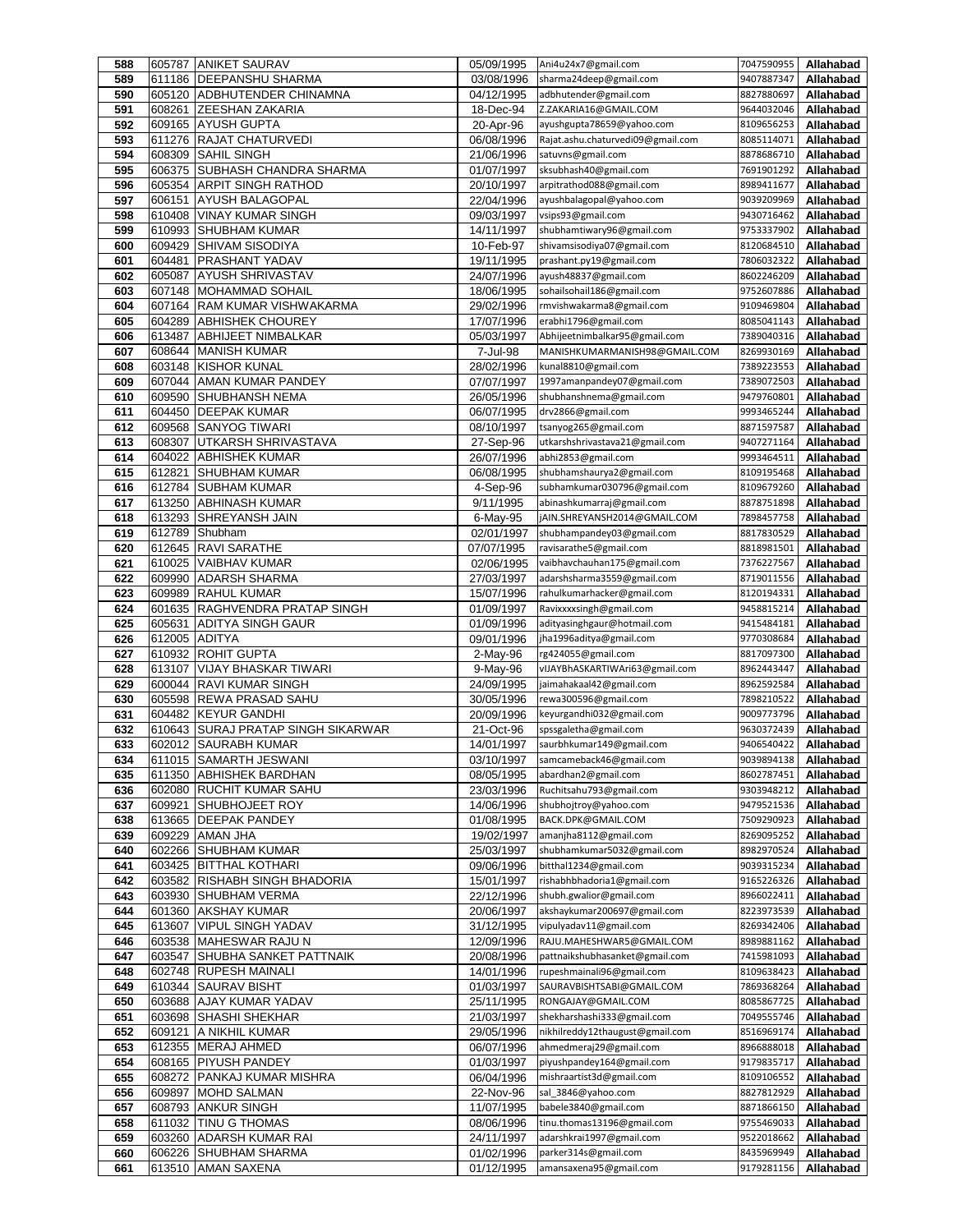| 588        |                  | 605787 ANIKET SAURAV                                 | 05/09/1995               | Ani4u24x7@gmail.com                                      | 7047590955               | Allahabad              |
|------------|------------------|------------------------------------------------------|--------------------------|----------------------------------------------------------|--------------------------|------------------------|
| 589        | 611186           | DEEPANSHU SHARMA                                     | 03/08/1996               | sharma24deep@gmail.com                                   | 9407887347               | Allahabad              |
| 590        | 605120           | <b>ADBHUTENDER CHINAMNA</b>                          | 04/12/1995               | adbhutender@gmail.com                                    | 8827880697               | Allahabad              |
| 591        | 608261           | ZEESHAN ZAKARIA                                      | 18-Dec-94                | Z.ZAKARIA16@GMAIL.COM                                    | 9644032046               | Allahabad              |
| 592        | 609165           | <b>AYUSH GUPTA</b>                                   | 20-Apr-96                | ayushgupta78659@yahoo.com                                | 8109656253               | Allahabad              |
| 593        | 611276           | <b>RAJAT CHATURVEDI</b>                              | 06/08/1996               | Rajat.ashu.chaturvedi09@gmail.com                        | 8085114071               | Allahabad              |
| 594        | 608309           | <b>SAHIL SINGH</b>                                   | 21/06/1996               | satuvns@gmail.com                                        | 8878686710               | Allahabad              |
| 595        | 606375           | SUBHASH CHANDRA SHARMA                               | 01/07/1997               | sksubhash40@gmail.com                                    | 7691901292               | Allahabad              |
| 596        | 605354           | <b>ARPIT SINGH RATHOD</b>                            | 20/10/1997               | arpitrathod088@gmail.com                                 | 8989411677               | Allahabad              |
| 597        | 606151           | <b>AYUSH BALAGOPAL</b>                               | 22/04/1996               | ayushbalagopal@yahoo.com                                 | 9039209969               | Allahabad              |
| 598        | 610408           | VINAY KUMAR SINGH                                    | 09/03/1997               | vsips93@gmail.com                                        | 9430716462               | Allahabad              |
| 599        | 610993           | <b>SHUBHAM KUMAR</b>                                 | 14/11/1997               | shubhamtiwary96@gmail.com                                | 9753337902               | Allahabad              |
| 600        | 609429           | <b>SHIVAM SISODIYA</b>                               | 10-Feb-97                | shivamsisodiya07@gmail.com                               | 8120684510               | Allahabad              |
| 601        | 604481           | <b>PRASHANT YADAV</b>                                | 19/11/1995               | prashant.py19@gmail.com                                  | 7806032322               | Allahabad              |
| 602        | 605087           | <b>AYUSH SHRIVASTAV</b>                              | 24/07/1996               | ayush48837@gmail.com                                     | 8602246209               | Allahabad              |
| 603        | 607148           | <b>MOHAMMAD SOHAIL</b>                               | 18/06/1995               | sohailsohail186@gmail.com                                | 9752607886               | Allahabad              |
| 604        | 607164           | <b>RAM KUMAR VISHWAKARMA</b>                         | 29/02/1996               | rmvishwakarma8@gmail.com                                 | 9109469804               | Allahabad              |
| 605        | 604289           | <b>ABHISHEK CHOUREY</b>                              | 17/07/1996               | erabhi1796@gmail.com                                     | 8085041143               | Allahabad              |
| 606        | 613487           | <b>ABHIJEET NIMBALKAR</b>                            | 05/03/1997               | Abhijeetnimbalkar95@gmail.com                            | 7389040316               | Allahabad              |
| 607        | 608644           | <b>MANISH KUMAR</b>                                  | 7-Jul-98                 | MANISHKUMARMANISH98@GMAIL.COM                            | 8269930169               | Allahabad              |
| 608        | 603148           | <b>KISHOR KUNAL</b>                                  | 28/02/1996               | kunal8810@gmail.com                                      | 7389223553               | Allahabad              |
| 609        |                  | 607044 AMAN KUMAR PANDEY                             | 07/07/1997               | 1997amanpandey07@gmail.com                               | 7389072503               | Allahabad              |
| 610        | 609590           | <b>SHUBHANSH NEMA</b>                                | 26/05/1996               | shubhanshnema@gmail.com                                  | 9479760801               | Allahabad              |
| 611        | 604450           | <b>DEEPAK KUMAR</b>                                  | 06/07/1995               | drv2866@gmail.com                                        | 9993465244               | Allahabad              |
| 612        | 609568           | <b>SANYOG TIWARI</b>                                 | 08/10/1997               | tsanyog265@gmail.com                                     | 8871597587               | Allahabad              |
| 613        | 608307           | UTKARSH SHRIVASTAVA                                  | 27-Sep-96                | utkarshshrivastava21@gmail.com                           | 9407271164               | Allahabad              |
| 614        | 604022           | <b>ABHISHEK KUMAR</b>                                | 26/07/1996               | abhi2853@gmail.com                                       | 9993464511               | Allahabad              |
| 615        | 612821           | <b>SHUBHAM KUMAR</b>                                 | 06/08/1995               | shubhamshaurya2@gmail.com                                | 8109195468               | Allahabad              |
| 616        | 612784           | <b>SUBHAM KUMAR</b>                                  | 4-Sep-96                 | subhamkumar030796@gmail.com                              | 8109679260               | Allahabad              |
| 617        | 613250           | <b>ABHINASH KUMAR</b>                                | 9/11/1995                | abinashkumarraj@gmail.com                                | 8878751898               | Allahabad              |
| 618        | 613293           | <b>SHREYANSH JAIN</b>                                | 6-May-95                 | jAIN.SHREYANSH2014@GMAIL.COM                             | 7898457758               | Allahabad              |
| 619        | 612789           | Shubham                                              | 02/01/1997               | shubhampandey03@gmail.com                                | 8817830529               | Allahabad              |
| 620        | 612645           | <b>RAVI SARATHE</b>                                  | 07/07/1995               | ravisarathe5@gmail.com                                   | 8818981501               | Allahabad              |
| 621        | 610025           | <b>VAIBHAV KUMAR</b>                                 | 02/06/1995               | vaibhavchauhan175@gmail.com                              | 7376227567               | Allahabad              |
| 622        | 609990<br>609989 | <b>ADARSH SHARMA</b>                                 | 27/03/1997               | adarshsharma3559@gmail.com<br>rahulkumarhacker@gmail.com | 8719011556               | Allahabad              |
| 623        | 601635           | <b>RAHUL KUMAR</b><br><b>RAGHVENDRA PRATAP SINGH</b> | 15/07/1996               | Ravixxxxsingh@gmail.com                                  | 8120194331<br>9458815214 | Allahabad              |
| 624<br>625 | 605631           | <b>ADITYA SINGH GAUR</b>                             | 01/09/1997<br>01/09/1996 | adityasinghgaur@hotmail.com                              | 9415484181               | Allahabad<br>Allahabad |
| 626        | 612005           | <b>ADITYA</b>                                        | 09/01/1996               | jha1996aditya@gmail.com                                  | 9770308684               | Allahabad              |
| 627        | 610932           | <b>ROHIT GUPTA</b>                                   | 2-May-96                 | rg424055@gmail.com                                       | 8817097300               | Allahabad              |
| 628        | 613107           | <b>VIJAY BHASKAR TIWARI</b>                          | 9-May-96                 | vIJAYBhASKARTIWAri63@gmail.com                           | 8962443447               | Allahabad              |
| 629        | 600044           | <b>RAVI KUMAR SINGH</b>                              | 24/09/1995               | jaimahakaal42@gmail.com                                  | 8962592584               | Allahabad              |
| 630        | 605598           | <b>REWA PRASAD SAHU</b>                              | 30/05/1996               | rewa300596@gmail.com                                     | 7898210522               | Allahabad              |
| 631        | 604482           | <b>KEYUR GANDHI</b>                                  | 20/09/1996               | keyurgandhi032@gmail.com                                 | 9009773796               | Allahabad              |
| 632        | 610643           | <b>SURAJ PRATAP SINGH SIKARWAR</b>                   | 21-Oct-96                | spssgaletha@gmail.com                                    | 9630372439               | Allahabad              |
| 633        | 602012           | <b>SAURABH KUMAR</b>                                 | 14/01/1997               | saurbhkumar149@gmail.com                                 | 9406540422               | Allahabad              |
| 634        |                  | 611015  SAMARTH JESWANI                              | 03/10/1997               | samcameback46@gmail.com                                  | 9039894138               | Allahabad              |
| 635        | 611350           | <b>ABHISHEK BARDHAN</b>                              | 08/05/1995               | abardhan2@gmail.com                                      | 8602787451               | Allahabad              |
| 636        | 602080           | RUCHIT KUMAR SAHU                                    | 23/03/1996               | Ruchitsahu793@gmail.com                                  | 9303948212               | Allahabad              |
| 637        | 609921           | <b>SHUBHOJEET ROY</b>                                | 14/06/1996               | shubhojtroy@yahoo.com                                    | 9479521536               | Allahabad              |
| 638        | 613665           | <b>DEEPAK PANDEY</b>                                 | 01/08/1995               | BACK.DPK@GMAIL.COM                                       | 7509290923               | Allahabad              |
| 639        | 609229           | AMAN JHA                                             | 19/02/1997               | amanjha8112@gmail.com                                    | 8269095252               | Allahabad              |
| 640        | 602266           | <b>SHUBHAM KUMAR</b>                                 | 25/03/1997               | shubhamkumar5032@gmail.com                               | 8982970524               | Allahabad              |
| 641        | 603425           | <b>BITTHAL KOTHARI</b>                               | 09/06/1996               | bitthal1234@gmail.com                                    | 9039315234               | Allahabad              |
| 642        | 603582           | <b>RISHABH SINGH BHADORIA</b>                        | 15/01/1997               | rishabhbhadoria1@gmail.com                               | 9165226326               | Allahabad              |
| 643        | 603930           | SHUBHAM VERMA                                        | 22/12/1996               | shubh.gwalior@gmail.com                                  | 8966022411               | Allahabad              |
| 644        | 601360           | <b>AKSHAY KUMAR</b>                                  | 20/06/1997               | akshaykumar200697@gmail.com                              | 8223973539               | Allahabad              |
| 645        | 613607           | <b>VIPUL SINGH YADAV</b>                             | 31/12/1995               | vipulyadav11@gmail.com                                   | 8269342406               | Allahabad              |
| 646        | 603538           | MAHESWAR RAJU N                                      | 12/09/1996               | RAJU.MAHESHWAR5@GMAIL.COM                                | 8989881162               | Allahabad              |
| 647        | 603547           | SHUBHA SANKET PATTNAIK                               | 20/08/1996               | pattnaikshubhasanket@gmail.com                           | 7415981093               | Allahabad              |
| 648        | 602748           | <b>RUPESH MAINALI</b>                                | 14/01/1996               | rupeshmainali96@gmail.com                                | 8109638423               | Allahabad              |
| 649        | 610344           | <b>SAURAV BISHT</b>                                  | 01/03/1997               | SAURAVBISHTSABI@GMAIL.COM                                | 7869368264               | Allahabad              |
| 650        | 603688           | <b>AJAY KUMAR YADAV</b>                              | 25/11/1995               | RONGAJAY@GMAIL.COM                                       | 8085867725               | Allahabad              |
| 651        | 603698           | <b>SHASHI SHEKHAR</b>                                | 21/03/1997               | shekharshashi333@gmail.com                               | 7049555746               | Allahabad              |
| 652        | 609121           | A NIKHIL KUMAR                                       | 29/05/1996               | nikhilreddy12thaugust@gmail.com                          | 8516969174               | Allahabad              |
| 653        |                  | 612355 MERAJ AHMED                                   | 06/07/1996               | ahmedmeraj29@gmail.com                                   | 8966888018               | Allahabad              |
| 654        | 608165           | <b>PIYUSH PANDEY</b>                                 | 01/03/1997               | piyushpandey164@gmail.com                                | 9179835717               | Allahabad              |
| 655        | 608272           | <b>PANKAJ KUMAR MISHRA</b>                           | 06/04/1996               | mishraartist3d@gmail.com                                 | 8109106552               | Allahabad              |
| 656        |                  | 609897 MOHD SALMAN                                   | 22-Nov-96                | sal_3846@yahoo.com                                       | 8827812929               | Allahabad              |
| 657        | 608793           | <b>ANKUR SINGH</b>                                   | 11/07/1995               | babele3840@gmail.com                                     | 8871866150               | Allahabad              |
| 658        | 611032           | TINU G THOMAS                                        | 08/06/1996               | tinu.thomas13196@gmail.com                               | 9755469033               | Allahabad              |
| 659        | 603260           | <b>ADARSH KUMAR RAI</b>                              | 24/11/1997               | adarshkrai1997@gmail.com                                 | 9522018662               | Allahabad              |
| 660        |                  | 606226 SHUBHAM SHARMA                                | 01/02/1996               | parker314s@gmail.com                                     | 8435969949               | Allahabad              |
| 661        |                  | 613510 AMAN SAXENA                                   | 01/12/1995               | amansaxena95@gmail.com                                   | 9179281156               | Allahabad              |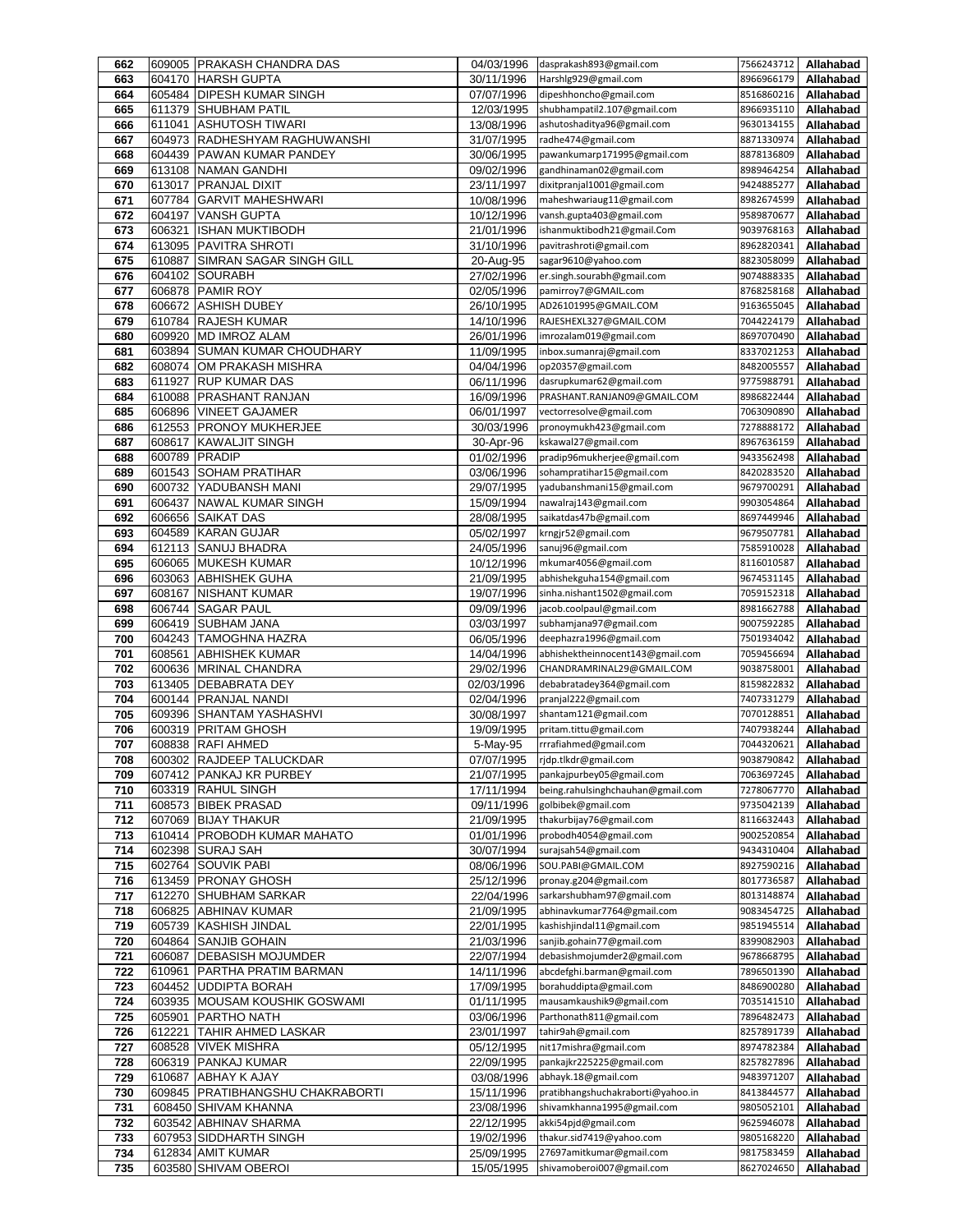| 662        |                  | 609005 PRAKASH CHANDRA DAS                              | 04/03/1996               | dasprakash893@gmail.com                                 | 7566243712               | Allahabad              |
|------------|------------------|---------------------------------------------------------|--------------------------|---------------------------------------------------------|--------------------------|------------------------|
| 663        | 604170           | <b>HARSH GUPTA</b>                                      | 30/11/1996               | Harshlg929@gmail.com                                    | 8966966179               | Allahabad              |
| 664        |                  | 605484 DIPESH KUMAR SINGH                               | 07/07/1996               | dipeshhoncho@gmail.com                                  | 8516860216               | Allahabad              |
| 665        | 611379           | <b>SHUBHAM PATIL</b>                                    | 12/03/1995               | shubhampatil2.107@gmail.com                             | 8966935110               | Allahabad              |
| 666<br>667 | 611041<br>604973 | <b>ASHUTOSH TIWARI</b><br><b>RADHESHYAM RAGHUWANSHI</b> | 13/08/1996<br>31/07/1995 | ashutoshaditya96@gmail.com<br>radhe474@gmail.com        | 9630134155<br>8871330974 | Allahabad<br>Allahabad |
| 668        | 604439           | <b>PAWAN KUMAR PANDEY</b>                               | 30/06/1995               | pawankumarp171995@gmail.com                             | 8878136809               | Allahabad              |
| 669        |                  | 613108 NAMAN GANDHI                                     | 09/02/1996               | gandhinaman02@gmail.com                                 | 8989464254               | Allahabad              |
| 670        | 613017           | <b>PRANJAL DIXIT</b>                                    | 23/11/1997               | dixitpranjal1001@gmail.com                              | 9424885277               | Allahabad              |
| 671        |                  | 607784 GARVIT MAHESHWARI                                | 10/08/1996               | maheshwariaug11@gmail.com                               | 8982674599               | Allahabad              |
| 672        | 604197           | <b>VANSH GUPTA</b>                                      | 10/12/1996               | vansh.gupta403@gmail.com                                | 9589870677               | Allahabad              |
| 673        | 606321           | ISHAN MUKTIBODH                                         | 21/01/1996               | ishanmuktibodh21@gmail.Com                              | 9039768163               | Allahabad              |
| 674        | 613095           | <b>PAVITRA SHROTI</b>                                   | 31/10/1996               | pavitrashroti@gmail.com                                 | 8962820341               | Allahabad              |
| 675        | 610887           | SIMRAN SAGAR SINGH GILL                                 | 20-Aug-95                | sagar9610@yahoo.com                                     | 8823058099               | Allahabad              |
| 676        | 604102           | SOURABH                                                 | 27/02/1996               | er.singh.sourabh@gmail.com                              | 9074888335               | Allahabad              |
| 677        |                  | 606878 PAMIR ROY                                        | 02/05/1996               | pamirroy7@GMAIL.com                                     | 8768258168               | Allahabad              |
| 678        | 606672           | <b>ASHISH DUBEY</b>                                     | 26/10/1995               | AD26101995@GMAIL.COM                                    | 9163655045               | Allahabad              |
| 679        |                  | 610784 RAJESH KUMAR                                     | 14/10/1996               | RAJESHEXL327@GMAIL.COM                                  | 7044224179               | Allahabad              |
| 680        | 609920           | <b>MD IMROZ ALAM</b>                                    | 26/01/1996               | imrozalam019@gmail.com                                  | 8697070490               | Allahabad              |
| 681        | 603894           | <b>SUMAN KUMAR CHOUDHARY</b>                            | 11/09/1995               | inbox.sumanraj@gmail.com                                | 8337021253               | Allahabad              |
| 682        | 608074           | OM PRAKASH MISHRA<br><b>RUP KUMAR DAS</b>               | 04/04/1996               | op20357@gmail.com                                       | 8482005557               | Allahabad              |
| 683<br>684 | 611927<br>610088 | <b>PRASHANT RANJAN</b>                                  | 06/11/1996<br>16/09/1996 | dasrupkumar62@gmail.com<br>PRASHANT.RANJAN09@GMAIL.COM  | 9775988791<br>8986822444 | Allahabad<br>Allahabad |
| 685        | 606896           | <b>VINEET GAJAMER</b>                                   | 06/01/1997               | vectorresolve@gmail.com                                 | 7063090890               | Allahabad              |
| 686        | 612553           | <b>PRONOY MUKHERJEE</b>                                 | 30/03/1996               | pronoymukh423@gmail.com                                 | 7278888172               | Allahabad              |
| 687        | 608617           | <b>KAWALJIT SINGH</b>                                   | 30-Apr-96                | kskawal27@gmail.com                                     | 8967636159               | Allahabad              |
| 688        | 600789           | <b>PRADIP</b>                                           | 01/02/1996               | pradip96mukherjee@gmail.com                             | 9433562498               | Allahabad              |
| 689        | 601543           | <b>SOHAM PRATIHAR</b>                                   | 03/06/1996               | sohampratihar15@gmail.com                               | 8420283520               | Allahabad              |
| 690        | 600732           | YADUBANSH MANI                                          | 29/07/1995               | vadubanshmani15@gmail.com                               | 9679700291               | Allahabad              |
| 691        | 606437           | NAWAL KUMAR SINGH                                       | 15/09/1994               | nawalraj143@gmail.com                                   | 9903054864               | Allahabad              |
| 692        | 606656           | <b>SAIKAT DAS</b>                                       | 28/08/1995               | saikatdas47b@gmail.com                                  | 8697449946               | Allahabad              |
| 693        | 604589           | <b>KARAN GUJAR</b>                                      | 05/02/1997               | krngjr52@gmail.com                                      | 9679507781               | Allahabad              |
| 694        | 612113           | <b>SANUJ BHADRA</b>                                     | 24/05/1996               | sanuj96@gmail.com                                       | 7585910028               | Allahabad              |
| 695        | 606065           | <b>MUKESH KUMAR</b>                                     | 10/12/1996               | mkumar4056@gmail.com                                    | 8116010587               | Allahabad              |
| 696        | 603063           | <b>ABHISHEK GUHA</b>                                    | 21/09/1995               | abhishekguha154@gmail.com                               | 9674531145               | Allahabad              |
| 697        | 608167<br>606744 | NISHANT KUMAR                                           | 19/07/1996               | sinha.nishant1502@gmail.com<br>jacob.coolpaul@gmail.com | 7059152318               | Allahabad              |
| 698<br>699 | 606419           | <b>SAGAR PAUL</b><br><b>SUBHAM JANA</b>                 | 09/09/1996<br>03/03/1997 | subhamjana97@gmail.com                                  | 8981662788<br>9007592285 | Allahabad<br>Allahabad |
| 700        |                  | 604243   TAMOGHNA HAZRA                                 | 06/05/1996               | deephazra1996@gmail.com                                 | 7501934042               | Allahabad              |
| 701        | 608561           | <b>ABHISHEK KUMAR</b>                                   | 14/04/1996               | abhishektheinnocent143@gmail.com                        | 7059456694               | Allahabad              |
| 702        | 600636           | <b>MRINAL CHANDRA</b>                                   | 29/02/1996               | CHANDRAMRINAL29@GMAIL.COM                               | 9038758001               | Allahabad              |
| 703        | 613405           | <b>DEBABRATA DEY</b>                                    | 02/03/1996               | debabratadey364@gmail.com                               | 8159822832               | Allahabad              |
| 704        |                  | 600144 PRANJAL NANDI                                    | 02/04/1996               | pranjal222@gmail.com                                    | 7407331279               | Allahabad              |
| 705        | 609396           | <b>SHANTAM YASHASHVI</b>                                | 30/08/1997               | shantam121@gmail.com                                    | 7070128851               | Allahabad              |
| 706        | 600319           | <b>PRITAM GHOSH</b>                                     | 19/09/1995               | pritam.tittu@gmail.com                                  | 7407938244               | Allahabad              |
| 707        | 608838           | <b>RAFI AHMED</b>                                       | 5-May-95                 | rrrafiahmed@gmail.com                                   | 7044320621               | Allahabad              |
| 708        |                  | 600302 RAJDEEP TALUCKDAR                                | 07/07/1995               | rjdp.tlkdr@gmail.com                                    | 9038790842               | Allahabad              |
| 709        |                  | 607412 PANKAJ KR PURBEY                                 | 21/07/1995               | pankajpurbey05@gmail.com                                | 7063697245               | Allahabad              |
| 710        |                  | 603319 RAHUL SINGH                                      | 17/11/1994               | being.rahulsinghchauhan@gmail.com                       | 7278067770               | Allahabad              |
| 711<br>712 |                  | 608573 BIBEK PRASAD<br>607069 BIJAY THAKUR              | 09/11/1996<br>21/09/1995 | golbibek@gmail.com<br>thakurbijay76@gmail.com           | 9735042139<br>8116632443 | Allahabad<br>Allahabad |
| 713        |                  | 610414   PROBODH KUMAR MAHATO                           | 01/01/1996               | probodh4054@gmail.com                                   | 9002520854               | Allahabad              |
| 714        | 602398           | <b>SURAJ SAH</b>                                        | 30/07/1994               | surajsah54@gmail.com                                    | 9434310404               | Allahabad              |
| 715        | 602764           | <b>SOUVIK PABI</b>                                      | 08/06/1996               | SOU.PABI@GMAIL.COM                                      | 8927590216               | Allahabad              |
| 716        | 613459           | <b>PRONAY GHOSH</b>                                     | 25/12/1996               | pronay.g204@gmail.com                                   | 8017736587               | Allahabad              |
| 717        | 612270           | SHUBHAM SARKAR                                          | 22/04/1996               | sarkarshubham97@gmail.com                               | 8013148874               | Allahabad              |
| 718        | 606825           | <b>ABHINAV KUMAR</b>                                    | 21/09/1995               | abhinavkumar7764@gmail.com                              | 9083454725               | Allahabad              |
| 719        | 605739           | <b>KASHISH JINDAL</b>                                   | 22/01/1995               | kashishjindal11@gmail.com                               | 9851945514               | Allahabad              |
| 720        | 604864           | <b>SANJIB GOHAIN</b>                                    | 21/03/1996               | sanjib.gohain77@gmail.com                               | 8399082903               | Allahabad              |
| 721        | 606087           | <b>DEBASISH MOJUMDER</b>                                | 22/07/1994               | debasishmojumder2@gmail.com                             | 9678668795               | Allahabad              |
| 722        | 610961           | PARTHA PRATIM BARMAN                                    | 14/11/1996               | abcdefghi.barman@gmail.com                              | 7896501390               | Allahabad              |
| 723        | 604452           | <b>UDDIPTA BORAH</b>                                    | 17/09/1995               | borahuddipta@gmail.com<br>mausamkaushik9@gmail.com      | 8486900280               | Allahabad              |
| 724<br>725 | 605901           | 603935 MOUSAM KOUSHIK GOSWAMI<br><b>PARTHO NATH</b>     | 01/11/1995               | Parthonath811@gmail.com                                 | 7035141510<br>7896482473 | Allahabad              |
| 726        | 612221           | <b>TAHIR AHMED LASKAR</b>                               | 03/06/1996<br>23/01/1997 | tahir9ah@gmail.com                                      | 8257891739               | Allahabad<br>Allahabad |
| 727        | 608528           | <b>VIVEK MISHRA</b>                                     | 05/12/1995               | nit17mishra@gmail.com                                   | 8974782384               | Allahabad              |
| 728        | 606319           | <b>PANKAJ KUMAR</b>                                     | 22/09/1995               | pankajkr225225@gmail.com                                | 8257827896               | Allahabad              |
| 729        |                  | 610687 ABHAY K AJAY                                     | 03/08/1996               | abhayk.18@gmail.com                                     | 9483971207               | Allahabad              |
| 730        |                  | 609845 PRATIBHANGSHU CHAKRABORTI                        | 15/11/1996               | pratibhangshuchakraborti@yahoo.in                       | 8413844577               | Allahabad              |
| 731        |                  | 608450 SHIVAM KHANNA                                    | 23/08/1996               | shivamkhanna1995@gmail.com                              | 9805052101               | Allahabad              |
| 732        |                  | 603542 ABHINAV SHARMA                                   | 22/12/1995               | akki54pjd@gmail.com                                     | 9625946078               | Allahabad              |
| 733        |                  | 607953 SIDDHARTH SINGH                                  | 19/02/1996               | thakur.sid7419@yahoo.com                                | 9805168220               | Allahabad              |
| 734<br>735 |                  | 612834 AMIT KUMAR                                       | 25/09/1995               | 27697amitkumar@gmail.com                                | 9817583459               | Allahabad              |
|            |                  | 603580 SHIVAM OBEROI                                    | 15/05/1995               | shivamoberoi007@gmail.com                               | 8627024650               | Allahabad              |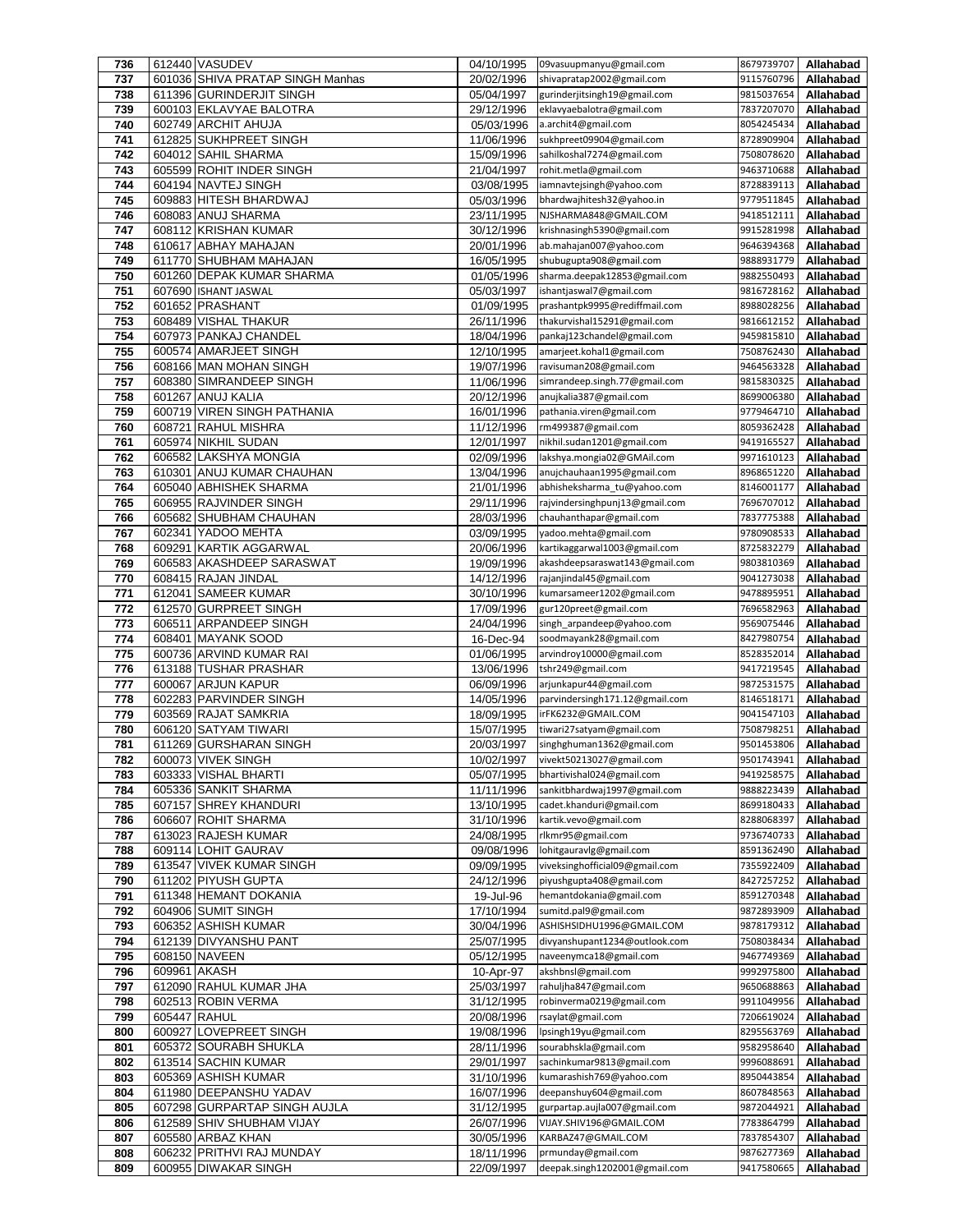| 736        |              | 612440 VASUDEV                               | 04/10/1995               | 09vasuupmanyu@gmail.com                           | 8679739707               | Allahabad              |
|------------|--------------|----------------------------------------------|--------------------------|---------------------------------------------------|--------------------------|------------------------|
| 737        |              | 601036 SHIVA PRATAP SINGH Manhas             | 20/02/1996               | shivapratap2002@gmail.com                         | 9115760796               | Allahabad              |
| 738        |              | 611396 GURINDERJIT SINGH                     | 05/04/1997               | gurinderjitsingh19@gmail.com                      | 9815037654               | Allahabad              |
| 739        |              | 600103 EKLAVYAE BALOTRA                      | 29/12/1996               | eklavyaebalotra@gmail.com                         | 7837207070               | Allahabad              |
| 740        |              | 602749 ARCHIT AHUJA                          | 05/03/1996               | a.archit4@gmail.com                               | 8054245434               | Allahabad              |
| 741        |              | 612825 SUKHPREET SINGH                       | 11/06/1996               | sukhpreet09904@gmail.com                          | 8728909904               | Allahabad              |
| 742        |              | 604012 SAHIL SHARMA                          | 15/09/1996               | sahilkoshal7274@gmail.com                         | 7508078620               | Allahabad              |
| 743        |              | 605599 ROHIT INDER SINGH                     | 21/04/1997               | rohit.metla@gmail.com                             | 9463710688               | Allahabad              |
| 744        |              | 604194 NAVTEJ SINGH                          | 03/08/1995               | iamnavtejsingh@yahoo.com                          | 8728839113               | Allahabad              |
| 745        |              | 609883 HITESH BHARDWAJ                       | 05/03/1996               | bhardwajhitesh32@yahoo.in                         | 9779511845               | Allahabad              |
| 746        |              | 608083 ANUJ SHARMA                           | 23/11/1995               | NJSHARMA848@GMAIL.COM                             | 9418512111               | Allahabad              |
| 747        |              | 608112 KRISHAN KUMAR                         | 30/12/1996               | krishnasingh5390@gmail.com                        | 9915281998               | Allahabad              |
| 748        |              | 610617 ABHAY MAHAJAN                         | 20/01/1996               | ab.mahajan007@yahoo.com                           | 9646394368               | Allahabad              |
| 749        |              | 611770 SHUBHAM MAHAJAN                       | 16/05/1995               | shubugupta908@gmail.com                           | 9888931779               | Allahabad              |
| 750        |              | 601260 DEPAK KUMAR SHARMA                    | 01/05/1996               | sharma.deepak12853@gmail.com                      | 9882550493               | Allahabad              |
| 751        |              | 607690 ISHANT JASWAL                         | 05/03/1997               | ishantjaswal7@gmail.com                           | 9816728162               | Allahabad              |
| 752        |              | 601652 PRASHANT                              | 01/09/1995               | prashantpk9995@rediffmail.com                     | 8988028256               | Allahabad              |
| 753        |              | 608489 VISHAL THAKUR                         | 26/11/1996               | thakurvishal15291@gmail.com                       | 9816612152               | Allahabad              |
| 754        |              | 607973 PANKAJ CHANDEL                        | 18/04/1996               | pankaj123chandel@gmail.com                        | 9459815810               | Allahabad              |
| 755        |              | 600574 AMARJEET SINGH                        | 12/10/1995               | amarjeet.kohal1@gmail.com                         | 7508762430               | Allahabad              |
| 756        |              | 608166 MAN MOHAN SINGH                       | 19/07/1996               | ravisuman208@gmail.com                            | 9464563328               | Allahabad              |
| 757        |              | 608380 SIMRANDEEP SINGH                      | 11/06/1996               | simrandeep.singh.77@gmail.com                     | 9815830325               | Allahabad              |
| 758        |              | 601267 ANUJ KALIA                            | 20/12/1996               | anujkalia387@gmail.com                            | 8699006380               | Allahabad              |
| 759        |              | 600719 VIREN SINGH PATHANIA                  | 16/01/1996               | pathania.viren@gmail.com                          | 9779464710               | Allahabad              |
| 760        |              | 608721 RAHUL MISHRA                          | 11/12/1996               | rm499387@gmail.com                                | 8059362428               | Allahabad              |
| 761        |              | 605974 NIKHIL SUDAN                          | 12/01/1997               | nikhil.sudan1201@gmail.com                        | 9419165527               | Allahabad              |
| 762        |              | 606582 LAKSHYA MONGIA                        | 02/09/1996               | lakshya.mongia02@GMAil.com                        | 9971610123               | Allahabad              |
| 763        |              | 610301 ANUJ KUMAR CHAUHAN                    | 13/04/1996               | anujchauhaan1995@gmail.com                        | 8968651220               | Allahabad              |
| 764        |              | 605040 ABHISHEK SHARMA                       | 21/01/1996               | abhisheksharma tu@yahoo.com                       | 8146001177               | Allahabad              |
| 765        |              | 606955 RAJVINDER SINGH                       | 29/11/1996               | rajvindersinghpunj13@gmail.com                    | 7696707012               | Allahabad              |
| 766        |              | 605682 SHUBHAM CHAUHAN                       | 28/03/1996               | chauhanthapar@gmail.com                           | 7837775388               | Allahabad              |
| 767        |              | 602341 YADOO MEHTA                           | 03/09/1995               | yadoo.mehta@gmail.com                             | 9780908533               | Allahabad              |
| 768        |              | 609291 KARTIK AGGARWAL                       | 20/06/1996               | kartikaggarwal1003@gmail.com                      | 8725832279               | Allahabad              |
| 769        |              | 606583 AKASHDEEP SARASWAT                    | 19/09/1996               | akashdeepsaraswat143@gmail.com                    | 9803810369               | Allahabad              |
| 770        |              | 608415 RAJAN JINDAL                          | 14/12/1996               | rajanjindal45@gmail.com                           | 9041273038               | Allahabad              |
| 771        |              | 612041 SAMEER KUMAR                          | 30/10/1996               | kumarsameer1202@gmail.com                         | 9478895951               | Allahabad              |
| 772        |              | 612570 GURPREET SINGH                        | 17/09/1996               | gur120preet@gmail.com                             | 7696582963               | Allahabad              |
| 773        |              | 606511 ARPANDEEP SINGH                       | 24/04/1996               | singh_arpandeep@yahoo.com                         | 9569075446               | Allahabad              |
| 774        |              | 608401 MAYANK SOOD                           | 16-Dec-94                | soodmayank28@gmail.com                            | 8427980754               | Allahabad              |
| 775        |              | 600736 ARVIND KUMAR RAI                      | 01/06/1995               | arvindroy10000@gmail.com                          | 8528352014               | Allahabad              |
| 776        |              | 613188 TUSHAR PRASHAR                        | 13/06/1996               | tshr249@gmail.com                                 | 9417219545               | Allahabad              |
| 777        |              | 600067 ARJUN KAPUR                           | 06/09/1996               | arjunkapur44@gmail.com                            | 9872531575               | Allahabad              |
| 778        |              | 602283 PARVINDER SINGH                       | 14/05/1996               | parvindersingh171.12@gmail.com                    | 8146518171               | Allahabad              |
| 779        |              | 603569 RAJAT SAMKRIA                         | 18/09/1995               | irFK6232@GMAIL.COM                                | 9041547103               | Allahabad              |
| 780        |              | 606120 SATYAM TIWARI                         | 15/07/1995               | tiwari27satyam@gmail.com                          | 7508798251               | Allahabad              |
| 781        |              | 611269 GURSHARAN SINGH                       | 20/03/1997               | singhghuman1362@gmail.com                         | 9501453806               | Allahabad              |
| 782        |              | 600073 VIVEK SINGH                           | 10/02/1997               | vivekt50213027@gmail.com                          | 9501743941               | Allahabad              |
| 783        |              | 603333 VISHAL BHARTI                         | 05/07/1995               | bhartivishal024@gmail.com                         | 9419258575               | Allahabad              |
| 784        |              | 605336 SANKIT SHARMA                         | 11/11/1996               | sankitbhardwaj1997@gmail.com                      | 9888223439               | Allahabad              |
| 785        |              | 607157 SHREY KHANDURI<br>606607 ROHIT SHARMA | 13/10/1995               | cadet.khanduri@gmail.com<br>kartik.vevo@gmail.com | 8699180433<br>8288068397 | Allahabad              |
| 786        |              | 613023 RAJESH KUMAR                          | 31/10/1996               | rlkmr95@gmail.com                                 |                          | Allahabad              |
| 787<br>788 |              | 609114 LOHIT GAURAV                          | 24/08/1995<br>09/08/1996 | lohitgauravlg@gmail.com                           | 9736740733<br>8591362490 | Allahabad<br>Allahabad |
| 789        |              | 613547 VIVEK KUMAR SINGH                     | 09/09/1995               | viveksinghofficial09@gmail.com                    | 7355922409               | Allahabad              |
| 790        |              | 611202 PIYUSH GUPTA                          | 24/12/1996               | piyushgupta408@gmail.com                          | 8427257252               | Allahabad              |
| 791        |              | 611348 HEMANT DOKANIA                        | 19-Jul-96                | hemantdokania@gmail.com                           | 8591270348               | Allahabad              |
| 792        |              | 604906 SUMIT SINGH                           | 17/10/1994               | sumitd.pal9@gmail.com                             | 9872893909               | Allahabad              |
| 793        |              | 606352 ASHISH KUMAR                          | 30/04/1996               | ASHISHSIDHU1996@GMAIL.COM                         | 9878179312               | Allahabad              |
| 794        |              | 612139 DIVYANSHU PANT                        | 25/07/1995               | divyanshupant1234@outlook.com                     | 7508038434               | Allahabad              |
| 795        |              | 608150 NAVEEN                                | 05/12/1995               | naveenymca18@gmail.com                            | 9467749369               | Allahabad              |
| 796        | 609961 AKASH |                                              | 10-Apr-97                | akshbnsl@gmail.com                                | 9992975800               | Allahabad              |
| 797        |              | 612090 RAHUL KUMAR JHA                       | 25/03/1997               | rahuljha847@gmail.com                             | 9650688863               | Allahabad              |
| 798        |              | 602513 ROBIN VERMA                           | 31/12/1995               | robinverma0219@gmail.com                          | 9911049956               | Allahabad              |
| 799        | 605447 RAHUL |                                              | 20/08/1996               | rsaylat@gmail.com                                 | 7206619024               | Allahabad              |
| 800        |              | 600927 LOVEPREET SINGH                       | 19/08/1996               | lpsingh19yu@gmail.com                             | 8295563769               | Allahabad              |
| 801        |              | 605372 SOURABH SHUKLA                        | 28/11/1996               | sourabhskla@gmail.com                             | 9582958640               | Allahabad              |
| 802        |              | 613514 SACHIN KUMAR                          | 29/01/1997               | sachinkumar9813@gmail.com                         | 9996088691               | Allahabad              |
| 803        |              | 605369 ASHISH KUMAR                          | 31/10/1996               | kumarashish769@yahoo.com                          | 8950443854               | Allahabad              |
| 804        |              | 611980 DEEPANSHU YADAV                       | 16/07/1996               | deepanshuy604@gmail.com                           | 8607848563               | Allahabad              |
| 805        |              | 607298 GURPARTAP SINGH AUJLA                 | 31/12/1995               | gurpartap.aujla007@gmail.com                      | 9872044921               | Allahabad              |
| 806        |              | 612589 SHIV SHUBHAM VIJAY                    | 26/07/1996               | VIJAY.SHIV196@GMAIL.COM                           | 7783864799               | Allahabad              |
| 807        |              | 605580 ARBAZ KHAN                            | 30/05/1996               | KARBAZ47@GMAIL.COM                                | 7837854307               | Allahabad              |
| 808        |              | 606232 PRITHVI RAJ MUNDAY                    | 18/11/1996               | prmunday@gmail.com                                | 9876277369               | Allahabad              |
| 809        |              | 600955 DIWAKAR SINGH                         | 22/09/1997               | deepak.singh1202001@gmail.com                     | 9417580665               | Allahabad              |
|            |              |                                              |                          |                                                   |                          |                        |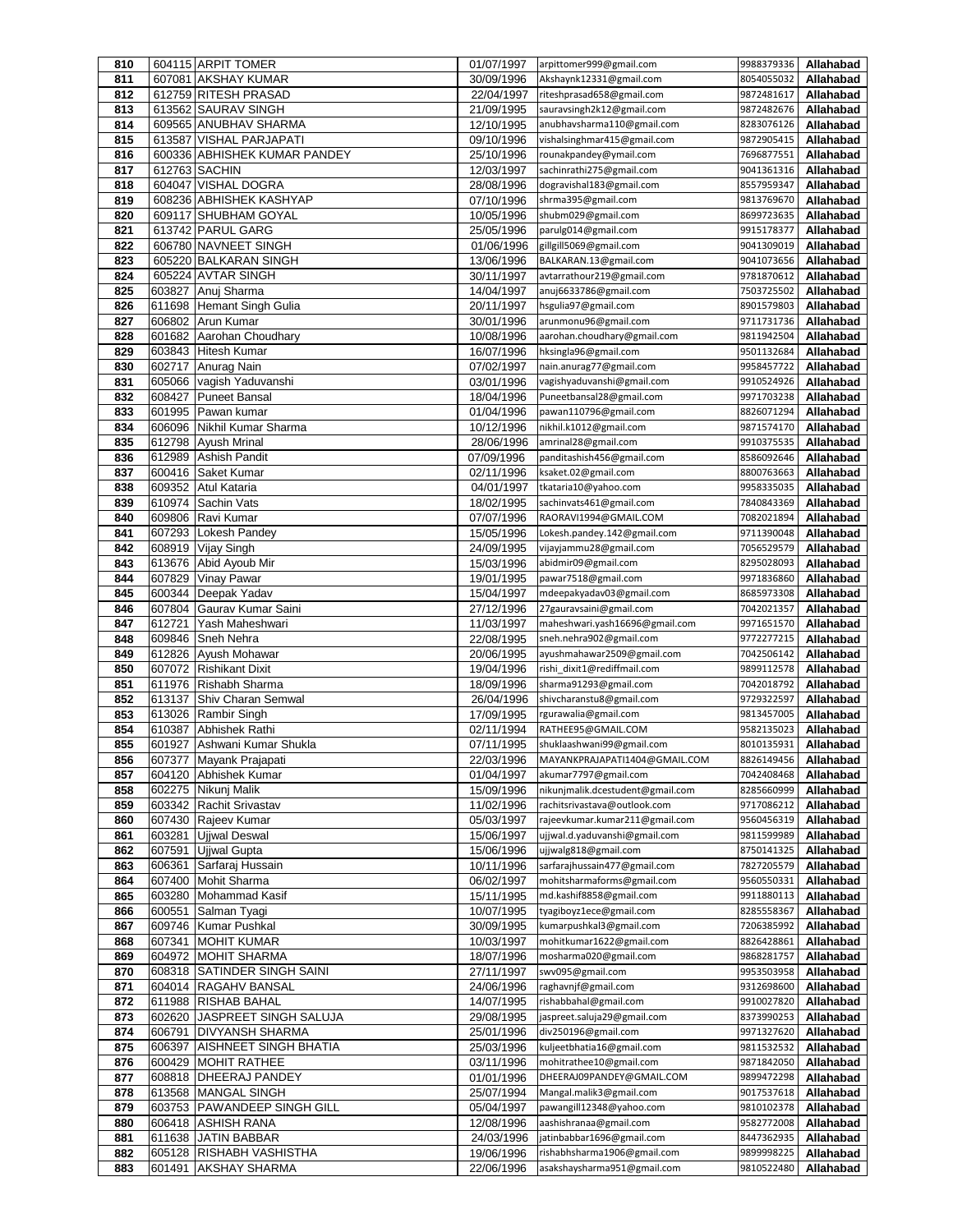| 810        |                  | 604115 ARPIT TOMER                                 | 01/07/1997               | arpittomer999@gmail.com                                    | 9988379336               | Allahabad              |
|------------|------------------|----------------------------------------------------|--------------------------|------------------------------------------------------------|--------------------------|------------------------|
| 811        |                  | 607081 AKSHAY KUMAR                                | 30/09/1996               | Akshaynk12331@gmail.com                                    | 8054055032               | Allahabad              |
| 812        |                  | 612759 RITESH PRASAD                               | 22/04/1997               | riteshprasad658@gmail.com                                  | 9872481617               | Allahabad              |
| 813        |                  | 613562 SAURAV SINGH<br>609565 ANUBHAV SHARMA       | 21/09/1995               | sauravsingh2k12@gmail.com                                  | 9872482676               | Allahabad              |
| 814<br>815 |                  | 613587 VISHAL PARJAPATI                            | 12/10/1995<br>09/10/1996 | anubhavsharma110@gmail.com<br>vishalsinghmar415@gmail.com  | 8283076126<br>9872905415 | Allahabad<br>Allahabad |
| 816        |                  | 600336 ABHISHEK KUMAR PANDEY                       | 25/10/1996               | rounakpandey@ymail.com                                     | 7696877551               | Allahabad              |
| 817        |                  | 612763 SACHIN                                      | 12/03/1997               | sachinrathi275@gmail.com                                   | 9041361316               | Allahabad              |
| 818        |                  | 604047 VISHAL DOGRA                                | 28/08/1996               | dogravishal183@gmail.com                                   | 8557959347               | Allahabad              |
| 819        |                  | 608236 ABHISHEK KASHYAP                            | 07/10/1996               | shrma395@gmail.com                                         | 9813769670               | Allahabad              |
| 820        |                  | 609117 SHUBHAM GOYAL                               | 10/05/1996               | shubm029@gmail.com                                         | 8699723635               | Allahabad              |
| 821        |                  | 613742 PARUL GARG                                  | 25/05/1996               | parulg014@gmail.com                                        | 9915178377               | Allahabad              |
| 822        |                  | 606780 NAVNEET SINGH                               | 01/06/1996               | gillgill5069@gmail.com                                     | 9041309019               | Allahabad              |
| 823        |                  | 605220 BALKARAN SINGH                              | 13/06/1996               | BALKARAN.13@gmail.com                                      | 9041073656               | Allahabad              |
| 824        |                  | 605224 AVTAR SINGH                                 | 30/11/1997               | avtarrathour219@gmail.com                                  | 9781870612               | Allahabad              |
| 825        | 603827           | Anuj Sharma                                        | 14/04/1997               | anuj6633786@gmail.com                                      | 7503725502               | Allahabad              |
| 826        | 611698           | <b>Hemant Singh Gulia</b>                          | 20/11/1997               | hsgulia97@gmail.com                                        | 8901579803               | Allahabad              |
| 827        |                  | 606802 Arun Kumar                                  | 30/01/1996               | arunmonu96@gmail.com<br>aarohan.choudhary@gmail.com        | 9711731736<br>9811942504 | Allahabad              |
| 828<br>829 | 603843           | 601682 Aarohan Choudhary<br><b>Hitesh Kumar</b>    | 10/08/1996<br>16/07/1996 | hksingla96@gmail.com                                       | 9501132684               | Allahabad<br>Allahabad |
| 830        | 602717           | Anurag Nain                                        | 07/02/1997               | nain.anurag77@gmail.com                                    | 9958457722               | Allahabad              |
| 831        | 605066           | vagish Yaduvanshi                                  | 03/01/1996               | vagishyaduvanshi@gmail.com                                 | 9910524926               | Allahabad              |
| 832        | 608427           | <b>Puneet Bansal</b>                               | 18/04/1996               | Puneetbansal28@gmail.com                                   | 9971703238               | Allahabad              |
| 833        | 601995           | Pawan kumar                                        | 01/04/1996               | pawan110796@gmail.com                                      | 8826071294               | Allahabad              |
| 834        | 606096           | Nikhil Kumar Sharma                                | 10/12/1996               | nikhil.k1012@gmail.com                                     | 9871574170               | Allahabad              |
| 835        | 612798           | <b>Ayush Mrinal</b>                                | 28/06/1996               | amrinal28@gmail.com                                        | 9910375535               | Allahabad              |
| 836        | 612989           | Ashish Pandit                                      | 07/09/1996               | panditashish456@gmail.com                                  | 8586092646               | Allahabad              |
| 837<br>838 | 600416<br>609352 | <b>Saket Kumar</b><br>Atul Kataria                 | 02/11/1996<br>04/01/1997 | ksaket.02@gmail.com<br>tkataria10@yahoo.com                | 8800763663<br>9958335035 | Allahabad<br>Allahabad |
| 839        |                  | 610974 Sachin Vats                                 | 18/02/1995               | sachinvats461@gmail.com                                    | 7840843369               | Allahabad              |
| 840        | 609806           | Ravi Kumar                                         | 07/07/1996               | RAORAVI1994@GMAIL.COM                                      | 7082021894               | Allahabad              |
| 841        | 607293           | Lokesh Pandey                                      | 15/05/1996               | Lokesh.pandey.142@gmail.com                                | 9711390048               | Allahabad              |
| 842        |                  | 608919 Vijay Singh                                 | 24/09/1995               | vijayjammu28@gmail.com                                     | 7056529579               | Allahabad              |
| 843        | 613676           | Abid Ayoub Mir                                     | 15/03/1996               | abidmir09@gmail.com                                        | 8295028093               | Allahabad              |
| 844        | 607829           | <b>Vinay Pawar</b>                                 | 19/01/1995               | pawar7518@gmail.com                                        | 9971836860               | Allahabad              |
| 845        | 600344           | Deepak Yadav                                       | 15/04/1997               | mdeepakyadav03@gmail.com                                   | 8685973308               | Allahabad              |
| 846        | 607804<br>612721 | Gaurav Kumar Saini<br>Yash Maheshwari              | 27/12/1996               | 27gauravsaini@gmail.com                                    | 7042021357               | Allahabad              |
| 847<br>848 | 609846           | Sneh Nehra                                         | 11/03/1997<br>22/08/1995 | maheshwari.yash16696@gmail.com<br>sneh.nehra902@gmail.com  | 9971651570<br>9772277215 | Allahabad<br>Allahabad |
| 849        | 612826           | Ayush Mohawar                                      | 20/06/1995               | ayushmahawar2509@gmail.com                                 | 7042506142               | Allahabad              |
| 850        | 607072           | <b>Rishikant Dixit</b>                             | 19/04/1996               | rishi dixit1@rediffmail.com                                | 9899112578               | Allahabad              |
| 851        |                  | 611976 Rishabh Sharma                              | 18/09/1996               | sharma91293@gmail.com                                      | 7042018792               | Allahabad              |
| 852        | 613137           | Shiv Charan Semwal                                 | 26/04/1996               | shivcharanstu8@gmail.com                                   | 9729322597               | Allahabad              |
| 853        | 613026           | Rambir Singh                                       | 17/09/1995               | rgurawalia@gmail.com                                       | 9813457005               | Allahabad              |
| 854        | 610387           | Abhishek Rathi                                     | 02/11/1994               | RATHEE95@GMAIL.COM                                         | 9582135023               | Allahabad              |
| 855        | 601927           | Ashwani Kumar Shukla                               | 07/11/1995               | shuklaashwani99@gmail.com                                  | 8010135931               | Allahabad              |
| 856<br>857 |                  | 607377   Mayank Prajapati<br>604120 Abhishek Kumar | 22/03/1996<br>01/04/1997 | MAYANKPRAJAPATI1404@GMAIL.COM<br>akumar7797@gmail.com      | 8826149456<br>7042408468 | Allahabad<br>Allahabad |
| 858        | 602275           | Nikunj Malik                                       | 15/09/1996               | nikunjmalik.dcestudent@gmail.com                           | 8285660999               | Allahabad              |
| 859        |                  | 603342 Rachit Srivastav                            | 11/02/1996               | rachitsrivastava@outlook.com                               | 9717086212               | Allahabad              |
| 860        |                  | 607430 Rajeev Kumar                                | 05/03/1997               | rajeevkumar.kumar211@gmail.com                             | 9560456319               | Allahabad              |
| 861        | 603281           | Ujjwal Deswal                                      | 15/06/1997               | ujjwal.d.yaduvanshi@gmail.com                              | 9811599989               | Allahabad              |
| 862        | 607591           | <b>Ujiwal Gupta</b>                                | 15/06/1996               | ujjwalg818@gmail.com                                       | 8750141325               | Allahabad              |
| 863        | 606361           | Sarfaraj Hussain                                   | 10/11/1996               | sarfarajhussain477@gmail.com                               | 7827205579               | Allahabad              |
| 864        | 607400           | <b>Mohit Sharma</b>                                | 06/02/1997               | mohitsharmaforms@gmail.com<br>md.kashif8858@gmail.com      | 9560550331               | Allahabad              |
| 865<br>866 | 603280<br>600551 | Mohammad Kasif<br>Salman Tyagi                     | 15/11/1995<br>10/07/1995 | tyagiboyz1ece@gmail.com                                    | 9911880113<br>8285558367 | Allahabad<br>Allahabad |
| 867        | 609746           | <b>Kumar Pushkal</b>                               | 30/09/1995               | kumarpushkal3@gmail.com                                    | 7206385992               | Allahabad              |
| 868        |                  | 607341 MOHIT KUMAR                                 | 10/03/1997               | mohitkumar1622@gmail.com                                   | 8826428861               | Allahabad              |
| 869        | 604972           | <b>MOHIT SHARMA</b>                                | 18/07/1996               | mosharma020@gmail.com                                      | 9868281757               | Allahabad              |
| 870        | 608318           | SATINDER SINGH SAINI                               | 27/11/1997               | swv095@gmail.com                                           | 9953503958               | Allahabad              |
| 871        | 604014           | <b>RAGAHV BANSAL</b>                               | 24/06/1996               | raghavnjf@gmail.com                                        | 9312698600               | Allahabad              |
| 872        |                  | 611988 RISHAB BAHAL                                | 14/07/1995               | rishabbahal@gmail.com                                      | 9910027820               | Allahabad              |
| 873        | 602620           | JASPREET SINGH SALUJA                              | 29/08/1995               | jaspreet.saluja29@gmail.com                                | 8373990253               | Allahabad              |
| 874        | 606791<br>606397 | <b>DIVYANSH SHARMA</b><br>AISHNEET SINGH BHATIA    | 25/01/1996               | div250196@gmail.com<br>kuljeetbhatia16@gmail.com           | 9971327620<br>9811532532 | Allahabad              |
| 875<br>876 | 600429           | <b>MOHIT RATHEE</b>                                | 25/03/1996<br>03/11/1996 | mohitrathee10@gmail.com                                    | 9871842050               | Allahabad<br>Allahabad |
| 877        |                  | 608818 DHEERAJ PANDEY                              | 01/01/1996               | DHEERAJ09PANDEY@GMAIL.COM                                  | 9899472298               | Allahabad              |
| 878        |                  | 613568 MANGAL SINGH                                | 25/07/1994               | Mangal.malik3@gmail.com                                    | 9017537618               | Allahabad              |
| 879        | 603753           | <b>PAWANDEEP SINGH GILL</b>                        | 05/04/1997               | pawangill12348@yahoo.com                                   | 9810102378               | Allahabad              |
| 880        | 606418           | <b>ASHISH RANA</b>                                 | 12/08/1996               | aashishranaa@gmail.com                                     | 9582772008               | Allahabad              |
| 881        |                  | 611638 JATIN BABBAR                                | 24/03/1996               | jatinbabbar1696@gmail.com                                  | 8447362935               | Allahabad              |
| 882<br>883 | 605128           | <b>RISHABH VASHISTHA</b><br>601491 AKSHAY SHARMA   | 19/06/1996<br>22/06/1996 | rishabhsharma1906@gmail.com<br>asakshaysharma951@gmail.com | 9899998225<br>9810522480 | Allahabad<br>Allahabad |
|            |                  |                                                    |                          |                                                            |                          |                        |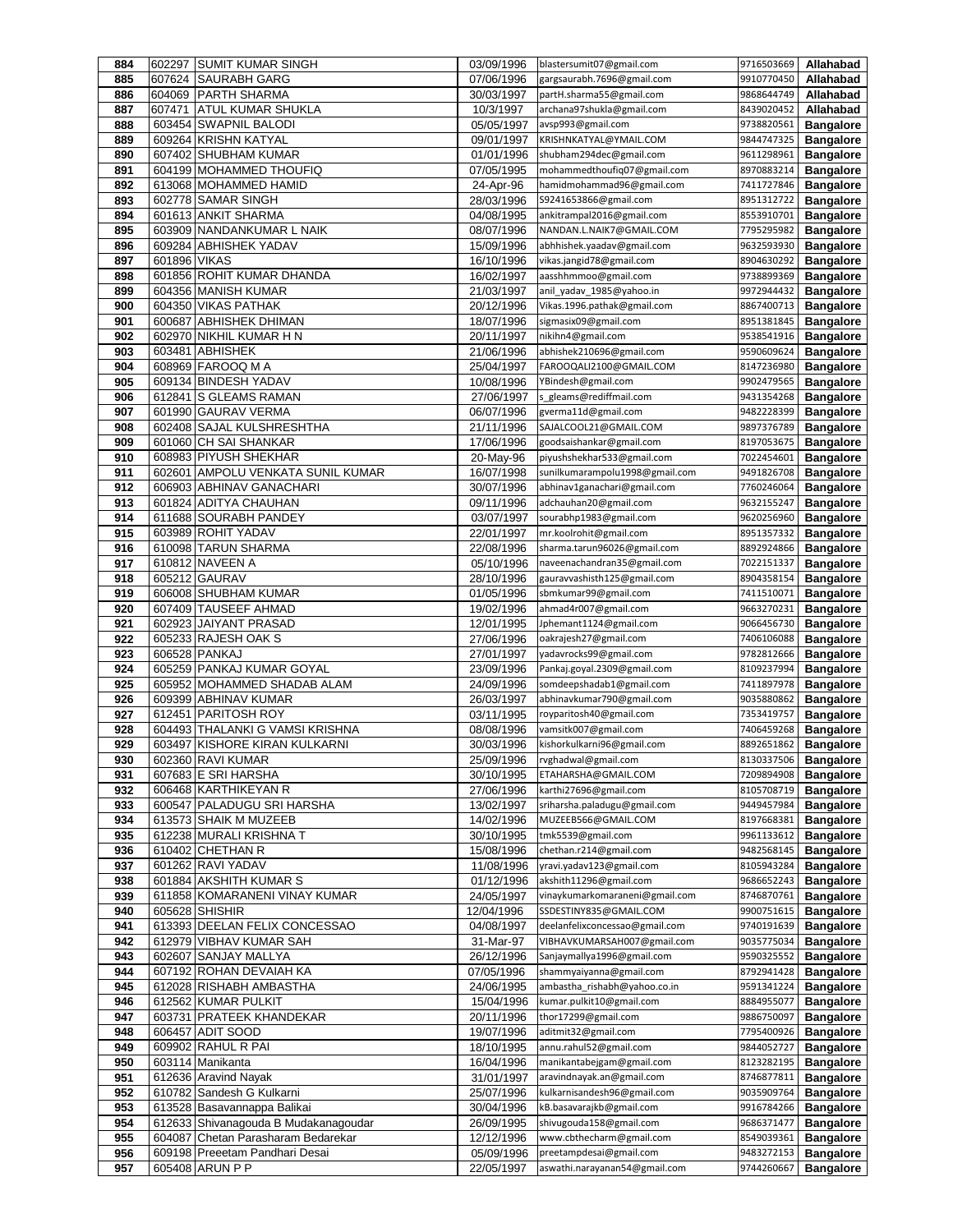| 884        | 602297       | <b>SUMIT KUMAR SINGH</b>                               | 03/09/1996               | blastersumit07@gmail.com                                      | 9716503669               | Allahabad                            |
|------------|--------------|--------------------------------------------------------|--------------------------|---------------------------------------------------------------|--------------------------|--------------------------------------|
| 885        | 607624       | <b>SAURABH GARG</b>                                    | 07/06/1996               | gargsaurabh.7696@gmail.com                                    | 9910770450               | Allahabad                            |
| 886        |              | 604069 PARTH SHARMA                                    | 30/03/1997               | partH.sharma55@gmail.com                                      | 9868644749               | Allahabad                            |
| 887        | 607471       | <b>ATUL KUMAR SHUKLA</b>                               | 10/3/1997                | archana97shukla@gmail.com                                     | 8439020452               | Allahabad                            |
| 888        |              | 603454 SWAPNIL BALODI                                  | 05/05/1997               | avsp993@gmail.com                                             | 9738820561               | <b>Bangalore</b>                     |
| 889        |              | 609264 KRISHN KATYAL<br>607402 SHUBHAM KUMAR           | 09/01/1997               | KRISHNKATYAL@YMAIL.COM                                        | 9844747325               | <b>Bangalore</b>                     |
| 890        |              |                                                        | 01/01/1996               | shubham294dec@gmail.com<br>mohammedthoufiq07@gmail.com        | 9611298961<br>8970883214 | <b>Bangalore</b><br><b>Bangalore</b> |
| 891<br>892 |              | 604199 MOHAMMED THOUFIQ<br>613068 MOHAMMED HAMID       | 07/05/1995<br>24-Apr-96  | hamidmohammad96@gmail.com                                     | 7411727846               | <b>Bangalore</b>                     |
| 893        |              | 602778 SAMAR SINGH                                     | 28/03/1996               | S9241653866@gmail.com                                         | 8951312722               | <b>Bangalore</b>                     |
| 894        |              | 601613 ANKIT SHARMA                                    | 04/08/1995               | ankitrampal2016@gmail.com                                     | 8553910701               | <b>Bangalore</b>                     |
| 895        |              | 603909 NANDANKUMAR L NAIK                              | 08/07/1996               | NANDAN.L.NAIK7@GMAIL.COM                                      | 7795295982               | <b>Bangalore</b>                     |
| 896        |              | 609284 ABHISHEK YADAV                                  | 15/09/1996               | abhhishek.yaadav@gmail.com                                    | 9632593930               | <b>Bangalore</b>                     |
| 897        | 601896 VIKAS |                                                        | 16/10/1996               | vikas.jangid78@gmail.com                                      | 8904630292               | <b>Bangalore</b>                     |
| 898        |              | 601856 ROHIT KUMAR DHANDA                              | 16/02/1997               | aasshhmmoo@gmail.com                                          | 9738899369               | <b>Bangalore</b>                     |
| 899        |              | 604356 MANISH KUMAR                                    | 21/03/1997               | anil_yadav_1985@yahoo.in                                      | 9972944432               | <b>Bangalore</b>                     |
| 900        |              | 604350 VIKAS PATHAK                                    | 20/12/1996               | Vikas.1996.pathak@gmail.com                                   | 8867400713               | <b>Bangalore</b>                     |
| 901        |              | 600687 ABHISHEK DHIMAN                                 | 18/07/1996               | sigmasix09@gmail.com                                          | 8951381845               | <b>Bangalore</b>                     |
| 902        |              | 602970 NIKHIL KUMAR H N                                | 20/11/1997               | nikihn4@gmail.com                                             | 9538541916               | <b>Bangalore</b>                     |
| 903        |              | 603481 ABHISHEK                                        | 21/06/1996               | abhishek210696@gmail.com                                      | 9590609624               | <b>Bangalore</b>                     |
| 904        |              | 608969 FAROOQ M A                                      | 25/04/1997               | FAROOQALI2100@GMAIL.COM                                       | 8147236980               | <b>Bangalore</b>                     |
| 905        |              | 609134 BINDESH YADAV                                   | 10/08/1996               | YBindesh@gmail.com                                            | 9902479565               | <b>Bangalore</b>                     |
| 906        |              | 612841 S GLEAMS RAMAN                                  | 27/06/1997               | s gleams@rediffmail.com                                       | 9431354268               | <b>Bangalore</b>                     |
| 907        |              | 601990 GAURAV VERMA                                    | 06/07/1996               | gverma11d@gmail.com                                           | 9482228399               | <b>Bangalore</b>                     |
| 908        |              | 602408 SAJAL KULSHRESHTHA                              | 21/11/1996               | SAJALCOOL21@GMAIL.COM                                         | 9897376789               | <b>Bangalore</b>                     |
| 909        |              | 601060 CH SAI SHANKAR                                  | 17/06/1996               | goodsaishankar@gmail.com                                      | 8197053675               | <b>Bangalore</b>                     |
| 910        |              | 608983 PIYUSH SHEKHAR                                  | 20-May-96                | piyushshekhar533@gmail.com                                    | 7022454601               | <b>Bangalore</b>                     |
| 911<br>912 | 602601       | AMPOLU VENKATA SUNIL KUMAR<br>606903 ABHINAV GANACHARI | 16/07/1998<br>30/07/1996 | sunilkumarampolu1998@gmail.com<br>abhinav1ganachari@gmail.com | 9491826708<br>7760246064 | <b>Bangalore</b><br><b>Bangalore</b> |
| 913        |              | 601824 ADITYA CHAUHAN                                  | 09/11/1996               | adchauhan20@gmail.com                                         | 9632155247               | <b>Bangalore</b>                     |
| 914        |              | 611688 SOURABH PANDEY                                  | 03/07/1997               | sourabhp1983@gmail.com                                        | 9620256960               | <b>Bangalore</b>                     |
| 915        |              | 603989 ROHIT YADAV                                     | 22/01/1997               | mr.koolrohit@gmail.com                                        | 8951357332               | <b>Bangalore</b>                     |
| 916        |              | 610098 TARUN SHARMA                                    | 22/08/1996               | sharma.tarun96026@gmail.com                                   | 8892924866               | <b>Bangalore</b>                     |
| 917        |              | 610812 NAVEEN A                                        | 05/10/1996               | naveenachandran35@gmail.com                                   | 7022151337               | <b>Bangalore</b>                     |
| 918        |              | 605212 GAURAV                                          | 28/10/1996               | gauravvashisth125@gmail.com                                   | 8904358154               | <b>Bangalore</b>                     |
| 919        |              | 606008 SHUBHAM KUMAR                                   | 01/05/1996               | sbmkumar99@gmail.com                                          | 7411510071               | <b>Bangalore</b>                     |
| 920        |              | 607409 TAUSEEF AHMAD                                   | 19/02/1996               | ahmad4r007@gmail.com                                          | 9663270231               | <b>Bangalore</b>                     |
| 921        |              | 602923 JAIYANT PRASAD                                  | 12/01/1995               | Jphemant1124@gmail.com                                        | 9066456730               | <b>Bangalore</b>                     |
| 922        |              | 605233 RAJESH OAK S                                    | 27/06/1996               | oakrajesh27@gmail.com                                         | 7406106088               | <b>Bangalore</b>                     |
| 923        |              | 606528 PANKAJ                                          | 27/01/1997               | yadavrocks99@gmail.com                                        | 9782812666               | <b>Bangalore</b>                     |
| 924        |              | 605259 PANKAJ KUMAR GOYAL                              | 23/09/1996               | Pankaj.goyal.2309@gmail.com                                   | 8109237994               | <b>Bangalore</b>                     |
| 925        |              | 605952 MOHAMMED SHADAB ALAM                            | 24/09/1996               | somdeepshadab1@gmail.com                                      | 7411897978               | <b>Bangalore</b>                     |
| 926        |              | 609399 ABHINAV KUMAR                                   | 26/03/1997               | abhinavkumar790@gmail.com                                     | 9035880862               | <b>Bangalore</b>                     |
| 927        |              | 612451 PARITOSH ROY                                    | 03/11/1995               | royparitosh40@gmail.com                                       | 7353419757               | <b>Bangalore</b>                     |
| 928        |              | 604493 THALANKI G VAMSI KRISHNA                        | 08/08/1996               | vamsitk007@gmail.com                                          | 7406459268               | <b>Bangalore</b>                     |
| 929        |              | 603497 KISHORE KIRAN KULKARNI                          | 30/03/1996               | kishorkulkarni96@gmail.com                                    | 8892651862               | <b>Bangalore</b>                     |
| 930<br>931 |              | 602360 RAVI KUMAR                                      | 25/09/1996<br>30/10/1995 | rvghadwal@gmail.com<br>ETAHARSHA@GMAIL.COM                    | 8130337506<br>7209894908 | <b>Bangalore</b><br><b>Bangalore</b> |
| 932        |              | 607683 E SRI HARSHA<br>606468 KARTHIKEYAN R            | 27/06/1996               | karthi27696@gmail.com                                         | 8105708719               | <b>Bangalore</b>                     |
| 933        |              | 600547 PALADUGU SRI HARSHA                             | 13/02/1997               | sriharsha.paladugu@gmail.com                                  | 9449457984               | <b>Bangalore</b>                     |
| 934        |              | 613573 SHAIK M MUZEEB                                  | 14/02/1996               | MUZEEB566@GMAIL.COM                                           | 8197668381               | <b>Bangalore</b>                     |
| 935        |              | 612238 MURALI KRISHNA T                                | 30/10/1995               | tmk5539@gmail.com                                             | 9961133612               | <b>Bangalore</b>                     |
| 936        |              | 610402 CHETHAN R                                       | 15/08/1996               | chethan.r214@gmail.com                                        | 9482568145               | <b>Bangalore</b>                     |
| 937        |              | 601262 RAVI YADAV                                      | 11/08/1996               | yravi.yadav123@gmail.com                                      | 8105943284               | <b>Bangalore</b>                     |
| 938        |              | 601884 AKSHITH KUMAR S                                 | 01/12/1996               | akshith11296@gmail.com                                        | 9686652243               | <b>Bangalore</b>                     |
| 939        |              | 611858 KOMARANENI VINAY KUMAR                          | 24/05/1997               | vinaykumarkomaraneni@gmail.com                                | 8746870761               | <b>Bangalore</b>                     |
| 940        |              | 605628 SHISHIR                                         | 12/04/1996               | SSDESTINY835@GMAIL.COM                                        | 9900751615               | <b>Bangalore</b>                     |
| 941        |              | 613393 DEELAN FELIX CONCESSAO                          | 04/08/1997               | deelanfelixconcessao@gmail.com                                | 9740191639               | <b>Bangalore</b>                     |
| 942        |              | 612979 VIBHAV KUMAR SAH                                | 31-Mar-97                | VIBHAVKUMARSAH007@gmail.com                                   | 9035775034               | <b>Bangalore</b>                     |
| 943        |              | 602607 SANJAY MALLYA                                   | 26/12/1996               | Sanjaymallya1996@gmail.com                                    | 9590325552               | <b>Bangalore</b>                     |
| 944        |              | 607192 ROHAN DEVAIAH KA                                | 07/05/1996               | shammyaiyanna@gmail.com                                       | 8792941428               | <b>Bangalore</b>                     |
| 945        |              | 612028 RISHABH AMBASTHA                                | 24/06/1995               | ambastha_rishabh@yahoo.co.in                                  | 9591341224               | <b>Bangalore</b>                     |
| 946        |              | 612562 KUMAR PULKIT                                    | 15/04/1996               | kumar.pulkit10@gmail.com                                      | 8884955077               | <b>Bangalore</b>                     |
| 947        |              | 603731 PRATEEK KHANDEKAR                               | 20/11/1996               | thor17299@gmail.com                                           | 9886750097               | <b>Bangalore</b>                     |
| 948        |              | 606457 ADIT SOOD                                       | 19/07/1996               | aditmit32@gmail.com                                           | 7795400926               | <b>Bangalore</b>                     |
| 949        |              | 609902 RAHUL R PAI                                     | 18/10/1995               | annu.rahul52@gmail.com                                        | 9844052727               | <b>Bangalore</b>                     |
| 950<br>951 |              | 603114 Manikanta                                       | 16/04/1996               | manikantabejgam@gmail.com<br>aravindnayak.an@gmail.com        | 8123282195<br>8746877811 | <b>Bangalore</b>                     |
| 952        |              | 612636 Aravind Nayak<br>610782 Sandesh G Kulkarni      | 31/01/1997<br>25/07/1996 | kulkarnisandesh96@gmail.com                                   | 9035909764               | <b>Bangalore</b><br><b>Bangalore</b> |
| 953        |              | 613528 Basavannappa Balikai                            | 30/04/1996               | kB.basavarajkb@gmail.com                                      | 9916784266               | <b>Bangalore</b>                     |
| 954        |              | 612633 Shivanagouda B Mudakanagoudar                   | 26/09/1995               | shivugouda158@gmail.com                                       | 9686371477               | <b>Bangalore</b>                     |
| 955        |              | 604087 Chetan Parasharam Bedarekar                     | 12/12/1996               | www.cbthecharm@gmail.com                                      | 8549039361               | <b>Bangalore</b>                     |
| 956        |              | 609198 Preeetam Pandhari Desai                         | 05/09/1996               | preetampdesai@gmail.com                                       | 9483272153               | <b>Bangalore</b>                     |
| 957        |              | 605408 ARUN P P                                        | 22/05/1997               | aswathi.narayanan54@gmail.com                                 | 9744260667               | <b>Bangalore</b>                     |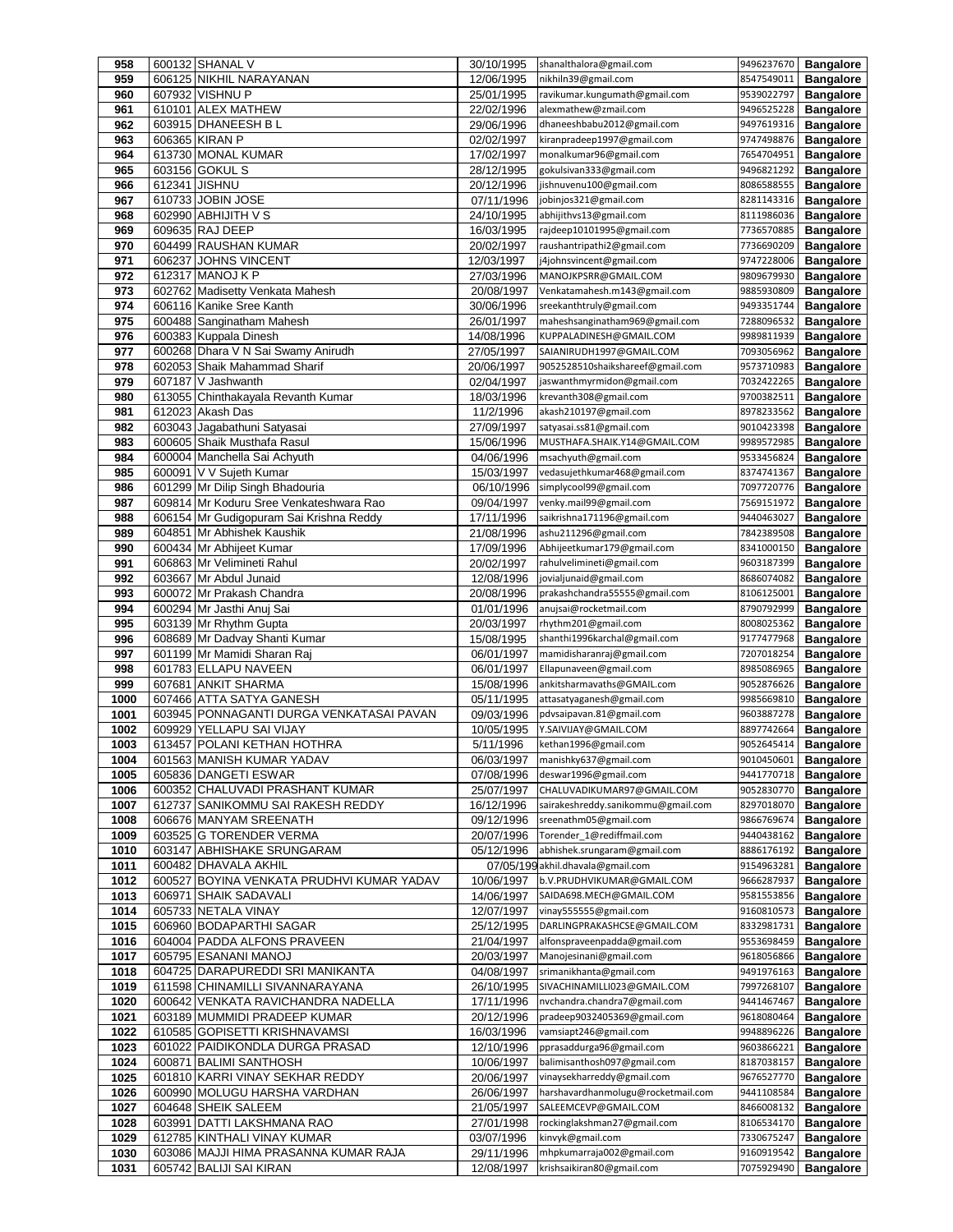| 958          |               | 600132 SHANAL V                                                 | 30/10/1995               | shanalthalora@gmail.com                                   | 9496237670               | <b>Bangalore</b>                     |
|--------------|---------------|-----------------------------------------------------------------|--------------------------|-----------------------------------------------------------|--------------------------|--------------------------------------|
| 959          |               | 606125 NIKHIL NARAYANAN                                         | 12/06/1995               | nikhiln39@gmail.com                                       | 8547549011               | <b>Bangalore</b>                     |
| 960          |               | 607932 VISHNU P                                                 | 25/01/1995               | ravikumar.kungumath@gmail.com                             | 9539022797               | <b>Bangalore</b>                     |
| 961          |               | 610101 ALEX MATHEW                                              | 22/02/1996               | alexmathew@zmail.com                                      | 9496525228               | <b>Bangalore</b>                     |
| 962          |               | 603915 DHANEESH BL                                              | 29/06/1996               | dhaneeshbabu2012@gmail.com                                | 9497619316               | <b>Bangalore</b>                     |
| 963          |               | 606365 KIRAN P                                                  | 02/02/1997               | kiranpradeep1997@gmail.com                                | 9747498876               | <b>Bangalore</b>                     |
| 964          |               | 613730 MONAL KUMAR                                              | 17/02/1997               | monalkumar96@gmail.com                                    | 7654704951               | <b>Bangalore</b>                     |
| 965          |               | 603156 GOKUL S                                                  | 28/12/1995               | gokulsivan333@gmail.com                                   | 9496821292               | <b>Bangalore</b>                     |
| 966          | 612341 JISHNU |                                                                 | 20/12/1996               | jishnuvenu100@gmail.com                                   | 8086588555               | <b>Bangalore</b>                     |
| 967          |               | 610733 JOBIN JOSE                                               | 07/11/1996               | jobinjos321@gmail.com                                     | 8281143316               | <b>Bangalore</b>                     |
| 968          |               | 602990 ABHIJITH V S                                             | 24/10/1995               | abhijithvs13@gmail.com                                    | 8111986036               | <b>Bangalore</b>                     |
| 969          |               | 609635 RAJ DEEP                                                 | 16/03/1995               | rajdeep10101995@gmail.com                                 | 7736570885               | <b>Bangalore</b>                     |
| 970          |               | 604499 RAUSHAN KUMAR                                            | 20/02/1997               | raushantripathi2@gmail.com                                | 7736690209               | <b>Bangalore</b>                     |
| 971          |               | 606237 JOHNS VINCENT                                            | 12/03/1997               | j4johnsvincent@gmail.com                                  | 9747228006               | <b>Bangalore</b>                     |
| 972          |               | 612317 MANOJ K P                                                | 27/03/1996               | MANOJKPSRR@GMAIL.COM                                      | 9809679930               | <b>Bangalore</b>                     |
| 973          |               | 602762 Madisetty Venkata Mahesh                                 | 20/08/1997               | Venkatamahesh.m143@gmail.com                              | 9885930809               | <b>Bangalore</b>                     |
| 974          |               | 606116 Kanike Sree Kanth                                        | 30/06/1996               | sreekanthtruly@gmail.com                                  | 9493351744               | <b>Bangalore</b>                     |
| 975          |               | 600488 Sanginatham Mahesh                                       | 26/01/1997               | maheshsanginatham969@gmail.com                            | 7288096532               | <b>Bangalore</b>                     |
| 976          |               | 600383 Kuppala Dinesh                                           | 14/08/1996               | KUPPALADINESH@GMAIL.COM                                   | 9989811939               | <b>Bangalore</b>                     |
| 977          |               | 600268 Dhara V N Sai Swamy Anirudh                              | 27/05/1997               | SAIANIRUDH1997@GMAIL.COM                                  | 7093056962               | <b>Bangalore</b>                     |
| 978          |               | 602053 Shaik Mahammad Sharif                                    | 20/06/1997               | 9052528510shaikshareef@gmail.com                          | 9573710983               | <b>Bangalore</b>                     |
| 979          |               | 607187 V Jashwanth                                              | 02/04/1997               | jaswanthmyrmidon@gmail.com                                | 7032422265               | <b>Bangalore</b>                     |
| 980          |               | 613055 Chinthakayala Revanth Kumar                              | 18/03/1996               | krevanth308@gmail.com                                     | 9700382511               | <b>Bangalore</b>                     |
| 981          |               | 612023 Akash Das                                                | 11/2/1996                | akash210197@gmail.com                                     | 8978233562               | <b>Bangalore</b>                     |
| 982          |               | 603043 Jagabathuni Satyasai                                     | 27/09/1997               | satyasai.ss81@gmail.com                                   | 9010423398               | <b>Bangalore</b>                     |
| 983          |               | 600605 Shaik Musthafa Rasul                                     | 15/06/1996               | MUSTHAFA.SHAIK.Y14@GMAIL.COM                              | 9989572985               | <b>Bangalore</b>                     |
| 984          |               | 600004 Manchella Sai Achyuth                                    | 04/06/1996               | msachyuth@gmail.com                                       | 9533456824               | <b>Bangalore</b>                     |
| 985          |               | 600091 V V Sujeth Kumar                                         | 15/03/1997               | vedasujethkumar468@gmail.com                              | 8374741367               | <b>Bangalore</b>                     |
| 986          |               | 601299 Mr Dilip Singh Bhadouria                                 | 06/10/1996               | simplycool99@gmail.com                                    | 7097720776               | <b>Bangalore</b>                     |
| 987          |               | 609814 Mr Koduru Sree Venkateshwara Rao                         | 09/04/1997               | venky.mail99@gmail.com                                    | 7569151972               | <b>Bangalore</b>                     |
| 988          |               | 606154 Mr Gudigopuram Sai Krishna Reddy                         | 17/11/1996               | saikrishna171196@gmail.com                                | 9440463027               | <b>Bangalore</b>                     |
| 989          |               | 604851 Mr Abhishek Kaushik                                      | 21/08/1996               | ashu211296@gmail.com                                      | 7842389508               | <b>Bangalore</b>                     |
| 990          |               | 600434 Mr Abhijeet Kumar                                        | 17/09/1996               | Abhijeetkumar179@gmail.com                                | 8341000150               | <b>Bangalore</b>                     |
| 991          |               | 606863 Mr Velimineti Rahul                                      | 20/02/1997               | rahulvelimineti@gmail.com                                 | 9603187399               | <b>Bangalore</b>                     |
| 992          |               | 603667 Mr Abdul Junaid                                          | 12/08/1996               | jovialjunaid@gmail.com                                    | 8686074082               | <b>Bangalore</b>                     |
| 993          |               | 600072 Mr Prakash Chandra                                       | 20/08/1996               | prakashchandra55555@gmail.com                             | 8106125001               | <b>Bangalore</b>                     |
| 994          |               | 600294 Mr Jasthi Anuj Sai                                       | 01/01/1996               | anujsai@rocketmail.com                                    | 8790792999               | <b>Bangalore</b>                     |
|              |               |                                                                 |                          |                                                           |                          |                                      |
| 995          |               | 603139 Mr Rhythm Gupta                                          | 20/03/1997               | rhythm201@gmail.com                                       | 8008025362               | <b>Bangalore</b>                     |
| 996          |               | 608689 Mr Dadvay Shanti Kumar                                   | 15/08/1995               | shanthi1996karchal@gmail.com                              | 9177477968               | <b>Bangalore</b>                     |
| 997          |               | 601199 Mr Mamidi Sharan Raj                                     | 06/01/1997               | mamidisharanraj@gmail.com                                 | 7207018254               | <b>Bangalore</b>                     |
| 998          |               | 601783 ELLAPU NAVEEN                                            | 06/01/1997               | Ellapunaveen@gmail.com                                    | 8985086965               | <b>Bangalore</b>                     |
| 999          |               | 607681 ANKIT SHARMA                                             | 15/08/1996               | ankitsharmavaths@GMAIL.com                                | 9052876626               | <b>Bangalore</b>                     |
| 1000         |               | 607466 ATTA SATYA GANESH                                        | 05/11/1995               | attasatyaganesh@gmail.com                                 | 9985669810               | <b>Bangalore</b>                     |
| 1001         |               | 603945 PONNAGANTI DURGA VENKATASAI PAVAN                        | 09/03/1996               | pdvsaipavan.81@gmail.com                                  | 9603887278               | <b>Bangalore</b>                     |
| 1002         |               | 609929 YELLAPU SAI VIJAY                                        | 10/05/1995               | Y.SAIVIJAY@GMAIL.COM                                      | 8897742664               | <b>Bangalore</b>                     |
| 1003         |               | 613457 POLANI KETHAN HOTHRA                                     | 5/11/1996                | kethan1996@gmail.com                                      | 9052645414               | <b>Bangalore</b>                     |
| 1004         |               | 601563 MANISH KUMAR YADAV                                       | 06/03/1997               | manishky637@gmail.com                                     | 9010450601               | <b>Bangalore</b>                     |
| 1005         |               | 605836 DANGETI ESWAR                                            | 07/08/1996               | deswar1996@gmail.com                                      | 9441770718               | <b>Bangalore</b>                     |
| 1006         |               | 600352 CHALUVADI PRASHANT KUMAR                                 | 25/07/1997               | CHALUVADIKUMAR97@GMAIL.COM                                | 9052830770               | <b>Bangalore</b>                     |
| 1007         |               | 612737 SANIKOMMU SAI RAKESH REDDY                               | 16/12/1996               | sairakeshreddy.sanikommu@gmail.com                        | 8297018070               | <b>Bangalore</b>                     |
| 1008         |               | 606676 MANYAM SREENATH                                          | 09/12/1996               | sreenathm05@gmail.com                                     | 9866769674               | <b>Bangalore</b>                     |
| 1009         |               | 603525 G TORENDER VERMA                                         | 20/07/1996               | Torender 1@rediffmail.com                                 | 9440438162               | <b>Bangalore</b>                     |
| 1010         |               | 603147 ABHISHAKE SRUNGARAM                                      | 05/12/1996               | abhishek.srungaram@gmail.com                              | 8886176192               | <b>Bangalore</b>                     |
| 1011         |               | 600482 DHAVALA AKHIL                                            |                          | 07/05/199 akhil.dhavala@gmail.com                         | 9154963281               | <b>Bangalore</b>                     |
| 1012         |               | 600527 BOYINA VENKATA PRUDHVI KUMAR YADAV                       | 10/06/1997               | b.V.PRUDHVIKUMAR@GMAIL.COM                                | 9666287937               | <b>Bangalore</b>                     |
| 1013         |               | 606971 SHAIK SADAVALI                                           | 14/06/1997               | SAIDA698.MECH@GMAIL.COM                                   | 9581553856               | <b>Bangalore</b>                     |
| 1014         |               | 605733 NETALA VINAY                                             | 12/07/1997               | vinay555555@gmail.com                                     | 9160810573               | <b>Bangalore</b>                     |
| 1015         |               | 606960 BODAPARTHI SAGAR                                         | 25/12/1995               | DARLINGPRAKASHCSE@GMAIL.COM                               | 8332981731               | <b>Bangalore</b>                     |
| 1016         |               | 604004 PADDA ALFONS PRAVEEN                                     | 21/04/1997               | alfonspraveenpadda@gmail.com                              | 9553698459               | <b>Bangalore</b>                     |
| 1017         |               | 605795 ESANANI MANOJ                                            | 20/03/1997               | Manojesinani@gmail.com                                    | 9618056866               | <b>Bangalore</b>                     |
| 1018         |               | 604725 DARAPUREDDI SRI MANIKANTA                                | 04/08/1997               | srimanikhanta@gmail.com                                   | 9491976163               | <b>Bangalore</b>                     |
| 1019         |               | 611598 CHINAMILLI SIVANNARAYANA                                 | 26/10/1995               | SIVACHINAMILLI023@GMAIL.COM                               | 7997268107               | <b>Bangalore</b>                     |
| 1020         |               | 600642 VENKATA RAVICHANDRA NADELLA                              | 17/11/1996               | nvchandra.chandra7@gmail.com                              | 9441467467               | <b>Bangalore</b>                     |
| 1021         |               | 603189 MUMMIDI PRADEEP KUMAR                                    | 20/12/1996               | pradeep9032405369@gmail.com                               | 9618080464               | <b>Bangalore</b>                     |
| 1022         |               | 610585 GOPISETTI KRISHNAVAMSI                                   | 16/03/1996               | vamsiapt246@gmail.com                                     | 9948896226               | <b>Bangalore</b>                     |
| 1023         |               | 601022 PAIDIKONDLA DURGA PRASAD                                 | 12/10/1996               | pprasaddurga96@gmail.com                                  | 9603866221               | <b>Bangalore</b>                     |
| 1024         |               | 600871 BALIMI SANTHOSH                                          | 10/06/1997               | balimisanthosh097@gmail.com<br>vinaysekharreddy@gmail.com | 8187038157               | <b>Bangalore</b>                     |
| 1025<br>1026 |               | 601810 KARRI VINAY SEKHAR REDDY<br>600990 MOLUGU HARSHA VARDHAN | 20/06/1997<br>26/06/1997 | harshavardhanmolugu@rocketmail.com                        | 9676527770<br>9441108584 | <b>Bangalore</b>                     |
| 1027         |               | 604648 SHEIK SALEEM                                             | 21/05/1997               | SALEEMCEVP@GMAIL.COM                                      | 8466008132               | <b>Bangalore</b><br><b>Bangalore</b> |
| 1028         |               | 603991 DATTI LAKSHMANA RAO                                      | 27/01/1998               | rockinglakshman27@gmail.com                               | 8106534170               | <b>Bangalore</b>                     |
| 1029         |               | 612785 KINTHALI VINAY KUMAR                                     | 03/07/1996               | kinvyk@gmail.com                                          | 7330675247               | <b>Bangalore</b>                     |
| 1030         |               | 603086 MAJJI HIMA PRASANNA KUMAR RAJA                           | 29/11/1996               | mhpkumarraja002@gmail.com                                 | 9160919542               | <b>Bangalore</b>                     |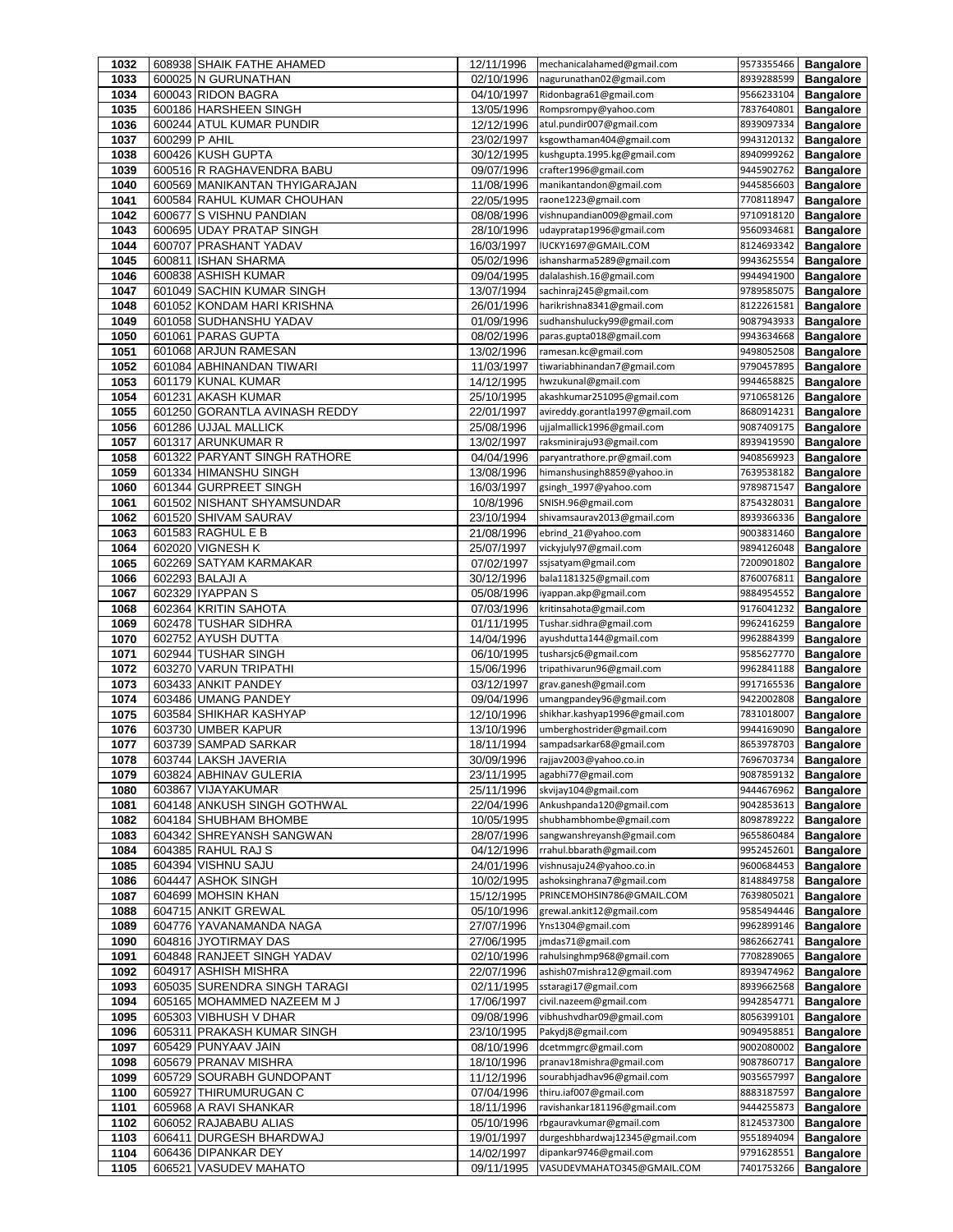| 1032         |               | 608938 SHAIK FATHE AHAMED                                  | 12/11/1996               | mechanicalahamed@gmail.com                            | 9573355466               | <b>Bangalore</b>                     |
|--------------|---------------|------------------------------------------------------------|--------------------------|-------------------------------------------------------|--------------------------|--------------------------------------|
| 1033         |               | 600025 N GURUNATHAN                                        | 02/10/1996               | nagurunathan02@gmail.com                              | 8939288599               | <b>Bangalore</b>                     |
| 1034         |               | 600043 RIDON BAGRA                                         | 04/10/1997               | Ridonbagra61@gmail.com                                | 9566233104               | <b>Bangalore</b>                     |
| 1035         |               | 600186 HARSHEEN SINGH                                      | 13/05/1996               | Rompsrompy@yahoo.com                                  | 7837640801               | <b>Bangalore</b>                     |
| 1036         |               | 600244 ATUL KUMAR PUNDIR                                   | 12/12/1996               | atul.pundir007@gmail.com                              | 8939097334               | <b>Bangalore</b>                     |
| 1037         | 600299 P AHIL |                                                            | 23/02/1997               | ksgowthaman404@gmail.com                              | 9943120132               | <b>Bangalore</b>                     |
| 1038         |               | 600426 KUSH GUPTA                                          | 30/12/1995               | kushgupta.1995.kg@gmail.com                           | 8940999262               | <b>Bangalore</b>                     |
| 1039<br>1040 |               | 600516 R RAGHAVENDRA BABU<br>600569 MANIKANTAN THYIGARAJAN | 09/07/1996               | crafter1996@gmail.com<br>manikantandon@gmail.com      | 9445902762<br>9445856603 | <b>Bangalore</b>                     |
| 1041         |               | 600584 RAHUL KUMAR CHOUHAN                                 | 11/08/1996<br>22/05/1995 | raone1223@gmail.com                                   | 7708118947               | <b>Bangalore</b><br><b>Bangalore</b> |
| 1042         |               | 600677 S VISHNU PANDIAN                                    | 08/08/1996               | vishnupandian009@gmail.com                            | 9710918120               | <b>Bangalore</b>                     |
| 1043         |               | 600695 UDAY PRATAP SINGH                                   | 28/10/1996               | udaypratap1996@gmail.com                              | 9560934681               | <b>Bangalore</b>                     |
| 1044         |               | 600707 PRASHANT YADAV                                      | 16/03/1997               | IUCKY1697@GMAIL.COM                                   | 8124693342               | <b>Bangalore</b>                     |
| 1045         |               | 600811 ISHAN SHARMA                                        | 05/02/1996               | ishansharma5289@gmail.com                             | 9943625554               | <b>Bangalore</b>                     |
| 1046         |               | 600838 ASHISH KUMAR                                        | 09/04/1995               | dalalashish.16@gmail.com                              | 9944941900               | <b>Bangalore</b>                     |
| 1047         |               | 601049 SACHIN KUMAR SINGH                                  | 13/07/1994               | sachinraj245@gmail.com                                | 9789585075               | <b>Bangalore</b>                     |
| 1048         |               | 601052 KONDAM HARI KRISHNA                                 | 26/01/1996               | harikrishna8341@gmail.com                             | 8122261581               | <b>Bangalore</b>                     |
| 1049         |               | 601058 SUDHANSHU YADAV                                     | 01/09/1996               | sudhanshulucky99@gmail.com                            | 9087943933               | <b>Bangalore</b>                     |
| 1050         |               | 601061 PARAS GUPTA                                         | 08/02/1996               | paras.gupta018@gmail.com                              | 9943634668               | <b>Bangalore</b>                     |
| 1051         |               | 601068 ARJUN RAMESAN                                       | 13/02/1996               | ramesan.kc@gmail.com                                  | 9498052508               | <b>Bangalore</b>                     |
| 1052         |               | 601084 ABHINANDAN TIWARI                                   | 11/03/1997               | tiwariabhinandan7@gmail.com                           | 9790457895               | <b>Bangalore</b>                     |
| 1053         |               | 601179 KUNAL KUMAR                                         | 14/12/1995               | hwzukunal@gmail.com                                   | 9944658825               | <b>Bangalore</b>                     |
| 1054         |               | 601231 AKASH KUMAR                                         | 25/10/1995               | akashkumar251095@gmail.com                            | 9710658126               | <b>Bangalore</b>                     |
| 1055         |               | 601250 GORANTLA AVINASH REDDY                              | 22/01/1997               | avireddy.gorantla1997@gmail.com                       | 8680914231               | <b>Bangalore</b>                     |
| 1056         |               | 601286 UJJAL MALLICK                                       | 25/08/1996               | ujjalmallick1996@gmail.com                            | 9087409175               | <b>Bangalore</b>                     |
| 1057         |               | 601317 ARUNKUMAR R                                         | 13/02/1997               | raksminiraju93@gmail.com                              | 8939419590               | <b>Bangalore</b>                     |
| 1058         |               | 601322 PARYANT SINGH RATHORE                               | 04/04/1996               | paryantrathore.pr@gmail.com                           | 9408569923               | <b>Bangalore</b>                     |
| 1059         |               | 601334 HIMANSHU SINGH                                      | 13/08/1996               | himanshusingh8859@yahoo.in                            | 7639538182               | <b>Bangalore</b>                     |
| 1060         |               | 601344 GURPREET SINGH                                      | 16/03/1997               | gsingh 1997@yahoo.com                                 | 9789871547               | <b>Bangalore</b>                     |
| 1061         |               | 601502 NISHANT SHYAMSUNDAR                                 | 10/8/1996                | SNISH.96@gmail.com                                    | 8754328031               | <b>Bangalore</b>                     |
| 1062<br>1063 |               | 601520 SHIVAM SAURAV<br>601583 RAGHUL E B                  | 23/10/1994               | shivamsaurav2013@gmail.com                            | 8939366336<br>9003831460 | <b>Bangalore</b>                     |
| 1064         |               | 602020 VIGNESH K                                           | 21/08/1996<br>25/07/1997 | ebrind_21@yahoo.com<br>vickyjuly97@gmail.com          | 9894126048               | <b>Bangalore</b><br><b>Bangalore</b> |
| 1065         |               | 602269 SATYAM KARMAKAR                                     | 07/02/1997               | ssjsatyam@gmail.com                                   | 7200901802               | <b>Bangalore</b>                     |
| 1066         |               | 602293 BALAJI A                                            | 30/12/1996               | bala1181325@gmail.com                                 | 8760076811               | <b>Bangalore</b>                     |
| 1067         |               | 602329 IYAPPAN S                                           | 05/08/1996               | iyappan.akp@gmail.com                                 | 9884954552               | <b>Bangalore</b>                     |
| 1068         |               | 602364 KRITIN SAHOTA                                       | 07/03/1996               | kritinsahota@gmail.com                                | 9176041232               | <b>Bangalore</b>                     |
| 1069         |               | 602478 TUSHAR SIDHRA                                       | 01/11/1995               | Tushar.sidhra@gmail.com                               | 9962416259               | <b>Bangalore</b>                     |
| 1070         |               | 602752 AYUSH DUTTA                                         | 14/04/1996               | ayushdutta144@gmail.com                               | 9962884399               | <b>Bangalore</b>                     |
| 1071         |               | 602944 TUSHAR SINGH                                        | 06/10/1995               | tusharsjc6@gmail.com                                  | 9585627770               | <b>Bangalore</b>                     |
| 1072         |               | 603270 VARUN TRIPATHI                                      | 15/06/1996               | tripathivarun96@gmail.com                             | 9962841188               | <b>Bangalore</b>                     |
| 1073         |               | 603433 ANKIT PANDEY                                        | 03/12/1997               | grav.ganesh@gmail.com                                 | 9917165536               | <b>Bangalore</b>                     |
| 1074         |               | 603486 UMANG PANDEY                                        | 09/04/1996               | umangpandey96@gmail.com                               | 9422002808               | <b>Bangalore</b>                     |
| 1075         |               | 603584 SHIKHAR KASHYAP                                     | 12/10/1996               | shikhar.kashyap1996@gmail.com                         | 7831018007               | <b>Bangalore</b>                     |
| 1076         |               | 603730 UMBER KAPUR                                         | 13/10/1996               | umberghostrider@gmail.com                             | 9944169090               | <b>Bangalore</b>                     |
| 1077         |               | 603739 SAMPAD SARKAR                                       | 18/11/1994               | sampadsarkar68@gmail.com                              | 8653978703               | <b>Bangalore</b>                     |
| 1078         |               | 603744 LAKSH JAVERIA                                       | 30/09/1996               | rajjav2003@yahoo.co.in                                | 7696703734               | <b>Bangalore</b>                     |
| 1079         |               | 603824 ABHINAV GULERIA                                     | 23/11/1995               | agabhi77@gmail.com                                    | 9087859132               | <b>Bangalore</b>                     |
| 1080         |               | 603867 VIJAYAKUMAR                                         | 25/11/1996               | skvijay104@gmail.com                                  | 9444676962               | <b>Bangalore</b>                     |
| 1081         |               | 604148 ANKUSH SINGH GOTHWAL                                | 22/04/1996               | Ankushpanda120@gmail.com                              | 9042853613               | <b>Bangalore</b>                     |
| 1082         |               | 604184 SHUBHAM BHOMBE<br>604342 SHREYANSH SANGWAN          | 10/05/1995<br>28/07/1996 | shubhambhombe@gmail.com<br>sangwanshreyansh@gmail.com | 8098789222<br>9655860484 | <b>Bangalore</b><br><b>Bangalore</b> |
| 1083<br>1084 |               | 604385 RAHUL RAJ S                                         | 04/12/1996               | rrahul.bbarath@gmail.com                              | 9952452601               | <b>Bangalore</b>                     |
| 1085         |               | 604394 VISHNU SAJU                                         | 24/01/1996               | vishnusaju24@yahoo.co.in                              | 9600684453               | <b>Bangalore</b>                     |
| 1086         |               | 604447 ASHOK SINGH                                         | 10/02/1995               | ashoksinghrana7@gmail.com                             | 8148849758               | <b>Bangalore</b>                     |
| 1087         |               | 604699 MOHSIN KHAN                                         | 15/12/1995               | PRINCEMOHSIN786@GMAIL.COM                             | 7639805021               | <b>Bangalore</b>                     |
| 1088         |               | 604715 ANKIT GREWAL                                        | 05/10/1996               | grewal.ankit12@gmail.com                              | 9585494446               | <b>Bangalore</b>                     |
| 1089         |               | 604776 YAVANAMANDA NAGA                                    | 27/07/1996               | Yns1304@gmail.com                                     | 9962899146               | <b>Bangalore</b>                     |
| 1090         |               | 604816 JYOTIRMAY DAS                                       | 27/06/1995               | jmdas71@gmail.com                                     | 9862662741               | <b>Bangalore</b>                     |
| 1091         |               | 604848 RANJEET SINGH YADAV                                 | 02/10/1996               | rahulsinghmp968@gmail.com                             | 7708289065               | <b>Bangalore</b>                     |
| 1092         |               | 604917 ASHISH MISHRA                                       | 22/07/1996               | ashish07mishra12@gmail.com                            | 8939474962               | <b>Bangalore</b>                     |
| 1093         |               |                                                            |                          |                                                       |                          |                                      |
| 1094         |               | 605035 SURENDRA SINGH TARAGI                               | 02/11/1995               | sstaragi17@gmail.com                                  | 8939662568               | <b>Bangalore</b>                     |
|              |               | 605165 MOHAMMED NAZEEM M J                                 | 17/06/1997               | civil.nazeem@gmail.com                                | 9942854771               | <b>Bangalore</b>                     |
| 1095         |               | 605303 VIBHUSH V DHAR                                      | 09/08/1996               | vibhushvdhar09@gmail.com                              | 8056399101               | <b>Bangalore</b>                     |
| 1096         |               | 605311 PRAKASH KUMAR SINGH                                 | 23/10/1995               | Pakydj8@gmail.com                                     | 9094958851               | <b>Bangalore</b>                     |
| 1097         |               | 605429 PUNYAAV JAIN                                        | 08/10/1996               | dcetmmgrc@gmail.com                                   | 9002080002               | <b>Bangalore</b>                     |
| 1098         |               | 605679 PRANAV MISHRA                                       | 18/10/1996               | pranav18mishra@gmail.com                              | 9087860717               | <b>Bangalore</b>                     |
| 1099         |               | 605729 SOURABH GUNDOPANT                                   | 11/12/1996               | sourabhjadhav96@gmail.com                             | 9035657997               | <b>Bangalore</b>                     |
| 1100         |               | 605927 THIRUMURUGAN C                                      | 07/04/1996               | thiru.iaf007@gmail.com                                | 8883187597               | <b>Bangalore</b>                     |
| 1101         |               | 605968 A RAVI SHANKAR                                      | 18/11/1996               | ravishankar181196@gmail.com                           | 9444255873               | <b>Bangalore</b>                     |
| 1102         |               | 606052 RAJABABU ALIAS                                      | 05/10/1996               | rbgauravkumar@gmail.com                               | 8124537300               | <b>Bangalore</b>                     |
| 1103         |               | 606411 DURGESH BHARDWAJ                                    | 19/01/1997               | durgeshbhardwaj12345@gmail.com                        | 9551894094               | <b>Bangalore</b>                     |
| 1104<br>1105 |               | 606436 DIPANKAR DEY<br>606521 VASUDEV MAHATO               | 14/02/1997<br>09/11/1995 | dipankar9746@gmail.com<br>VASUDEVMAHATO345@GMAIL.COM  | 9791628551<br>7401753266 | <b>Bangalore</b><br><b>Bangalore</b> |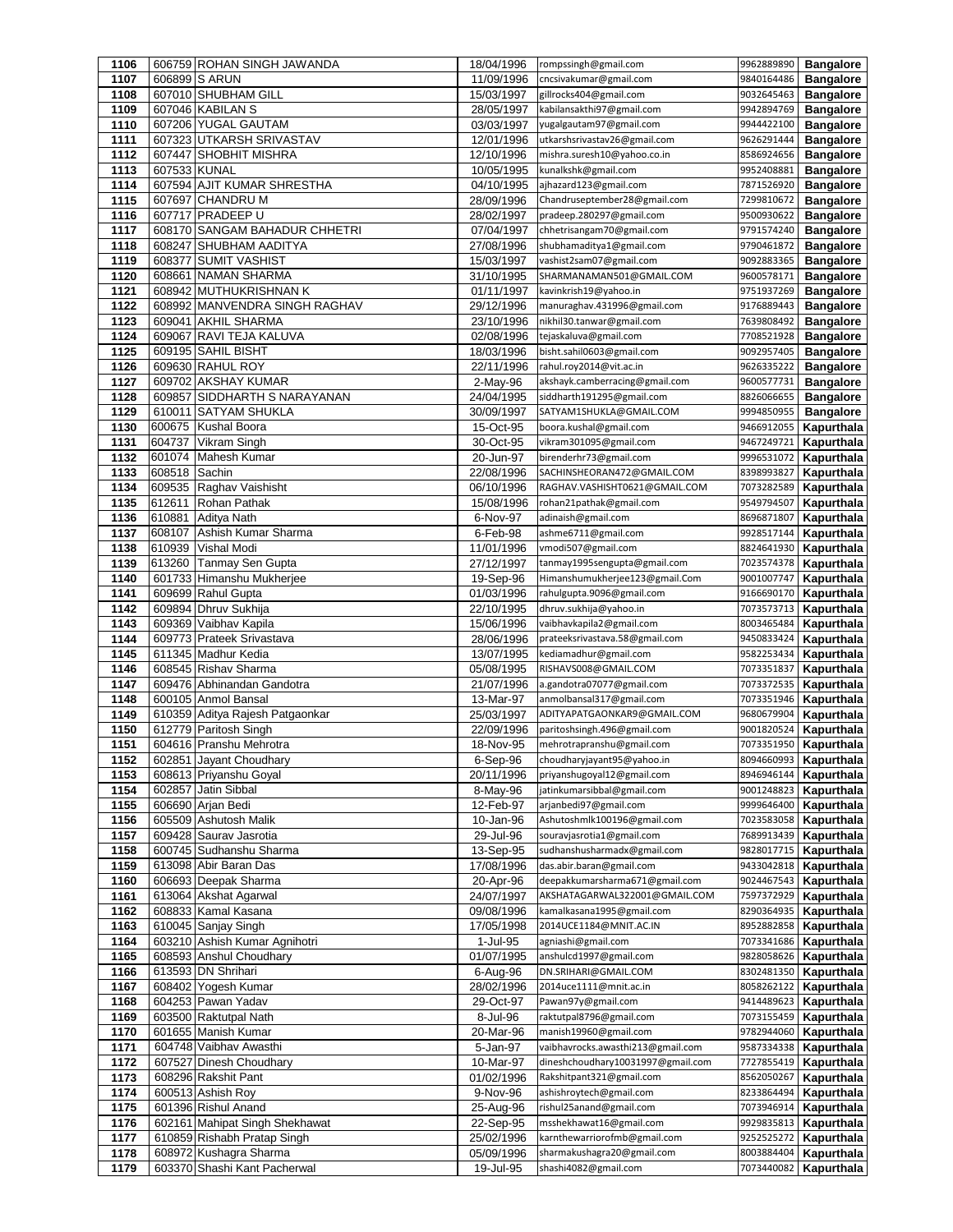| 1106 |              | 606759 ROHAN SINGH JAWANDA      | 18/04/1996 | rompssingh@gmail.com              | 9962889890 | <b>Bangalore</b> |
|------|--------------|---------------------------------|------------|-----------------------------------|------------|------------------|
| 1107 |              | 606899 S ARUN                   | 11/09/1996 | cncsivakumar@gmail.com            | 9840164486 | <b>Bangalore</b> |
| 1108 |              | 607010 SHUBHAM GILL             | 15/03/1997 | gillrocks404@gmail.com            | 9032645463 | <b>Bangalore</b> |
| 1109 |              | 607046 KABILAN S                | 28/05/1997 | kabilansakthi97@gmail.com         | 9942894769 | <b>Bangalore</b> |
| 1110 |              | 607206 YUGAL GAUTAM             | 03/03/1997 | yugalgautam97@gmail.com           | 9944422100 | <b>Bangalore</b> |
| 1111 |              | 607323 UTKARSH SRIVASTAV        | 12/01/1996 | utkarshsrivastav26@gmail.com      | 9626291444 | <b>Bangalore</b> |
| 1112 |              | 607447 SHOBHIT MISHRA           | 12/10/1996 | mishra.suresh10@yahoo.co.in       | 8586924656 | <b>Bangalore</b> |
| 1113 | 607533 KUNAL |                                 | 10/05/1995 | kunalkshk@gmail.com               | 9952408881 | <b>Bangalore</b> |
| 1114 |              | 607594 AJIT KUMAR SHRESTHA      | 04/10/1995 | ajhazard123@gmail.com             | 7871526920 | <b>Bangalore</b> |
| 1115 | 607697       | <b>CHANDRU M</b>                | 28/09/1996 | Chandruseptember28@gmail.com      | 7299810672 | <b>Bangalore</b> |
| 1116 |              | 607717 PRADEEP U                | 28/02/1997 | pradeep.280297@gmail.com          | 9500930622 | <b>Bangalore</b> |
| 1117 |              | 608170 SANGAM BAHADUR CHHETRI   | 07/04/1997 | chhetrisangam70@gmail.com         | 9791574240 | <b>Bangalore</b> |
| 1118 |              | 608247 SHUBHAM AADITYA          | 27/08/1996 | shubhamaditya1@gmail.com          | 9790461872 | <b>Bangalore</b> |
| 1119 | 608377       | <b>SUMIT VASHIST</b>            | 15/03/1997 | vashist2sam07@gmail.com           | 9092883365 | <b>Bangalore</b> |
| 1120 |              | 608661 NAMAN SHARMA             | 31/10/1995 | SHARMANAMAN501@GMAIL.COM          | 9600578171 | <b>Bangalore</b> |
|      |              |                                 |            |                                   |            |                  |
| 1121 |              | 608942 MUTHUKRISHNAN K          | 01/11/1997 | kavinkrish19@yahoo.in             | 9751937269 | <b>Bangalore</b> |
| 1122 |              | 608992 MANVENDRA SINGH RAGHAV   | 29/12/1996 | manuraghav.431996@gmail.com       | 9176889443 | <b>Bangalore</b> |
| 1123 |              | 609041 AKHIL SHARMA             | 23/10/1996 | nikhil30.tanwar@gmail.com         | 7639808492 | <b>Bangalore</b> |
| 1124 |              | 609067 RAVI TEJA KALUVA         | 02/08/1996 | tejaskaluva@gmail.com             | 7708521928 | <b>Bangalore</b> |
| 1125 |              | 609195 SAHIL BISHT              | 18/03/1996 | bisht.sahil0603@gmail.com         | 9092957405 | <b>Bangalore</b> |
| 1126 |              | 609630 RAHUL ROY                | 22/11/1996 | rahul.roy2014@vit.ac.in           | 9626335222 | <b>Bangalore</b> |
| 1127 |              | 609702 AKSHAY KUMAR             | 2-May-96   | akshayk.camberracing@gmail.com    | 9600577731 | <b>Bangalore</b> |
| 1128 |              | 609857 SIDDHARTH S NARAYANAN    | 24/04/1995 | siddharth191295@gmail.com         | 8826066655 | <b>Bangalore</b> |
| 1129 |              | 610011 SATYAM SHUKLA            | 30/09/1997 | SATYAM1SHUKLA@GMAIL.COM           | 9994850955 | <b>Bangalore</b> |
| 1130 | 600675       | <b>Kushal Boora</b>             | 15-Oct-95  | boora.kushal@gmail.com            | 9466912055 | Kapurthala       |
| 1131 | 604737       | Vikram Singh                    | 30-Oct-95  | vikram301095@gmail.com            | 9467249721 | Kapurthala       |
| 1132 | 601074       | Mahesh Kumar                    | 20-Jun-97  | birenderhr73@gmail.com            | 9996531072 | Kapurthala       |
| 1133 | 608518       | Sachin                          | 22/08/1996 | SACHINSHEORAN472@GMAIL.COM        | 8398993827 | Kapurthala       |
| 1134 | 609535       | Raghav Vaishisht                | 06/10/1996 | RAGHAV.VASHISHT0621@GMAIL.COM     | 7073282589 | Kapurthala       |
| 1135 | 612611       | Rohan Pathak                    | 15/08/1996 | rohan21pathak@gmail.com           | 9549794507 | Kapurthala       |
| 1136 | 610881       | Aditya Nath                     | 6-Nov-97   | adinaish@gmail.com                | 8696871807 | Kapurthala       |
| 1137 | 608107       | Ashish Kumar Sharma             | 6-Feb-98   | ashme6711@gmail.com               | 9928517144 | Kapurthala       |
| 1138 | 610939       | <b>Vishal Modi</b>              | 11/01/1996 | vmodi507@gmail.com                | 8824641930 | Kapurthala       |
| 1139 | 613260       | <b>Tanmay Sen Gupta</b>         | 27/12/1997 | tanmay1995sengupta@gmail.com      | 7023574378 | Kapurthala       |
| 1140 |              | 601733 Himanshu Mukherjee       |            | Himanshumukherjee123@gmail.Com    | 9001007747 | Kapurthala       |
|      |              | 609699 Rahul Gupta              | 19-Sep-96  | rahulgupta.9096@gmail.com         | 9166690170 |                  |
| 1141 |              |                                 | 01/03/1996 |                                   |            | Kapurthala       |
| 1142 |              | 609894 Dhruv Sukhija            | 22/10/1995 | dhruv.sukhija@yahoo.in            | 7073573713 | Kapurthala       |
| 1143 |              | 609369 Vaibhav Kapila           | 15/06/1996 | vaibhavkapila2@gmail.com          | 8003465484 | Kapurthala       |
| 1144 |              | 609773 Prateek Srivastava       | 28/06/1996 | prateeksrivastava.58@gmail.com    | 9450833424 | Kapurthala       |
| 1145 |              | 611345 Madhur Kedia             | 13/07/1995 | kediamadhur@gmail.com             | 9582253434 | Kapurthala       |
| 1146 |              | 608545 Rishav Sharma            | 05/08/1995 | RISHAVS008@GMAIL.COM              | 7073351837 | Kapurthala       |
| 1147 |              | 609476 Abhinandan Gandotra      | 21/07/1996 | a.gandotra07077@gmail.com         | 7073372535 | Kapurthala       |
| 1148 |              | 600105 Anmol Bansal             | 13-Mar-97  | anmolbansal317@gmail.com          | 7073351946 | Kapurthala       |
| 1149 |              | 610359 Aditya Rajesh Patgaonkar | 25/03/1997 | ADITYAPATGAONKAR9@GMAIL.COM       | 9680679904 | Kapurthala       |
| 1150 |              | 612779 Paritosh Singh           | 22/09/1996 | paritoshsingh.496@gmail.com       | 9001820524 | Kapurthala       |
| 1151 |              | 604616 Pranshu Mehrotra         | 18-Nov-95  | mehrotrapranshu@gmail.com         | 7073351950 | Kapurthala       |
| 1152 |              | 602851 Jayant Choudhary         | 6-Sep-96   | choudharyjayant95@yahoo.in        | 8094660993 | Kapurthala       |
| 1153 |              | 608613 Priyanshu Goyal          | 20/11/1996 | priyanshugoyal12@gmail.com        | 8946946144 | Kapurthala       |
| 1154 | 602857       | Jatin Sibbal                    | 8-May-96   | jatinkumarsibbal@gmail.com        | 9001248823 | Kapurthala       |
| 1155 |              | 606690 Arjan Bedi               | 12-Feb-97  | arjanbedi97@gmail.com             | 9999646400 | Kapurthala       |
| 1156 |              | 605509 Ashutosh Malik           | 10-Jan-96  | Ashutoshmlk100196@gmail.com       | 7023583058 | Kapurthala       |
| 1157 |              | 609428 Saurav Jasrotia          | 29-Jul-96  | souravjasrotia1@gmail.com         | 7689913439 | Kapurthala       |
| 1158 |              | 600745 Sudhanshu Sharma         | 13-Sep-95  | sudhanshusharmadx@gmail.com       | 9828017715 | Kapurthala       |
| 1159 |              | 613098 Abir Baran Das           | 17/08/1996 | das.abir.baran@gmail.com          | 9433042818 | Kapurthala       |
| 1160 |              | 606693 Deepak Sharma            | 20-Apr-96  | deepakkumarsharma671@gmail.com    | 9024467543 | Kapurthala       |
| 1161 |              | 613064 Akshat Agarwal           | 24/07/1997 | AKSHATAGARWAL322001@GMAIL.COM     | 7597372929 | Kapurthala       |
| 1162 |              | 608833 Kamal Kasana             | 09/08/1996 | kamalkasana1995@gmail.com         | 8290364935 | Kapurthala       |
| 1163 |              | 610045 Sanjay Singh             | 17/05/1998 | 2014UCE1184@MNIT.AC.IN            | 8952882858 | Kapurthala       |
| 1164 |              | 603210 Ashish Kumar Agnihotri   | 1-Jul-95   | agniashi@gmail.com                | 7073341686 | Kapurthala       |
|      |              |                                 |            |                                   |            |                  |
| 1165 |              | 608593 Anshul Choudhary         | 01/07/1995 | anshulcd1997@gmail.com            | 9828058626 | Kapurthala       |
| 1166 |              | 613593 DN Shrihari              | 6-Aug-96   | DN.SRIHARI@GMAIL.COM              | 8302481350 | Kapurthala       |
| 1167 |              | 608402 Yogesh Kumar             | 28/02/1996 | 2014uce1111@mnit.ac.in            | 8058262122 | Kapurthala       |
| 1168 |              | 604253 Pawan Yadav              | 29-Oct-97  | Pawan97y@gmail.com                | 9414489623 | Kapurthala       |
| 1169 |              | 603500 Raktutpal Nath           | 8-Jul-96   | raktutpal8796@gmail.com           | 7073155459 | Kapurthala       |
| 1170 |              | 601655 Manish Kumar             | 20-Mar-96  | manish19960@gmail.com             | 9782944060 | Kapurthala       |
| 1171 |              | 604748 Vaibhav Awasthi          | 5-Jan-97   | vaibhavrocks.awasthi213@gmail.com | 9587334338 | Kapurthala       |
| 1172 |              | 607527 Dinesh Choudhary         | 10-Mar-97  | dineshchoudhary10031997@gmail.com | 7727855419 | Kapurthala       |
| 1173 |              | 608296 Rakshit Pant             | 01/02/1996 | Rakshitpant321@gmail.com          | 8562050267 | Kapurthala       |
| 1174 |              | 600513 Ashish Roy               | 9-Nov-96   | ashishroytech@gmail.com           | 8233864494 | Kapurthala       |
| 1175 |              | 601396 Rishul Anand             | 25-Aug-96  | rishul25anand@gmail.com           | 7073946914 | Kapurthala       |
| 1176 |              | 602161 Mahipat Singh Shekhawat  | 22-Sep-95  | msshekhawat16@gmail.com           | 9929835813 | Kapurthala       |
| 1177 |              | 610859 Rishabh Pratap Singh     | 25/02/1996 | karnthewarriorofmb@gmail.com      | 9252525272 | Kapurthala       |
| 1178 |              | 608972 Kushagra Sharma          | 05/09/1996 | sharmakushagra20@gmail.com        | 8003884404 | Kapurthala       |
| 1179 |              | 603370 Shashi Kant Pacherwal    | 19-Jul-95  | shashi4082@gmail.com              | 7073440082 | Kapurthala       |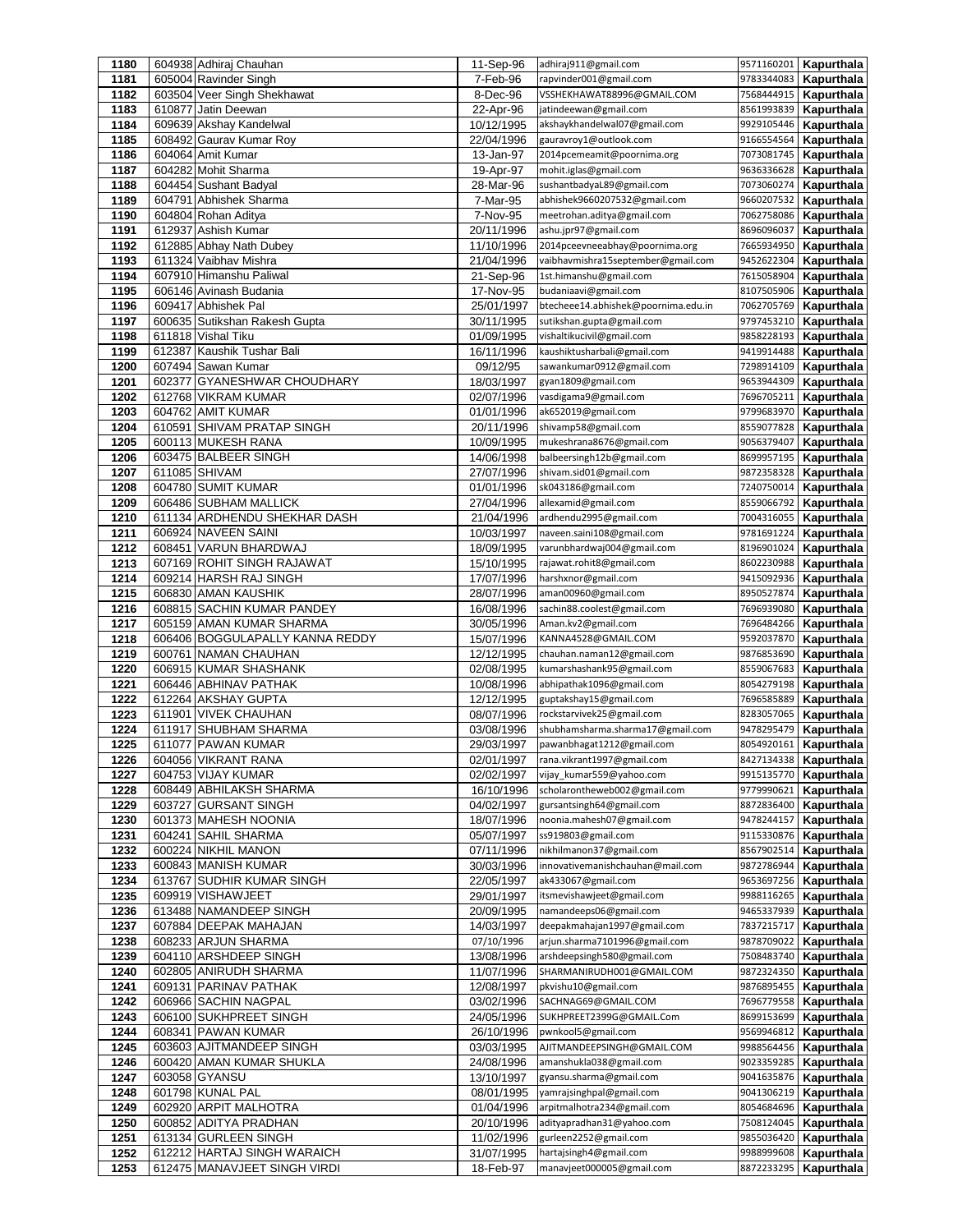| 1180         |        | 604938 Adhiraj Chauhan                               | 11-Sep-96                | adhiraj911@gmail.com                                   |                          | 9571160201 Kapurthala    |
|--------------|--------|------------------------------------------------------|--------------------------|--------------------------------------------------------|--------------------------|--------------------------|
| 1181         |        | 605004 Ravinder Singh                                | 7-Feb-96                 | rapvinder001@gmail.com                                 | 9783344083               | Kapurthala               |
| 1182         |        | 603504 Veer Singh Shekhawat                          | 8-Dec-96                 | VSSHEKHAWAT88996@GMAIL.COM                             | 7568444915               | Kapurthala               |
| 1183         |        | 610877 Jatin Deewan                                  | 22-Apr-96                | jatindeewan@gmail.com                                  | 8561993839               | Kapurthala               |
| 1184         |        | 609639 Akshay Kandelwal                              | 10/12/1995               | akshaykhandelwal07@gmail.com                           | 9929105446               | Kapurthala               |
| 1185         |        | 608492 Gaurav Kumar Roy<br>604064 Amit Kumar         | 22/04/1996               | gauravroy1@outlook.com<br>2014pcemeamit@poornima.org   | 9166554564<br>7073081745 | Kapurthala<br>Kapurthala |
| 1186<br>1187 |        | 604282 Mohit Sharma                                  | 13-Jan-97<br>19-Apr-97   | mohit.iglas@gmail.com                                  | 9636336628               | Kapurthala               |
| 1188         |        | 604454 Sushant Badyal                                | 28-Mar-96                | sushantbadyaL89@gmail.com                              | 7073060274               | Kapurthala               |
| 1189         |        | 604791 Abhishek Sharma                               | 7-Mar-95                 | abhishek9660207532@gmail.com                           | 9660207532               | Kapurthala               |
| 1190         |        | 604804 Rohan Aditya                                  | 7-Nov-95                 | meetrohan.aditya@gmail.com                             | 7062758086               | Kapurthala               |
| 1191         |        | 612937 Ashish Kumar                                  | 20/11/1996               | ashu.jpr97@gmail.com                                   | 8696096037               | Kapurthala               |
| 1192         |        | 612885 Abhay Nath Dubey                              | 11/10/1996               | 2014pceevneeabhay@poornima.org                         | 7665934950               | Kapurthala               |
| 1193         |        | 611324 Vaibhav Mishra                                | 21/04/1996               | vaibhavmishra15september@gmail.com                     | 9452622304               | Kapurthala               |
| 1194         |        | 607910 Himanshu Paliwal                              | 21-Sep-96                | 1st.himanshu@gmail.com                                 | 7615058904               | Kapurthala               |
| 1195         |        | 606146 Avinash Budania                               | 17-Nov-95                | budaniaavi@gmail.com                                   | 8107505906               | Kapurthala               |
| 1196         |        | 609417 Abhishek Pal                                  | 25/01/1997               | btecheee14.abhishek@poornima.edu.in                    | 7062705769               | Kapurthala               |
| 1197         |        | 600635 Sutikshan Rakesh Gupta                        | 30/11/1995               | sutikshan.gupta@gmail.com                              | 9797453210               | Kapurthala               |
| 1198         |        | 611818 Vishal Tiku                                   | 01/09/1995               | vishaltikucivil@gmail.com                              | 9858228193               | Kapurthala               |
| 1199         | 612387 | Kaushik Tushar Bali                                  | 16/11/1996               | kaushiktusharbali@gmail.com                            | 9419914488<br>7298914109 | Kapurthala               |
| 1200         | 602377 | 607494 Sawan Kumar<br><b>GYANESHWAR CHOUDHARY</b>    | 09/12/95                 | sawankumar0912@gmail.com                               | 9653944309               | Kapurthala               |
| 1201<br>1202 |        | 612768 VIKRAM KUMAR                                  | 18/03/1997<br>02/07/1996 | gyan1809@gmail.com<br>vasdigama9@gmail.com             | 7696705211               | Kapurthala<br>Kapurthala |
| 1203         |        | 604762 AMIT KUMAR                                    | 01/01/1996               | ak652019@gmail.com                                     | 9799683970               | Kapurthala               |
| 1204         |        | 610591 SHIVAM PRATAP SINGH                           | 20/11/1996               | shivamp58@gmail.com                                    | 8559077828               | Kapurthala               |
| 1205         |        | 600113 MUKESH RANA                                   | 10/09/1995               | mukeshrana8676@gmail.com                               | 9056379407               | Kapurthala               |
| 1206         |        | 603475 BALBEER SINGH                                 | 14/06/1998               | balbeersingh12b@gmail.com                              | 8699957195               | Kapurthala               |
| 1207         |        | 611085 SHIVAM                                        | 27/07/1996               | shivam.sid01@gmail.com                                 | 9872358328               | Kapurthala               |
| 1208         |        | 604780 SUMIT KUMAR                                   | 01/01/1996               | sk043186@gmail.com                                     | 7240750014               | Kapurthala               |
| 1209         |        | 606486 SUBHAM MALLICK                                | 27/04/1996               | allexamid@gmail.com                                    | 8559066792               | Kapurthala               |
| 1210         |        | 611134 ARDHENDU SHEKHAR DASH                         | 21/04/1996               | ardhendu2995@gmail.com                                 | 7004316055               | Kapurthala               |
| 1211         |        | 606924 NAVEEN SAINI                                  | 10/03/1997               | naveen.saini108@gmail.com                              | 9781691224               | Kapurthala               |
| 1212<br>1213 |        | 608451 VARUN BHARDWAJ                                | 18/09/1995               | varunbhardwaj004@gmail.com<br>rajawat.rohit8@gmail.com | 8196901024<br>8602230988 | Kapurthala               |
| 1214         |        | 607169 ROHIT SINGH RAJAWAT<br>609214 HARSH RAJ SINGH | 15/10/1995<br>17/07/1996 | harshxnor@gmail.com                                    | 9415092936               | Kapurthala<br>Kapurthala |
| 1215         |        | 606830 AMAN KAUSHIK                                  | 28/07/1996               | aman00960@gmail.com                                    | 8950527874               | Kapurthala               |
| 1216         |        | 608815 SACHIN KUMAR PANDEY                           | 16/08/1996               | sachin88.coolest@gmail.com                             | 7696939080               | Kapurthala               |
| 1217         |        | 605159 AMAN KUMAR SHARMA                             | 30/05/1996               | Aman.kv2@gmail.com                                     | 7696484266               | Kapurthala               |
| 1218         |        | 606406 BOGGULAPALLY KANNA REDDY                      | 15/07/1996               | KANNA4528@GMAIL.COM                                    | 9592037870               | Kapurthala               |
| 1219         |        | 600761 NAMAN CHAUHAN                                 | 12/12/1995               | chauhan.naman12@gmail.com                              | 9876853690               | Kapurthala               |
| 1220         |        | 606915 KUMAR SHASHANK                                | 02/08/1995               | kumarshashank95@gmail.com                              | 8559067683               | Kapurthala               |
| 1221         |        | 606446 ABHINAV PATHAK                                | 10/08/1996               | abhipathak1096@gmail.com                               | 8054279198               | Kapurthala               |
| 1222         |        | 612264 AKSHAY GUPTA                                  | 12/12/1995               | guptakshay15@gmail.com<br>rockstarvivek25@gmail.com    | 7696585889               | Kapurthala               |
| 1223<br>1224 | 611917 | 611901 VIVEK CHAUHAN<br><b>SHUBHAM SHARMA</b>        | 08/07/1996<br>03/08/1996 | shubhamsharma.sharma17@gmail.com                       | 8283057065<br>9478295479 | Kapurthala<br>Kapurthala |
| 1225         |        | 611077 PAWAN KUMAR                                   | 29/03/1997               | pawanbhagat1212@gmail.com                              | 8054920161               | Kapurthala               |
| 1226         |        | 604056 VIKRANT RANA                                  | 02/01/1997               | rana.vikrant1997@gmail.com                             |                          | 8427134338   Kapurthala  |
| 1227         |        | 604753 VIJAY KUMAR                                   | 02/02/1997               | vijay_kumar559@yahoo.com                               | 9915135770               | Kapurthala               |
| 1228         |        | 608449 ABHILAKSH SHARMA                              | 16/10/1996               | scholarontheweb002@gmail.com                           | 9779990621               | Kapurthala               |
| 1229         |        | 603727 GURSANT SINGH                                 | 04/02/1997               | gursantsingh64@gmail.com                               | 8872836400               | Kapurthala               |
| 1230         |        | 601373 MAHESH NOONIA                                 | 18/07/1996               | noonia.mahesh07@gmail.com                              | 9478244157               | Kapurthala               |
| 1231         |        | 604241 SAHIL SHARMA                                  | 05/07/1997               | ss919803@gmail.com                                     | 9115330876               | Kapurthala               |
| 1232         |        | 600224 NIKHIL MANON                                  | 07/11/1996               | nikhilmanon37@gmail.com                                | 8567902514               | Kapurthala               |
| 1233         |        | 600843 MANISH KUMAR                                  | 30/03/1996               | innovativemanishchauhan@mail.com                       | 9872786944               | Kapurthala               |
| 1234         |        | 613767 SUDHIR KUMAR SINGH                            | 22/05/1997               | ak433067@gmail.com                                     | 9653697256               | Kapurthala               |
| 1235<br>1236 |        | 609919 VISHAWJEET<br>613488 NAMANDEEP SINGH          | 29/01/1997<br>20/09/1995 | itsmevishawjeet@gmail.com<br>namandeeps06@gmail.com    | 9988116265<br>9465337939 | Kapurthala<br>Kapurthala |
| 1237         |        | 607884 DEEPAK MAHAJAN                                | 14/03/1997               | deepakmahajan1997@gmail.com                            | 7837215717               | Kapurthala               |
| 1238         |        | 608233 ARJUN SHARMA                                  | 07/10/1996               | arjun.sharma7101996@gmail.com                          | 9878709022               | Kapurthala               |
| 1239         |        | 604110 ARSHDEEP SINGH                                | 13/08/1996               | arshdeepsingh580@gmail.com                             | 7508483740               | Kapurthala               |
| 1240         |        | 602805 ANIRUDH SHARMA                                | 11/07/1996               | SHARMANIRUDH001@GMAIL.COM                              | 9872324350               | Kapurthala               |
| 1241         | 609131 | PARINAV PATHAK                                       | 12/08/1997               | pkvishu10@gmail.com                                    | 9876895455               | Kapurthala               |
| 1242         |        | 606966 SACHIN NAGPAL                                 | 03/02/1996               | SACHNAG69@GMAIL.COM                                    | 7696779558               | Kapurthala               |
| 1243         |        | 606100 SUKHPREET SINGH                               | 24/05/1996               | SUKHPREET2399G@GMAIL.Com                               | 8699153699               | Kapurthala               |
| 1244         |        | 608341 PAWAN KUMAR                                   | 26/10/1996               | pwnkool5@gmail.com                                     | 9569946812               | Kapurthala               |
| 1245         |        | 603603 AJITMANDEEP SINGH                             | 03/03/1995               | AJITMANDEEPSINGH@GMAIL.COM                             | 9988564456               | Kapurthala               |
| 1246         |        | 600420 AMAN KUMAR SHUKLA                             | 24/08/1996               | amanshukla038@gmail.com                                | 9023359285               | Kapurthala               |
| 1247<br>1248 |        | 603058 GYANSU<br>601798 KUNAL PAL                    | 13/10/1997<br>08/01/1995 | gyansu.sharma@gmail.com<br>yamrajsinghpal@gmail.com    | 9041635876<br>9041306219 | Kapurthala<br>Kapurthala |
| 1249         |        | 602920 ARPIT MALHOTRA                                | 01/04/1996               | arpitmalhotra234@gmail.com                             | 8054684696               | Kapurthala               |
| 1250         |        | 600852 ADITYA PRADHAN                                | 20/10/1996               | adityapradhan31@yahoo.com                              | 7508124045               | Kapurthala               |
| 1251         |        | 613134 GURLEEN SINGH                                 | 11/02/1996               | gurleen2252@gmail.com                                  | 9855036420               | Kapurthala               |
| 1252         |        | 612212 HARTAJ SINGH WARAICH                          | 31/07/1995               | hartajsingh4@gmail.com                                 | 9988999608               | Kapurthala               |
| 1253         |        | 612475 MANAVJEET SINGH VIRDI                         | 18-Feb-97                | manavjeet000005@gmail.com                              | 8872233295               | Kapurthala               |